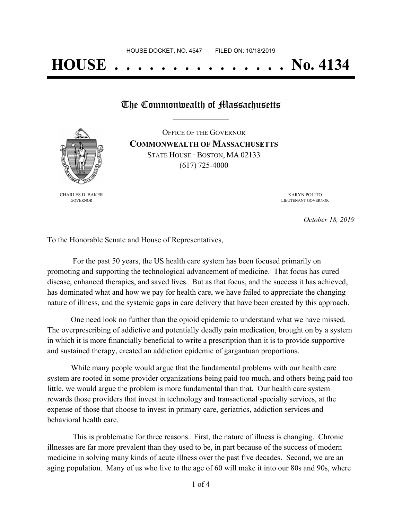# **HOUSE . . . . . . . . . . . . . . . No. 4134**

## The Commonwealth of Massachusetts

CHARLES D. BAKER GOVERNOR

OFFICE OF THE GOVERNOR **COMMONWEALTH OF MASSACHUSETTS** STATE HOUSE · BOSTON, MA 02133 (617) 725-4000

> KARYN POLITO LIEUTENANT GOVERNOR

> > *October 18, 2019*

To the Honorable Senate and House of Representatives,

For the past 50 years, the US health care system has been focused primarily on promoting and supporting the technological advancement of medicine. That focus has cured disease, enhanced therapies, and saved lives. But as that focus, and the success it has achieved, has dominated what and how we pay for health care, we have failed to appreciate the changing nature of illness, and the systemic gaps in care delivery that have been created by this approach.

One need look no further than the opioid epidemic to understand what we have missed. The overprescribing of addictive and potentially deadly pain medication, brought on by a system in which it is more financially beneficial to write a prescription than it is to provide supportive and sustained therapy, created an addiction epidemic of gargantuan proportions.

While many people would argue that the fundamental problems with our health care system are rooted in some provider organizations being paid too much, and others being paid too little, we would argue the problem is more fundamental than that. Our health care system rewards those providers that invest in technology and transactional specialty services, at the expense of those that choose to invest in primary care, geriatrics, addiction services and behavioral health care.

This is problematic for three reasons. First, the nature of illness is changing. Chronic illnesses are far more prevalent than they used to be, in part because of the success of modern medicine in solving many kinds of acute illness over the past five decades. Second, we are an aging population. Many of us who live to the age of 60 will make it into our 80s and 90s, where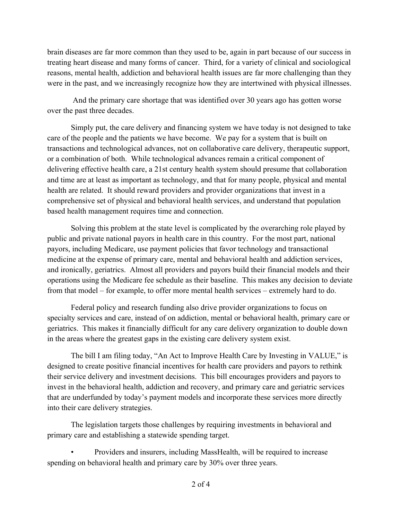brain diseases are far more common than they used to be, again in part because of our success in treating heart disease and many forms of cancer. Third, for a variety of clinical and sociological reasons, mental health, addiction and behavioral health issues are far more challenging than they were in the past, and we increasingly recognize how they are intertwined with physical illnesses.

And the primary care shortage that was identified over 30 years ago has gotten worse over the past three decades.

Simply put, the care delivery and financing system we have today is not designed to take care of the people and the patients we have become. We pay for a system that is built on transactions and technological advances, not on collaborative care delivery, therapeutic support, or a combination of both. While technological advances remain a critical component of delivering effective health care, a 21st century health system should presume that collaboration and time are at least as important as technology, and that for many people, physical and mental health are related. It should reward providers and provider organizations that invest in a comprehensive set of physical and behavioral health services, and understand that population based health management requires time and connection.

Solving this problem at the state level is complicated by the overarching role played by public and private national payors in health care in this country. For the most part, national payors, including Medicare, use payment policies that favor technology and transactional medicine at the expense of primary care, mental and behavioral health and addiction services, and ironically, geriatrics. Almost all providers and payors build their financial models and their operations using the Medicare fee schedule as their baseline. This makes any decision to deviate from that model – for example, to offer more mental health services – extremely hard to do.

Federal policy and research funding also drive provider organizations to focus on specialty services and care, instead of on addiction, mental or behavioral health, primary care or geriatrics. This makes it financially difficult for any care delivery organization to double down in the areas where the greatest gaps in the existing care delivery system exist.

The bill I am filing today, "An Act to Improve Health Care by Investing in VALUE," is designed to create positive financial incentives for health care providers and payors to rethink their service delivery and investment decisions. This bill encourages providers and payors to invest in the behavioral health, addiction and recovery, and primary care and geriatric services that are underfunded by today's payment models and incorporate these services more directly into their care delivery strategies.

The legislation targets those challenges by requiring investments in behavioral and primary care and establishing a statewide spending target.

• Providers and insurers, including MassHealth, will be required to increase spending on behavioral health and primary care by 30% over three years.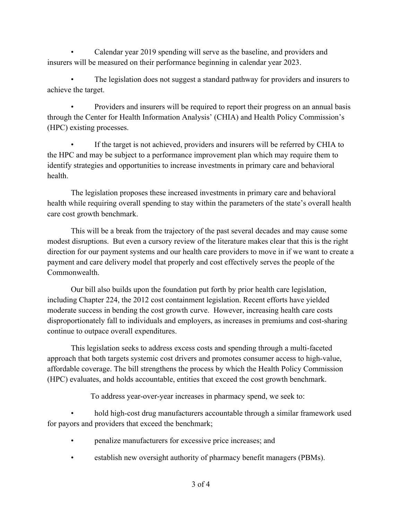• Calendar year 2019 spending will serve as the baseline, and providers and insurers will be measured on their performance beginning in calendar year 2023.

The legislation does not suggest a standard pathway for providers and insurers to achieve the target.

• Providers and insurers will be required to report their progress on an annual basis through the Center for Health Information Analysis' (CHIA) and Health Policy Commission's (HPC) existing processes.

If the target is not achieved, providers and insurers will be referred by CHIA to the HPC and may be subject to a performance improvement plan which may require them to identify strategies and opportunities to increase investments in primary care and behavioral health.

The legislation proposes these increased investments in primary care and behavioral health while requiring overall spending to stay within the parameters of the state's overall health care cost growth benchmark.

This will be a break from the trajectory of the past several decades and may cause some modest disruptions. But even a cursory review of the literature makes clear that this is the right direction for our payment systems and our health care providers to move in if we want to create a payment and care delivery model that properly and cost effectively serves the people of the Commonwealth.

Our bill also builds upon the foundation put forth by prior health care legislation, including Chapter 224, the 2012 cost containment legislation. Recent efforts have yielded moderate success in bending the cost growth curve. However, increasing health care costs disproportionately fall to individuals and employers, as increases in premiums and cost-sharing continue to outpace overall expenditures.

This legislation seeks to address excess costs and spending through a multi-faceted approach that both targets systemic cost drivers and promotes consumer access to high-value, affordable coverage. The bill strengthens the process by which the Health Policy Commission (HPC) evaluates, and holds accountable, entities that exceed the cost growth benchmark.

To address year-over-year increases in pharmacy spend, we seek to:

• hold high-cost drug manufacturers accountable through a similar framework used for payors and providers that exceed the benchmark;

- penalize manufacturers for excessive price increases; and
- establish new oversight authority of pharmacy benefit managers (PBMs).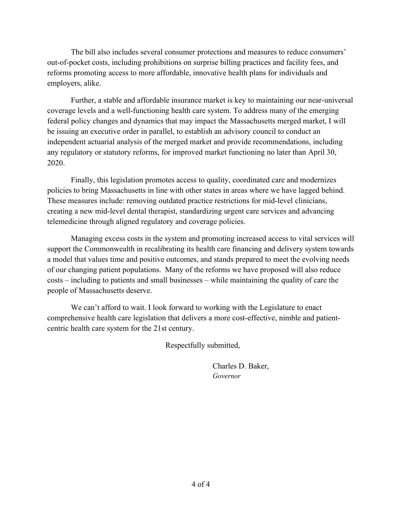The bill also includes several consumer protections and measures to reduce consumers' out-of-pocket costs, including prohibitions on surprise billing practices and facility fees, and reforms promoting access to more affordable, innovative health plans for individuals and employers, alike.

Further, a stable and affordable insurance market is key to maintaining our near-universal coverage levels and a well-functioning health care system. To address many of the emerging federal policy changes and dynamics that may impact the Massachusetts merged market, I will be issuing an executive order in parallel, to establish an advisory council to conduct an independent actuarial analysis of the merged market and provide recommendations, including any regulatory or statutory reforms, for improved market functioning no later than April 30, 2020.

Finally, this legislation promotes access to quality, coordinated care and modernizes policies to bring Massachusetts in line with other states in areas where we have lagged behind. These measures include: removing outdated practice restrictions for mid-level clinicians, creating a new mid-level dental therapist, standardizing urgent care services and advancing telemedicine through aligned regulatory and coverage policies.

Managing excess costs in the system and promoting increased access to vital services will support the Commonwealth in recalibrating its health care financing and delivery system towards a model that values time and positive outcomes, and stands prepared to meet the evolving needs of our changing patient populations. Many of the reforms we have proposed will also reduce costs – including to patients and small businesses – while maintaining the quality of care the people of Massachusetts deserve.

We can't afford to wait. I look forward to working with the Legislature to enact comprehensive health care legislation that delivers a more cost-effective, nimble and patientcentric health care system for the 21st century.

Respectfully submitted,

Charles D. Baker, *Governor*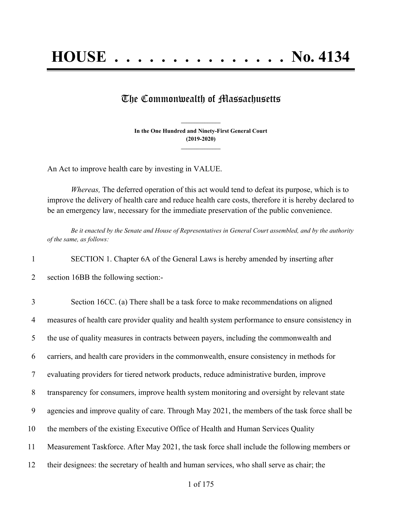## The Commonwealth of Massachusetts

**In the One Hundred and Ninety-First General Court (2019-2020) \_\_\_\_\_\_\_\_\_\_\_\_\_\_\_**

**\_\_\_\_\_\_\_\_\_\_\_\_\_\_\_**

An Act to improve health care by investing in VALUE.

*Whereas,* The deferred operation of this act would tend to defeat its purpose, which is to improve the delivery of health care and reduce health care costs, therefore it is hereby declared to be an emergency law, necessary for the immediate preservation of the public convenience.

Be it enacted by the Senate and House of Representatives in General Court assembled, and by the authority *of the same, as follows:*

1 SECTION 1. Chapter 6A of the General Laws is hereby amended by inserting after

2 section 16BB the following section:-

 Section 16CC. (a) There shall be a task force to make recommendations on aligned measures of health care provider quality and health system performance to ensure consistency in the use of quality measures in contracts between payers, including the commonwealth and carriers, and health care providers in the commonwealth, ensure consistency in methods for evaluating providers for tiered network products, reduce administrative burden, improve transparency for consumers, improve health system monitoring and oversight by relevant state agencies and improve quality of care. Through May 2021, the members of the task force shall be the members of the existing Executive Office of Health and Human Services Quality Measurement Taskforce. After May 2021, the task force shall include the following members or their designees: the secretary of health and human services, who shall serve as chair; the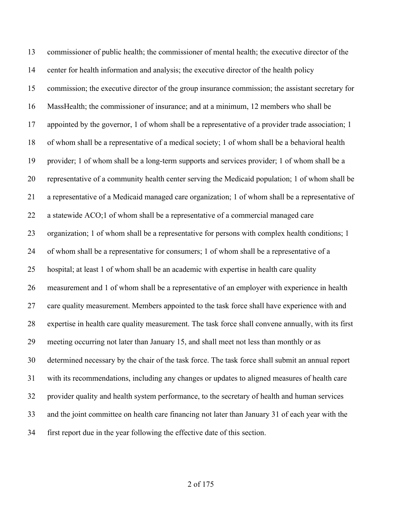commissioner of public health; the commissioner of mental health; the executive director of the center for health information and analysis; the executive director of the health policy commission; the executive director of the group insurance commission; the assistant secretary for MassHealth; the commissioner of insurance; and at a minimum, 12 members who shall be appointed by the governor, 1 of whom shall be a representative of a provider trade association; 1 of whom shall be a representative of a medical society; 1 of whom shall be a behavioral health provider; 1 of whom shall be a long-term supports and services provider; 1 of whom shall be a representative of a community health center serving the Medicaid population; 1 of whom shall be a representative of a Medicaid managed care organization; 1 of whom shall be a representative of a statewide ACO;1 of whom shall be a representative of a commercial managed care organization; 1 of whom shall be a representative for persons with complex health conditions; 1 of whom shall be a representative for consumers; 1 of whom shall be a representative of a hospital; at least 1 of whom shall be an academic with expertise in health care quality measurement and 1 of whom shall be a representative of an employer with experience in health 27 care quality measurement. Members appointed to the task force shall have experience with and expertise in health care quality measurement. The task force shall convene annually, with its first meeting occurring not later than January 15, and shall meet not less than monthly or as determined necessary by the chair of the task force. The task force shall submit an annual report with its recommendations, including any changes or updates to aligned measures of health care provider quality and health system performance, to the secretary of health and human services and the joint committee on health care financing not later than January 31 of each year with the first report due in the year following the effective date of this section.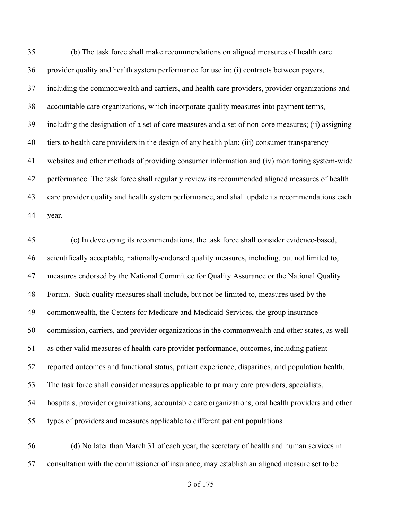(b) The task force shall make recommendations on aligned measures of health care provider quality and health system performance for use in: (i) contracts between payers, including the commonwealth and carriers, and health care providers, provider organizations and accountable care organizations, which incorporate quality measures into payment terms, including the designation of a set of core measures and a set of non-core measures; (ii) assigning tiers to health care providers in the design of any health plan; (iii) consumer transparency websites and other methods of providing consumer information and (iv) monitoring system-wide performance. The task force shall regularly review its recommended aligned measures of health care provider quality and health system performance, and shall update its recommendations each year.

 (c) In developing its recommendations, the task force shall consider evidence-based, scientifically acceptable, nationally-endorsed quality measures, including, but not limited to, measures endorsed by the National Committee for Quality Assurance or the National Quality Forum. Such quality measures shall include, but not be limited to, measures used by the commonwealth, the Centers for Medicare and Medicaid Services, the group insurance commission, carriers, and provider organizations in the commonwealth and other states, as well as other valid measures of health care provider performance, outcomes, including patient- reported outcomes and functional status, patient experience, disparities, and population health. The task force shall consider measures applicable to primary care providers, specialists, hospitals, provider organizations, accountable care organizations, oral health providers and other types of providers and measures applicable to different patient populations.

 (d) No later than March 31 of each year, the secretary of health and human services in consultation with the commissioner of insurance, may establish an aligned measure set to be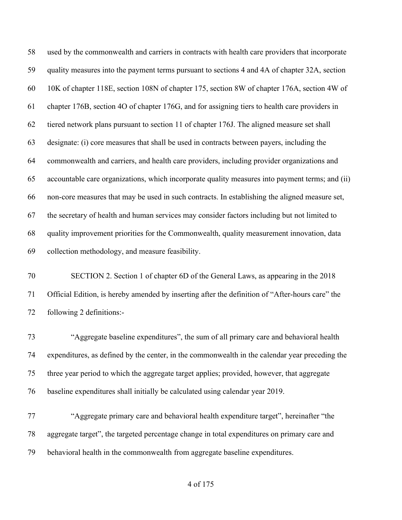used by the commonwealth and carriers in contracts with health care providers that incorporate quality measures into the payment terms pursuant to sections 4 and 4A of chapter 32A, section 10K of chapter 118E, section 108N of chapter 175, section 8W of chapter 176A, section 4W of chapter 176B, section 4O of chapter 176G, and for assigning tiers to health care providers in tiered network plans pursuant to section 11 of chapter 176J. The aligned measure set shall designate: (i) core measures that shall be used in contracts between payers, including the commonwealth and carriers, and health care providers, including provider organizations and accountable care organizations, which incorporate quality measures into payment terms; and (ii) non-core measures that may be used in such contracts. In establishing the aligned measure set, the secretary of health and human services may consider factors including but not limited to quality improvement priorities for the Commonwealth, quality measurement innovation, data collection methodology, and measure feasibility.

 SECTION 2. Section 1 of chapter 6D of the General Laws, as appearing in the 2018 Official Edition, is hereby amended by inserting after the definition of "After-hours care" the following 2 definitions:-

 "Aggregate baseline expenditures", the sum of all primary care and behavioral health expenditures, as defined by the center, in the commonwealth in the calendar year preceding the three year period to which the aggregate target applies; provided, however, that aggregate baseline expenditures shall initially be calculated using calendar year 2019.

 "Aggregate primary care and behavioral health expenditure target", hereinafter "the aggregate target", the targeted percentage change in total expenditures on primary care and behavioral health in the commonwealth from aggregate baseline expenditures.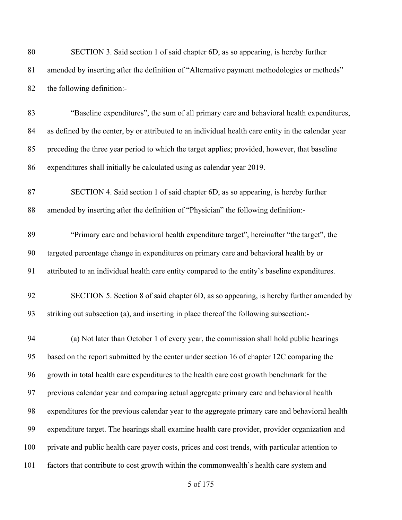| 80  | SECTION 3. Said section 1 of said chapter 6D, as so appearing, is hereby further                    |
|-----|-----------------------------------------------------------------------------------------------------|
| 81  | amended by inserting after the definition of "Alternative payment methodologies or methods"         |
| 82  | the following definition:-                                                                          |
| 83  | "Baseline expenditures", the sum of all primary care and behavioral health expenditures,            |
| 84  | as defined by the center, by or attributed to an individual health care entity in the calendar year |
| 85  | preceding the three year period to which the target applies; provided, however, that baseline       |
| 86  | expenditures shall initially be calculated using as calendar year 2019.                             |
| 87  | SECTION 4. Said section 1 of said chapter 6D, as so appearing, is hereby further                    |
| 88  | amended by inserting after the definition of "Physician" the following definition:-                 |
| 89  | "Primary care and behavioral health expenditure target", hereinafter "the target", the              |
| 90  | targeted percentage change in expenditures on primary care and behavioral health by or              |
| 91  | attributed to an individual health care entity compared to the entity's baseline expenditures.      |
| 92  | SECTION 5. Section 8 of said chapter 6D, as so appearing, is hereby further amended by              |
| 93  | striking out subsection (a), and inserting in place thereof the following subsection:-              |
| 94  | (a) Not later than October 1 of every year, the commission shall hold public hearings               |
| 95  | based on the report submitted by the center under section 16 of chapter 12C comparing the           |
| 96  | growth in total health care expenditures to the health care cost growth benchmark for the           |
| 97  | previous calendar year and comparing actual aggregate primary care and behavioral health            |
| 98  | expenditures for the previous calendar year to the aggregate primary care and behavioral health     |
| 99  | expenditure target. The hearings shall examine health care provider, provider organization and      |
| 100 | private and public health care payer costs, prices and cost trends, with particular attention to    |
| 101 | factors that contribute to cost growth within the commonwealth's health care system and             |
|     |                                                                                                     |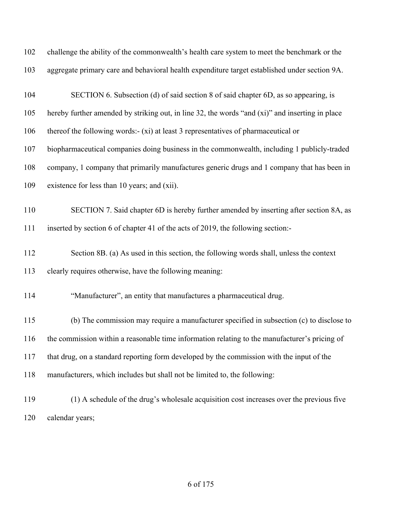| 102 | challenge the ability of the commonwealth's health care system to meet the benchmark or the     |
|-----|-------------------------------------------------------------------------------------------------|
| 103 | aggregate primary care and behavioral health expenditure target established under section 9A.   |
| 104 | SECTION 6. Subsection (d) of said section 8 of said chapter 6D, as so appearing, is             |
| 105 | hereby further amended by striking out, in line 32, the words "and (xi)" and inserting in place |
| 106 | thereof the following words:- (xi) at least 3 representatives of pharmaceutical or              |
| 107 | biopharmaceutical companies doing business in the commonwealth, including 1 publicly-traded     |
| 108 | company, 1 company that primarily manufactures generic drugs and 1 company that has been in     |
| 109 | existence for less than 10 years; and (xii).                                                    |
| 110 | SECTION 7. Said chapter 6D is hereby further amended by inserting after section 8A, as          |
| 111 | inserted by section 6 of chapter 41 of the acts of 2019, the following section:-                |
| 112 | Section 8B. (a) As used in this section, the following words shall, unless the context          |
| 113 | clearly requires otherwise, have the following meaning:                                         |
| 114 | "Manufacturer", an entity that manufactures a pharmaceutical drug.                              |
| 115 | (b) The commission may require a manufacturer specified in subsection (c) to disclose to        |
| 116 | the commission within a reasonable time information relating to the manufacturer's pricing of   |
| 117 | that drug, on a standard reporting form developed by the commission with the input of the       |
| 118 | manufacturers, which includes but shall not be limited to, the following:                       |
| 119 | (1) A schedule of the drug's wholesale acquisition cost increases over the previous five        |
| 120 | calendar years;                                                                                 |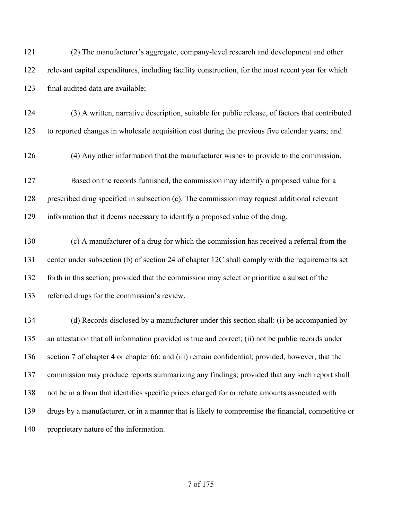(2) The manufacturer's aggregate, company-level research and development and other relevant capital expenditures, including facility construction, for the most recent year for which final audited data are available;

- (3) A written, narrative description, suitable for public release, of factors that contributed to reported changes in wholesale acquisition cost during the previous five calendar years; and
- (4) Any other information that the manufacturer wishes to provide to the commission.

 Based on the records furnished, the commission may identify a proposed value for a prescribed drug specified in subsection (c). The commission may request additional relevant information that it deems necessary to identify a proposed value of the drug.

 (c) A manufacturer of a drug for which the commission has received a referral from the center under subsection (b) of section 24 of chapter 12C shall comply with the requirements set forth in this section; provided that the commission may select or prioritize a subset of the referred drugs for the commission's review.

 (d) Records disclosed by a manufacturer under this section shall: (i) be accompanied by an attestation that all information provided is true and correct; (ii) not be public records under section 7 of chapter 4 or chapter 66; and (iii) remain confidential; provided, however, that the commission may produce reports summarizing any findings; provided that any such report shall not be in a form that identifies specific prices charged for or rebate amounts associated with drugs by a manufacturer, or in a manner that is likely to compromise the financial, competitive or proprietary nature of the information.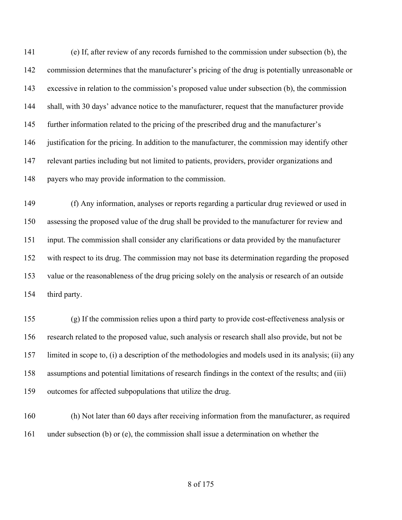(e) If, after review of any records furnished to the commission under subsection (b), the commission determines that the manufacturer's pricing of the drug is potentially unreasonable or excessive in relation to the commission's proposed value under subsection (b), the commission shall, with 30 days' advance notice to the manufacturer, request that the manufacturer provide further information related to the pricing of the prescribed drug and the manufacturer's justification for the pricing. In addition to the manufacturer, the commission may identify other 147 relevant parties including but not limited to patients, providers, provider organizations and payers who may provide information to the commission.

 (f) Any information, analyses or reports regarding a particular drug reviewed or used in assessing the proposed value of the drug shall be provided to the manufacturer for review and input. The commission shall consider any clarifications or data provided by the manufacturer with respect to its drug. The commission may not base its determination regarding the proposed value or the reasonableness of the drug pricing solely on the analysis or research of an outside third party.

 (g) If the commission relies upon a third party to provide cost-effectiveness analysis or research related to the proposed value, such analysis or research shall also provide, but not be limited in scope to, (i) a description of the methodologies and models used in its analysis; (ii) any assumptions and potential limitations of research findings in the context of the results; and (iii) outcomes for affected subpopulations that utilize the drug.

 (h) Not later than 60 days after receiving information from the manufacturer, as required under subsection (b) or (e), the commission shall issue a determination on whether the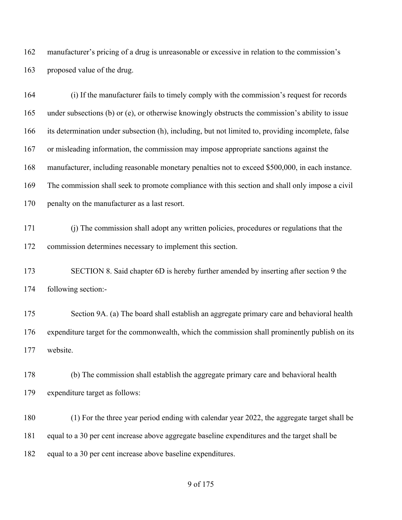manufacturer's pricing of a drug is unreasonable or excessive in relation to the commission's proposed value of the drug.

 (i) If the manufacturer fails to timely comply with the commission's request for records under subsections (b) or (e), or otherwise knowingly obstructs the commission's ability to issue its determination under subsection (h), including, but not limited to, providing incomplete, false or misleading information, the commission may impose appropriate sanctions against the manufacturer, including reasonable monetary penalties not to exceed \$500,000, in each instance. The commission shall seek to promote compliance with this section and shall only impose a civil penalty on the manufacturer as a last resort.

 (j) The commission shall adopt any written policies, procedures or regulations that the commission determines necessary to implement this section.

 SECTION 8. Said chapter 6D is hereby further amended by inserting after section 9 the following section:-

175 Section 9A. (a) The board shall establish an aggregate primary care and behavioral health expenditure target for the commonwealth, which the commission shall prominently publish on its website.

 (b) The commission shall establish the aggregate primary care and behavioral health expenditure target as follows:

 (1) For the three year period ending with calendar year 2022, the aggregate target shall be equal to a 30 per cent increase above aggregate baseline expenditures and the target shall be equal to a 30 per cent increase above baseline expenditures.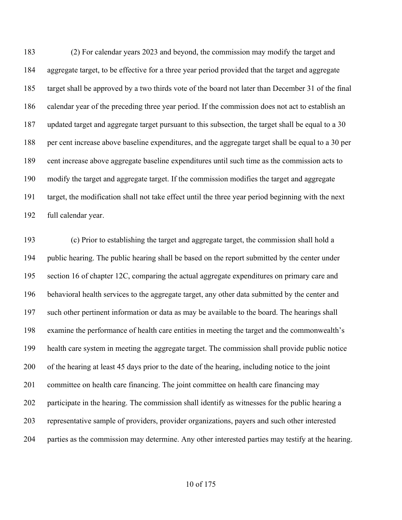(2) For calendar years 2023 and beyond, the commission may modify the target and aggregate target, to be effective for a three year period provided that the target and aggregate target shall be approved by a two thirds vote of the board not later than December 31 of the final calendar year of the preceding three year period. If the commission does not act to establish an updated target and aggregate target pursuant to this subsection, the target shall be equal to a 30 per cent increase above baseline expenditures, and the aggregate target shall be equal to a 30 per cent increase above aggregate baseline expenditures until such time as the commission acts to modify the target and aggregate target. If the commission modifies the target and aggregate target, the modification shall not take effect until the three year period beginning with the next full calendar year.

 (c) Prior to establishing the target and aggregate target, the commission shall hold a public hearing. The public hearing shall be based on the report submitted by the center under section 16 of chapter 12C, comparing the actual aggregate expenditures on primary care and behavioral health services to the aggregate target, any other data submitted by the center and such other pertinent information or data as may be available to the board. The hearings shall examine the performance of health care entities in meeting the target and the commonwealth's health care system in meeting the aggregate target. The commission shall provide public notice of the hearing at least 45 days prior to the date of the hearing, including notice to the joint committee on health care financing. The joint committee on health care financing may participate in the hearing. The commission shall identify as witnesses for the public hearing a representative sample of providers, provider organizations, payers and such other interested parties as the commission may determine. Any other interested parties may testify at the hearing.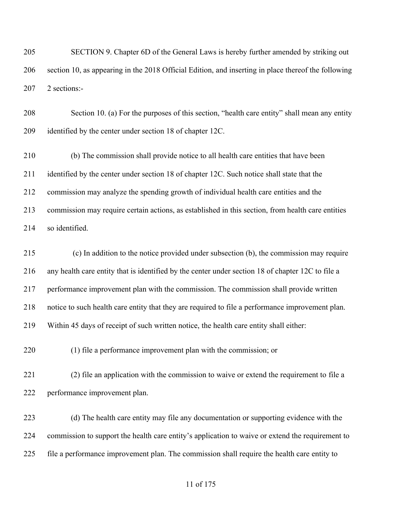SECTION 9. Chapter 6D of the General Laws is hereby further amended by striking out section 10, as appearing in the 2018 Official Edition, and inserting in place thereof the following 2 sections:-

 Section 10. (a) For the purposes of this section, "health care entity" shall mean any entity identified by the center under section 18 of chapter 12C.

 (b) The commission shall provide notice to all health care entities that have been 211 identified by the center under section 18 of chapter 12C. Such notice shall state that the commission may analyze the spending growth of individual health care entities and the commission may require certain actions, as established in this section, from health care entities so identified.

 (c) In addition to the notice provided under subsection (b), the commission may require any health care entity that is identified by the center under section 18 of chapter 12C to file a performance improvement plan with the commission. The commission shall provide written notice to such health care entity that they are required to file a performance improvement plan. Within 45 days of receipt of such written notice, the health care entity shall either:

(1) file a performance improvement plan with the commission; or

 (2) file an application with the commission to waive or extend the requirement to file a performance improvement plan.

 (d) The health care entity may file any documentation or supporting evidence with the commission to support the health care entity's application to waive or extend the requirement to file a performance improvement plan. The commission shall require the health care entity to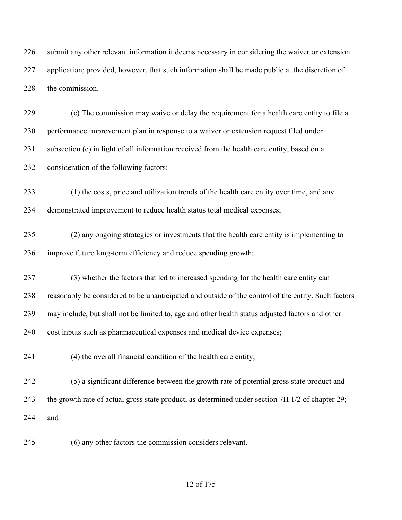submit any other relevant information it deems necessary in considering the waiver or extension application; provided, however, that such information shall be made public at the discretion of the commission.

 (e) The commission may waive or delay the requirement for a health care entity to file a performance improvement plan in response to a waiver or extension request filed under subsection (e) in light of all information received from the health care entity, based on a consideration of the following factors:

 (1) the costs, price and utilization trends of the health care entity over time, and any demonstrated improvement to reduce health status total medical expenses;

 (2) any ongoing strategies or investments that the health care entity is implementing to improve future long-term efficiency and reduce spending growth;

 (3) whether the factors that led to increased spending for the health care entity can reasonably be considered to be unanticipated and outside of the control of the entity. Such factors may include, but shall not be limited to, age and other health status adjusted factors and other cost inputs such as pharmaceutical expenses and medical device expenses;

(4) the overall financial condition of the health care entity;

 (5) a significant difference between the growth rate of potential gross state product and the growth rate of actual gross state product, as determined under section 7H 1/2 of chapter 29; and

(6) any other factors the commission considers relevant.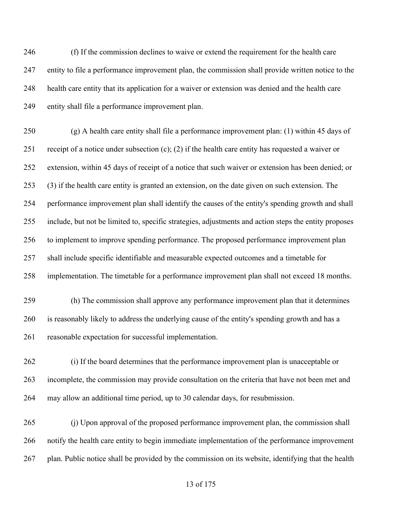(f) If the commission declines to waive or extend the requirement for the health care entity to file a performance improvement plan, the commission shall provide written notice to the health care entity that its application for a waiver or extension was denied and the health care entity shall file a performance improvement plan.

 (g) A health care entity shall file a performance improvement plan: (1) within 45 days of receipt of a notice under subsection (c); (2) if the health care entity has requested a waiver or extension, within 45 days of receipt of a notice that such waiver or extension has been denied; or (3) if the health care entity is granted an extension, on the date given on such extension. The performance improvement plan shall identify the causes of the entity's spending growth and shall include, but not be limited to, specific strategies, adjustments and action steps the entity proposes to implement to improve spending performance. The proposed performance improvement plan shall include specific identifiable and measurable expected outcomes and a timetable for implementation. The timetable for a performance improvement plan shall not exceed 18 months.

 (h) The commission shall approve any performance improvement plan that it determines is reasonably likely to address the underlying cause of the entity's spending growth and has a reasonable expectation for successful implementation.

 (i) If the board determines that the performance improvement plan is unacceptable or incomplete, the commission may provide consultation on the criteria that have not been met and may allow an additional time period, up to 30 calendar days, for resubmission.

 (j) Upon approval of the proposed performance improvement plan, the commission shall notify the health care entity to begin immediate implementation of the performance improvement plan. Public notice shall be provided by the commission on its website, identifying that the health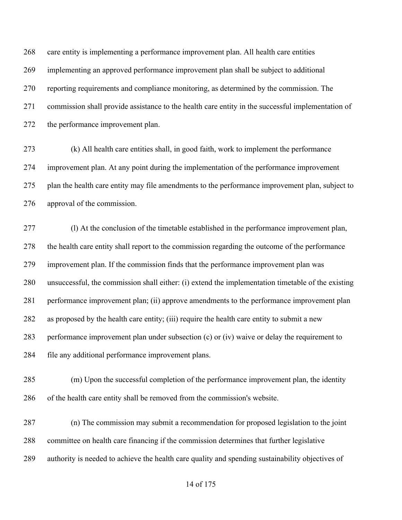care entity is implementing a performance improvement plan. All health care entities implementing an approved performance improvement plan shall be subject to additional reporting requirements and compliance monitoring, as determined by the commission. The commission shall provide assistance to the health care entity in the successful implementation of the performance improvement plan.

 (k) All health care entities shall, in good faith, work to implement the performance improvement plan. At any point during the implementation of the performance improvement plan the health care entity may file amendments to the performance improvement plan, subject to approval of the commission.

 (l) At the conclusion of the timetable established in the performance improvement plan, the health care entity shall report to the commission regarding the outcome of the performance improvement plan. If the commission finds that the performance improvement plan was unsuccessful, the commission shall either: (i) extend the implementation timetable of the existing performance improvement plan; (ii) approve amendments to the performance improvement plan as proposed by the health care entity; (iii) require the health care entity to submit a new performance improvement plan under subsection (c) or (iv) waive or delay the requirement to file any additional performance improvement plans.

 (m) Upon the successful completion of the performance improvement plan, the identity of the health care entity shall be removed from the commission's website.

 (n) The commission may submit a recommendation for proposed legislation to the joint committee on health care financing if the commission determines that further legislative authority is needed to achieve the health care quality and spending sustainability objectives of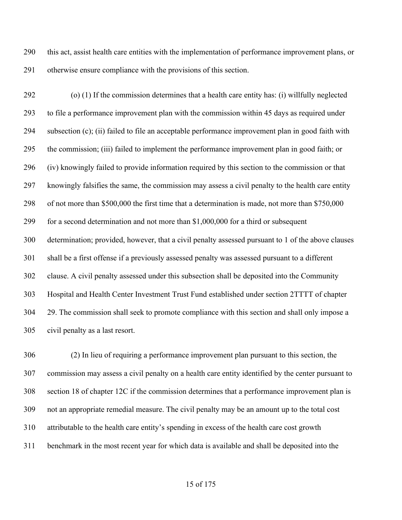this act, assist health care entities with the implementation of performance improvement plans, or otherwise ensure compliance with the provisions of this section.

 (o) (1) If the commission determines that a health care entity has: (i) willfully neglected to file a performance improvement plan with the commission within 45 days as required under subsection (c); (ii) failed to file an acceptable performance improvement plan in good faith with the commission; (iii) failed to implement the performance improvement plan in good faith; or (iv) knowingly failed to provide information required by this section to the commission or that knowingly falsifies the same, the commission may assess a civil penalty to the health care entity of not more than \$500,000 the first time that a determination is made, not more than \$750,000 for a second determination and not more than \$1,000,000 for a third or subsequent determination; provided, however, that a civil penalty assessed pursuant to 1 of the above clauses shall be a first offense if a previously assessed penalty was assessed pursuant to a different clause. A civil penalty assessed under this subsection shall be deposited into the Community Hospital and Health Center Investment Trust Fund established under section 2TTTT of chapter 29. The commission shall seek to promote compliance with this section and shall only impose a civil penalty as a last resort.

 (2) In lieu of requiring a performance improvement plan pursuant to this section, the commission may assess a civil penalty on a health care entity identified by the center pursuant to section 18 of chapter 12C if the commission determines that a performance improvement plan is not an appropriate remedial measure. The civil penalty may be an amount up to the total cost attributable to the health care entity's spending in excess of the health care cost growth benchmark in the most recent year for which data is available and shall be deposited into the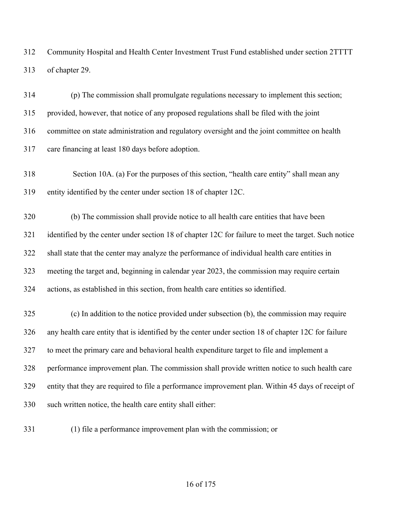Community Hospital and Health Center Investment Trust Fund established under section 2TTTT of chapter 29.

 (p) The commission shall promulgate regulations necessary to implement this section; provided, however, that notice of any proposed regulations shall be filed with the joint committee on state administration and regulatory oversight and the joint committee on health care financing at least 180 days before adoption.

 Section 10A. (a) For the purposes of this section, "health care entity" shall mean any entity identified by the center under section 18 of chapter 12C.

 (b) The commission shall provide notice to all health care entities that have been identified by the center under section 18 of chapter 12C for failure to meet the target. Such notice shall state that the center may analyze the performance of individual health care entities in meeting the target and, beginning in calendar year 2023, the commission may require certain actions, as established in this section, from health care entities so identified.

 (c) In addition to the notice provided under subsection (b), the commission may require any health care entity that is identified by the center under section 18 of chapter 12C for failure to meet the primary care and behavioral health expenditure target to file and implement a performance improvement plan. The commission shall provide written notice to such health care entity that they are required to file a performance improvement plan. Within 45 days of receipt of such written notice, the health care entity shall either:

(1) file a performance improvement plan with the commission; or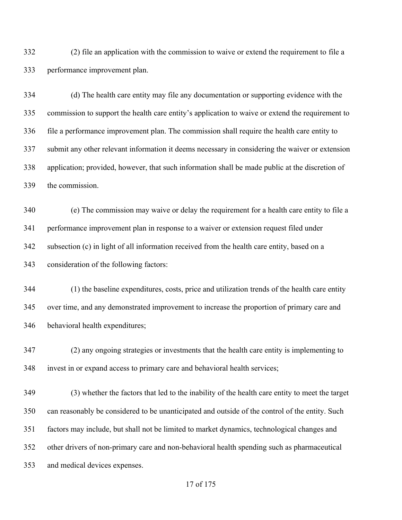(2) file an application with the commission to waive or extend the requirement to file a performance improvement plan.

 (d) The health care entity may file any documentation or supporting evidence with the commission to support the health care entity's application to waive or extend the requirement to file a performance improvement plan. The commission shall require the health care entity to submit any other relevant information it deems necessary in considering the waiver or extension application; provided, however, that such information shall be made public at the discretion of the commission.

 (e) The commission may waive or delay the requirement for a health care entity to file a performance improvement plan in response to a waiver or extension request filed under subsection (c) in light of all information received from the health care entity, based on a consideration of the following factors:

 (1) the baseline expenditures, costs, price and utilization trends of the health care entity over time, and any demonstrated improvement to increase the proportion of primary care and behavioral health expenditures;

 (2) any ongoing strategies or investments that the health care entity is implementing to invest in or expand access to primary care and behavioral health services;

 (3) whether the factors that led to the inability of the health care entity to meet the target can reasonably be considered to be unanticipated and outside of the control of the entity. Such factors may include, but shall not be limited to market dynamics, technological changes and other drivers of non-primary care and non-behavioral health spending such as pharmaceutical and medical devices expenses.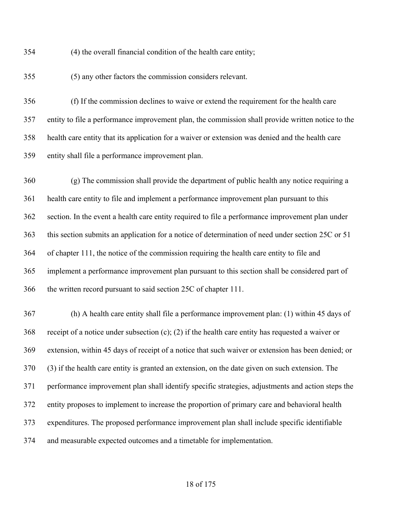(4) the overall financial condition of the health care entity;

(5) any other factors the commission considers relevant.

 (f) If the commission declines to waive or extend the requirement for the health care entity to file a performance improvement plan, the commission shall provide written notice to the health care entity that its application for a waiver or extension was denied and the health care entity shall file a performance improvement plan.

 (g) The commission shall provide the department of public health any notice requiring a health care entity to file and implement a performance improvement plan pursuant to this section. In the event a health care entity required to file a performance improvement plan under this section submits an application for a notice of determination of need under section 25C or 51 of chapter 111, the notice of the commission requiring the health care entity to file and implement a performance improvement plan pursuant to this section shall be considered part of the written record pursuant to said section 25C of chapter 111.

 (h) A health care entity shall file a performance improvement plan: (1) within 45 days of receipt of a notice under subsection (c); (2) if the health care entity has requested a waiver or extension, within 45 days of receipt of a notice that such waiver or extension has been denied; or (3) if the health care entity is granted an extension, on the date given on such extension. The performance improvement plan shall identify specific strategies, adjustments and action steps the entity proposes to implement to increase the proportion of primary care and behavioral health expenditures. The proposed performance improvement plan shall include specific identifiable and measurable expected outcomes and a timetable for implementation.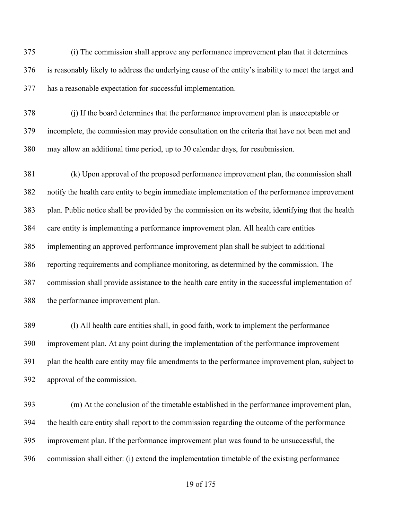(i) The commission shall approve any performance improvement plan that it determines is reasonably likely to address the underlying cause of the entity's inability to meet the target and has a reasonable expectation for successful implementation.

 (j) If the board determines that the performance improvement plan is unacceptable or incomplete, the commission may provide consultation on the criteria that have not been met and may allow an additional time period, up to 30 calendar days, for resubmission.

 (k) Upon approval of the proposed performance improvement plan, the commission shall notify the health care entity to begin immediate implementation of the performance improvement plan. Public notice shall be provided by the commission on its website, identifying that the health care entity is implementing a performance improvement plan. All health care entities implementing an approved performance improvement plan shall be subject to additional reporting requirements and compliance monitoring, as determined by the commission. The commission shall provide assistance to the health care entity in the successful implementation of the performance improvement plan.

 (l) All health care entities shall, in good faith, work to implement the performance improvement plan. At any point during the implementation of the performance improvement plan the health care entity may file amendments to the performance improvement plan, subject to approval of the commission.

 (m) At the conclusion of the timetable established in the performance improvement plan, the health care entity shall report to the commission regarding the outcome of the performance improvement plan. If the performance improvement plan was found to be unsuccessful, the commission shall either: (i) extend the implementation timetable of the existing performance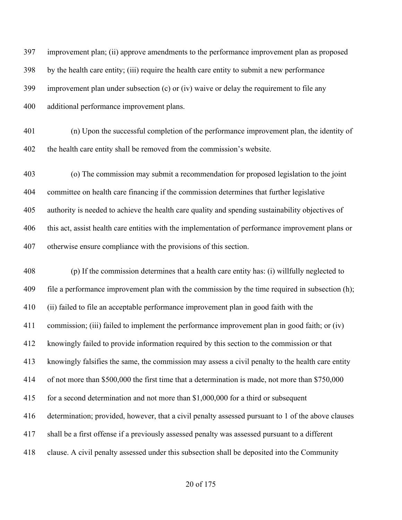| 397 | improvement plan; (ii) approve amendments to the performance improvement plan as proposed          |
|-----|----------------------------------------------------------------------------------------------------|
| 398 | by the health care entity; (iii) require the health care entity to submit a new performance        |
| 399 | improvement plan under subsection (c) or (iv) waive or delay the requirement to file any           |
| 400 | additional performance improvement plans.                                                          |
| 401 | (n) Upon the successful completion of the performance improvement plan, the identity of            |
| 402 | the health care entity shall be removed from the commission's website.                             |
| 403 | (o) The commission may submit a recommendation for proposed legislation to the joint               |
| 404 | committee on health care financing if the commission determines that further legislative           |
| 405 | authority is needed to achieve the health care quality and spending sustainability objectives of   |
| 406 | this act, assist health care entities with the implementation of performance improvement plans or  |
| 407 | otherwise ensure compliance with the provisions of this section.                                   |
| 408 | (p) If the commission determines that a health care entity has: (i) willfully neglected to         |
| 409 | file a performance improvement plan with the commission by the time required in subsection (h);    |
| 410 | (ii) failed to file an acceptable performance improvement plan in good faith with the              |
| 411 | commission; (iii) failed to implement the performance improvement plan in good faith; or (iv)      |
|     | 412 knowingly failed to provide information required by this section to the commission or that     |
| 413 | knowingly falsifies the same, the commission may assess a civil penalty to the health care entity  |
| 414 | of not more than \$500,000 the first time that a determination is made, not more than \$750,000    |
| 415 | for a second determination and not more than $$1,000,000$ for a third or subsequent                |
| 416 | determination; provided, however, that a civil penalty assessed pursuant to 1 of the above clauses |
| 417 | shall be a first offense if a previously assessed penalty was assessed pursuant to a different     |
| 418 | clause. A civil penalty assessed under this subsection shall be deposited into the Community       |
|     |                                                                                                    |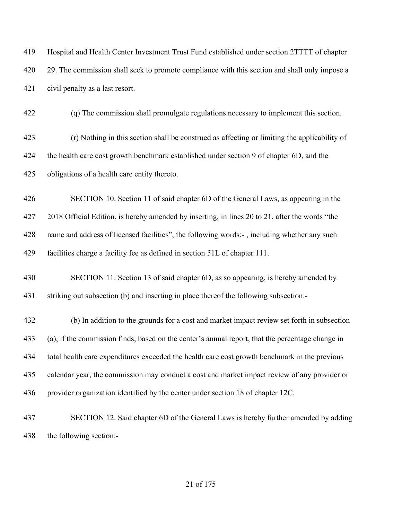Hospital and Health Center Investment Trust Fund established under section 2TTTT of chapter 420 29. The commission shall seek to promote compliance with this section and shall only impose a civil penalty as a last resort. (q) The commission shall promulgate regulations necessary to implement this section. (r) Nothing in this section shall be construed as affecting or limiting the applicability of 424 the health care cost growth benchmark established under section 9 of chapter 6D, and the obligations of a health care entity thereto. SECTION 10. Section 11 of said chapter 6D of the General Laws, as appearing in the 2018 Official Edition, is hereby amended by inserting, in lines 20 to 21, after the words "the name and address of licensed facilities", the following words:- , including whether any such facilities charge a facility fee as defined in section 51L of chapter 111. SECTION 11. Section 13 of said chapter 6D, as so appearing, is hereby amended by striking out subsection (b) and inserting in place thereof the following subsection:- (b) In addition to the grounds for a cost and market impact review set forth in subsection (a), if the commission finds, based on the center's annual report, that the percentage change in total health care expenditures exceeded the health care cost growth benchmark in the previous calendar year, the commission may conduct a cost and market impact review of any provider or provider organization identified by the center under section 18 of chapter 12C. SECTION 12. Said chapter 6D of the General Laws is hereby further amended by adding the following section:-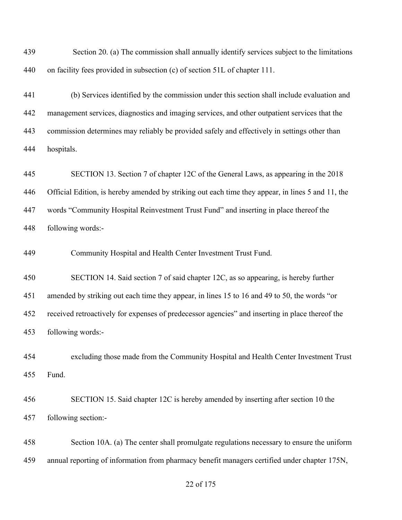Section 20. (a) The commission shall annually identify services subject to the limitations on facility fees provided in subsection (c) of section 51L of chapter 111.

 (b) Services identified by the commission under this section shall include evaluation and management services, diagnostics and imaging services, and other outpatient services that the commission determines may reliably be provided safely and effectively in settings other than hospitals.

 SECTION 13. Section 7 of chapter 12C of the General Laws, as appearing in the 2018 Official Edition, is hereby amended by striking out each time they appear, in lines 5 and 11, the words "Community Hospital Reinvestment Trust Fund" and inserting in place thereof the following words:-

Community Hospital and Health Center Investment Trust Fund.

SECTION 14. Said section 7 of said chapter 12C, as so appearing, is hereby further

 amended by striking out each time they appear, in lines 15 to 16 and 49 to 50, the words "or received retroactively for expenses of predecessor agencies" and inserting in place thereof the

following words:-

 excluding those made from the Community Hospital and Health Center Investment Trust Fund.

 SECTION 15. Said chapter 12C is hereby amended by inserting after section 10 the following section:-

 Section 10A. (a) The center shall promulgate regulations necessary to ensure the uniform annual reporting of information from pharmacy benefit managers certified under chapter 175N,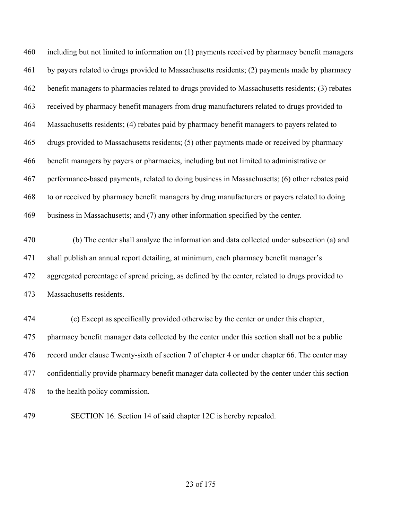including but not limited to information on (1) payments received by pharmacy benefit managers by payers related to drugs provided to Massachusetts residents; (2) payments made by pharmacy benefit managers to pharmacies related to drugs provided to Massachusetts residents; (3) rebates received by pharmacy benefit managers from drug manufacturers related to drugs provided to Massachusetts residents; (4) rebates paid by pharmacy benefit managers to payers related to drugs provided to Massachusetts residents; (5) other payments made or received by pharmacy benefit managers by payers or pharmacies, including but not limited to administrative or performance-based payments, related to doing business in Massachusetts; (6) other rebates paid to or received by pharmacy benefit managers by drug manufacturers or payers related to doing business in Massachusetts; and (7) any other information specified by the center.

 (b) The center shall analyze the information and data collected under subsection (a) and shall publish an annual report detailing, at minimum, each pharmacy benefit manager's aggregated percentage of spread pricing, as defined by the center, related to drugs provided to Massachusetts residents.

 (c) Except as specifically provided otherwise by the center or under this chapter, pharmacy benefit manager data collected by the center under this section shall not be a public record under clause Twenty-sixth of section 7 of chapter 4 or under chapter 66. The center may confidentially provide pharmacy benefit manager data collected by the center under this section to the health policy commission.

SECTION 16. Section 14 of said chapter 12C is hereby repealed.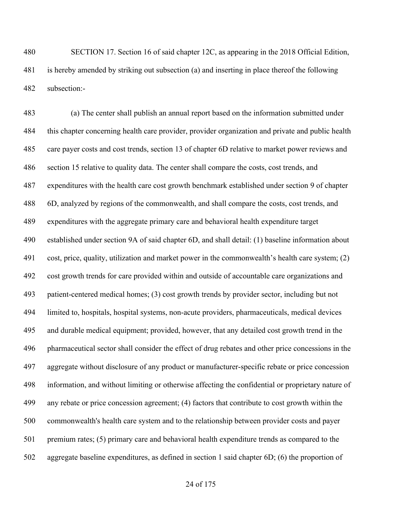SECTION 17. Section 16 of said chapter 12C, as appearing in the 2018 Official Edition, is hereby amended by striking out subsection (a) and inserting in place thereof the following subsection:-

 (a) The center shall publish an annual report based on the information submitted under this chapter concerning health care provider, provider organization and private and public health care payer costs and cost trends, section 13 of chapter 6D relative to market power reviews and section 15 relative to quality data. The center shall compare the costs, cost trends, and expenditures with the health care cost growth benchmark established under section 9 of chapter 6D, analyzed by regions of the commonwealth, and shall compare the costs, cost trends, and expenditures with the aggregate primary care and behavioral health expenditure target established under section 9A of said chapter 6D, and shall detail: (1) baseline information about cost, price, quality, utilization and market power in the commonwealth's health care system; (2) cost growth trends for care provided within and outside of accountable care organizations and patient-centered medical homes; (3) cost growth trends by provider sector, including but not limited to, hospitals, hospital systems, non-acute providers, pharmaceuticals, medical devices and durable medical equipment; provided, however, that any detailed cost growth trend in the pharmaceutical sector shall consider the effect of drug rebates and other price concessions in the aggregate without disclosure of any product or manufacturer-specific rebate or price concession information, and without limiting or otherwise affecting the confidential or proprietary nature of any rebate or price concession agreement; (4) factors that contribute to cost growth within the commonwealth's health care system and to the relationship between provider costs and payer premium rates; (5) primary care and behavioral health expenditure trends as compared to the aggregate baseline expenditures, as defined in section 1 said chapter 6D; (6) the proportion of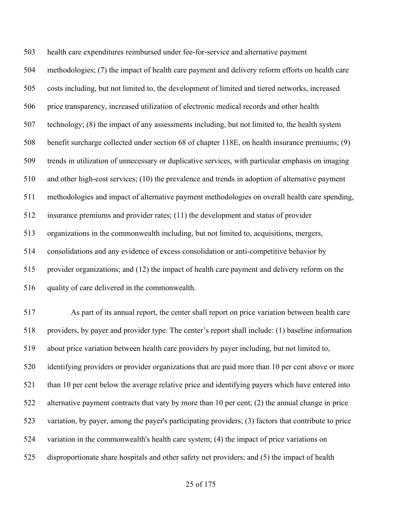health care expenditures reimbursed under fee-for-service and alternative payment methodologies; (7) the impact of health care payment and delivery reform efforts on health care costs including, but not limited to, the development of limited and tiered networks, increased price transparency, increased utilization of electronic medical records and other health technology; (8) the impact of any assessments including, but not limited to, the health system benefit surcharge collected under section 68 of chapter 118E, on health insurance premiums; (9) trends in utilization of unnecessary or duplicative services, with particular emphasis on imaging and other high-cost services; (10) the prevalence and trends in adoption of alternative payment methodologies and impact of alternative payment methodologies on overall health care spending, insurance premiums and provider rates; (11) the development and status of provider organizations in the commonwealth including, but not limited to, acquisitions, mergers, consolidations and any evidence of excess consolidation or anti-competitive behavior by provider organizations; and (12) the impact of health care payment and delivery reform on the quality of care delivered in the commonwealth.

 As part of its annual report, the center shall report on price variation between health care providers, by payer and provider type. The center's report shall include: (1) baseline information about price variation between health care providers by payer including, but not limited to, identifying providers or provider organizations that are paid more than 10 per cent above or more 521 than 10 per cent below the average relative price and identifying payers which have entered into alternative payment contracts that vary by more than 10 per cent; (2) the annual change in price variation, by payer, among the payer's participating providers; (3) factors that contribute to price variation in the commonwealth's health care system; (4) the impact of price variations on disproportionate share hospitals and other safety net providers; and (5) the impact of health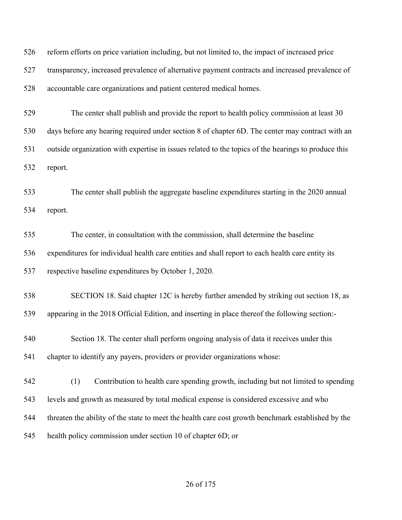reform efforts on price variation including, but not limited to, the impact of increased price transparency, increased prevalence of alternative payment contracts and increased prevalence of accountable care organizations and patient centered medical homes.

 The center shall publish and provide the report to health policy commission at least 30 days before any hearing required under section 8 of chapter 6D. The center may contract with an outside organization with expertise in issues related to the topics of the hearings to produce this report.

 The center shall publish the aggregate baseline expenditures starting in the 2020 annual report.

 The center, in consultation with the commission, shall determine the baseline expenditures for individual health care entities and shall report to each health care entity its respective baseline expenditures by October 1, 2020.

 SECTION 18. Said chapter 12C is hereby further amended by striking out section 18, as appearing in the 2018 Official Edition, and inserting in place thereof the following section:-

 Section 18. The center shall perform ongoing analysis of data it receives under this chapter to identify any payers, providers or provider organizations whose:

 (1) Contribution to health care spending growth, including but not limited to spending levels and growth as measured by total medical expense is considered excessive and who threaten the ability of the state to meet the health care cost growth benchmark established by the health policy commission under section 10 of chapter 6D; or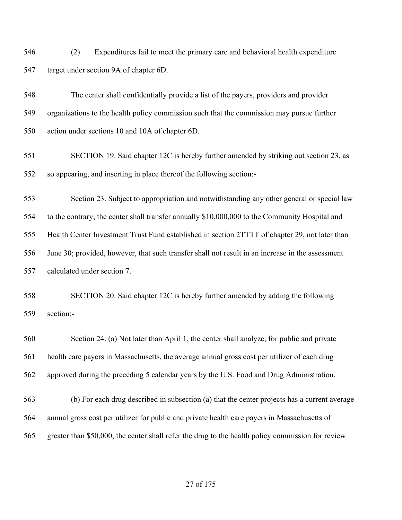(2) Expenditures fail to meet the primary care and behavioral health expenditure target under section 9A of chapter 6D.

 The center shall confidentially provide a list of the payers, providers and provider organizations to the health policy commission such that the commission may pursue further action under sections 10 and 10A of chapter 6D.

 SECTION 19. Said chapter 12C is hereby further amended by striking out section 23, as so appearing, and inserting in place thereof the following section:-

 Section 23. Subject to appropriation and notwithstanding any other general or special law to the contrary, the center shall transfer annually \$10,000,000 to the Community Hospital and Health Center Investment Trust Fund established in section 2TTTT of chapter 29, not later than June 30; provided, however, that such transfer shall not result in an increase in the assessment calculated under section 7.

 SECTION 20. Said chapter 12C is hereby further amended by adding the following section:-

 Section 24. (a) Not later than April 1, the center shall analyze, for public and private health care payers in Massachusetts, the average annual gross cost per utilizer of each drug approved during the preceding 5 calendar years by the U.S. Food and Drug Administration.

 (b) For each drug described in subsection (a) that the center projects has a current average annual gross cost per utilizer for public and private health care payers in Massachusetts of greater than \$50,000, the center shall refer the drug to the health policy commission for review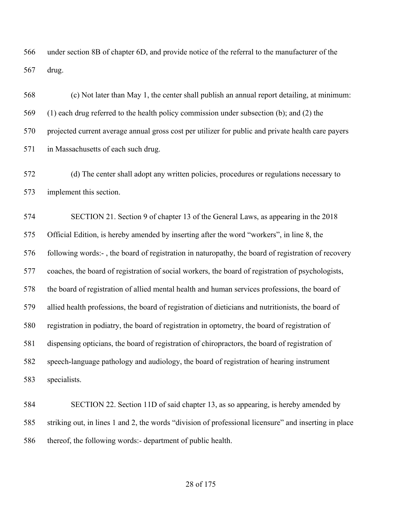under section 8B of chapter 6D, and provide notice of the referral to the manufacturer of the drug.

 (c) Not later than May 1, the center shall publish an annual report detailing, at minimum: (1) each drug referred to the health policy commission under subsection (b); and (2) the projected current average annual gross cost per utilizer for public and private health care payers in Massachusetts of each such drug.

 (d) The center shall adopt any written policies, procedures or regulations necessary to implement this section.

 SECTION 21. Section 9 of chapter 13 of the General Laws, as appearing in the 2018 Official Edition, is hereby amended by inserting after the word "workers", in line 8, the following words:- , the board of registration in naturopathy, the board of registration of recovery coaches, the board of registration of social workers, the board of registration of psychologists, the board of registration of allied mental health and human services professions, the board of allied health professions, the board of registration of dieticians and nutritionists, the board of registration in podiatry, the board of registration in optometry, the board of registration of dispensing opticians, the board of registration of chiropractors, the board of registration of speech-language pathology and audiology, the board of registration of hearing instrument specialists.

 SECTION 22. Section 11D of said chapter 13, as so appearing, is hereby amended by striking out, in lines 1 and 2, the words "division of professional licensure" and inserting in place thereof, the following words:- department of public health.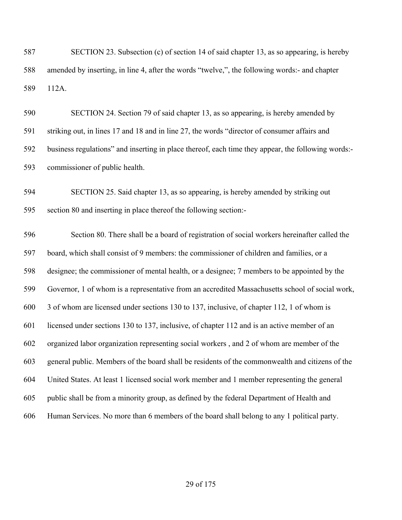SECTION 23. Subsection (c) of section 14 of said chapter 13, as so appearing, is hereby amended by inserting, in line 4, after the words "twelve,", the following words:- and chapter 112A.

 SECTION 24. Section 79 of said chapter 13, as so appearing, is hereby amended by striking out, in lines 17 and 18 and in line 27, the words "director of consumer affairs and business regulations" and inserting in place thereof, each time they appear, the following words:- commissioner of public health.

 SECTION 25. Said chapter 13, as so appearing, is hereby amended by striking out section 80 and inserting in place thereof the following section:-

 Section 80. There shall be a board of registration of social workers hereinafter called the board, which shall consist of 9 members: the commissioner of children and families, or a designee; the commissioner of mental health, or a designee; 7 members to be appointed by the Governor, 1 of whom is a representative from an accredited Massachusetts school of social work, 3 of whom are licensed under sections 130 to 137, inclusive, of chapter 112, 1 of whom is licensed under sections 130 to 137, inclusive, of chapter 112 and is an active member of an organized labor organization representing social workers , and 2 of whom are member of the general public. Members of the board shall be residents of the commonwealth and citizens of the United States. At least 1 licensed social work member and 1 member representing the general public shall be from a minority group, as defined by the federal Department of Health and Human Services. No more than 6 members of the board shall belong to any 1 political party.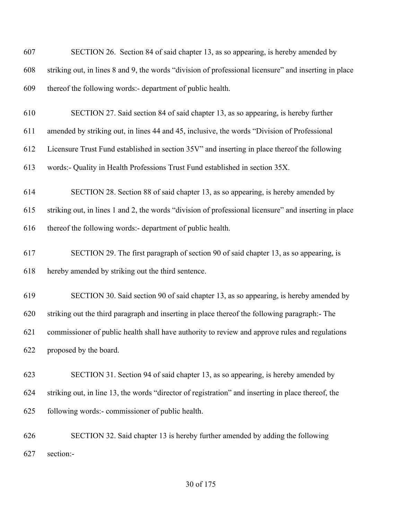| 607 | SECTION 26. Section 84 of said chapter 13, as so appearing, is hereby amended by                      |
|-----|-------------------------------------------------------------------------------------------------------|
| 608 | striking out, in lines 8 and 9, the words "division of professional licensure" and inserting in place |
| 609 | thereof the following words:- department of public health.                                            |
| 610 | SECTION 27. Said section 84 of said chapter 13, as so appearing, is hereby further                    |
| 611 | amended by striking out, in lines 44 and 45, inclusive, the words "Division of Professional           |
| 612 | Licensure Trust Fund established in section 35V" and inserting in place thereof the following         |
| 613 | words:- Quality in Health Professions Trust Fund established in section 35X.                          |
| 614 | SECTION 28. Section 88 of said chapter 13, as so appearing, is hereby amended by                      |
| 615 | striking out, in lines 1 and 2, the words "division of professional licensure" and inserting in place |
| 616 | thereof the following words:- department of public health.                                            |
| 617 | SECTION 29. The first paragraph of section 90 of said chapter 13, as so appearing, is                 |
| 618 | hereby amended by striking out the third sentence.                                                    |
| 619 | SECTION 30. Said section 90 of said chapter 13, as so appearing, is hereby amended by                 |
| 620 | striking out the third paragraph and inserting in place thereof the following paragraph:- The         |
| 621 | commissioner of public health shall have authority to review and approve rules and regulations        |
| 622 | proposed by the board.                                                                                |
| 623 | SECTION 31. Section 94 of said chapter 13, as so appearing, is hereby amended by                      |
| 624 | striking out, in line 13, the words "director of registration" and inserting in place thereof, the    |
| 625 | following words:- commissioner of public health.                                                      |
| 626 | SECTION 32. Said chapter 13 is hereby further amended by adding the following                         |
| 627 | section:-                                                                                             |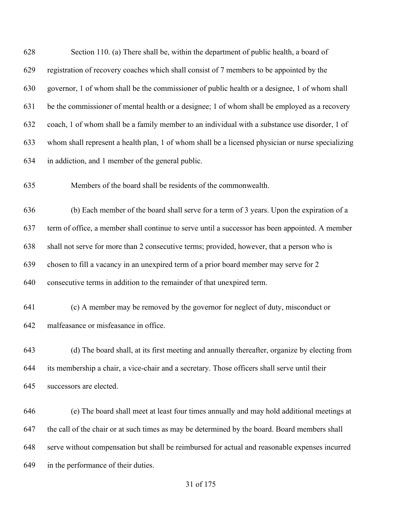Section 110. (a) There shall be, within the department of public health, a board of registration of recovery coaches which shall consist of 7 members to be appointed by the governor, 1 of whom shall be the commissioner of public health or a designee, 1 of whom shall be the commissioner of mental health or a designee; 1 of whom shall be employed as a recovery coach, 1 of whom shall be a family member to an individual with a substance use disorder, 1 of whom shall represent a health plan, 1 of whom shall be a licensed physician or nurse specializing in addiction, and 1 member of the general public. Members of the board shall be residents of the commonwealth. (b) Each member of the board shall serve for a term of 3 years. Upon the expiration of a term of office, a member shall continue to serve until a successor has been appointed. A member shall not serve for more than 2 consecutive terms; provided, however, that a person who is chosen to fill a vacancy in an unexpired term of a prior board member may serve for 2 consecutive terms in addition to the remainder of that unexpired term. (c) A member may be removed by the governor for neglect of duty, misconduct or malfeasance or misfeasance in office. (d) The board shall, at its first meeting and annually thereafter, organize by electing from its membership a chair, a vice-chair and a secretary. Those officers shall serve until their successors are elected. (e) The board shall meet at least four times annually and may hold additional meetings at the call of the chair or at such times as may be determined by the board. Board members shall serve without compensation but shall be reimbursed for actual and reasonable expenses incurred in the performance of their duties.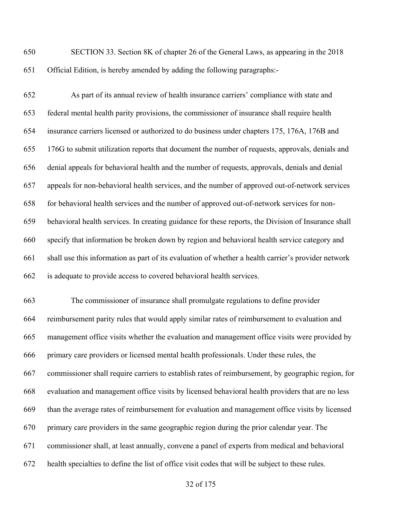SECTION 33. Section 8K of chapter 26 of the General Laws, as appearing in the 2018 Official Edition, is hereby amended by adding the following paragraphs:-

 As part of its annual review of health insurance carriers' compliance with state and federal mental health parity provisions, the commissioner of insurance shall require health insurance carriers licensed or authorized to do business under chapters 175, 176A, 176B and 176G to submit utilization reports that document the number of requests, approvals, denials and denial appeals for behavioral health and the number of requests, approvals, denials and denial appeals for non-behavioral health services, and the number of approved out-of-network services for behavioral health services and the number of approved out-of-network services for non- behavioral health services. In creating guidance for these reports, the Division of Insurance shall specify that information be broken down by region and behavioral health service category and shall use this information as part of its evaluation of whether a health carrier's provider network is adequate to provide access to covered behavioral health services.

 The commissioner of insurance shall promulgate regulations to define provider reimbursement parity rules that would apply similar rates of reimbursement to evaluation and management office visits whether the evaluation and management office visits were provided by primary care providers or licensed mental health professionals. Under these rules, the commissioner shall require carriers to establish rates of reimbursement, by geographic region, for evaluation and management office visits by licensed behavioral health providers that are no less than the average rates of reimbursement for evaluation and management office visits by licensed primary care providers in the same geographic region during the prior calendar year. The commissioner shall, at least annually, convene a panel of experts from medical and behavioral health specialties to define the list of office visit codes that will be subject to these rules.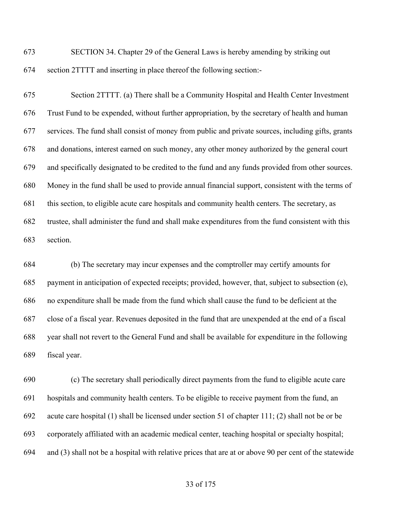SECTION 34. Chapter 29 of the General Laws is hereby amending by striking out section 2TTTT and inserting in place thereof the following section:-

 Section 2TTTT. (a) There shall be a Community Hospital and Health Center Investment Trust Fund to be expended, without further appropriation, by the secretary of health and human services. The fund shall consist of money from public and private sources, including gifts, grants and donations, interest earned on such money, any other money authorized by the general court and specifically designated to be credited to the fund and any funds provided from other sources. Money in the fund shall be used to provide annual financial support, consistent with the terms of this section, to eligible acute care hospitals and community health centers. The secretary, as trustee, shall administer the fund and shall make expenditures from the fund consistent with this section.

 (b) The secretary may incur expenses and the comptroller may certify amounts for payment in anticipation of expected receipts; provided, however, that, subject to subsection (e), no expenditure shall be made from the fund which shall cause the fund to be deficient at the close of a fiscal year. Revenues deposited in the fund that are unexpended at the end of a fiscal year shall not revert to the General Fund and shall be available for expenditure in the following fiscal year.

 (c) The secretary shall periodically direct payments from the fund to eligible acute care hospitals and community health centers. To be eligible to receive payment from the fund, an acute care hospital (1) shall be licensed under section 51 of chapter 111; (2) shall not be or be corporately affiliated with an academic medical center, teaching hospital or specialty hospital; and (3) shall not be a hospital with relative prices that are at or above 90 per cent of the statewide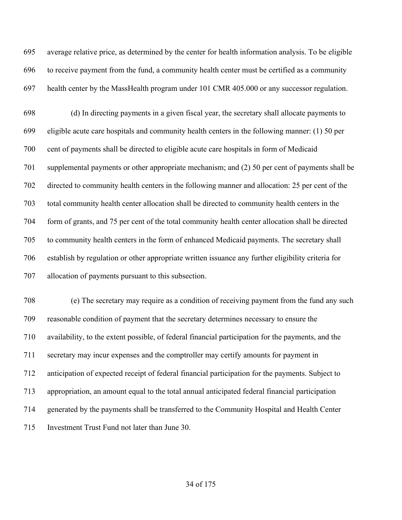average relative price, as determined by the center for health information analysis. To be eligible to receive payment from the fund, a community health center must be certified as a community health center by the MassHealth program under 101 CMR 405.000 or any successor regulation.

 (d) In directing payments in a given fiscal year, the secretary shall allocate payments to eligible acute care hospitals and community health centers in the following manner: (1) 50 per cent of payments shall be directed to eligible acute care hospitals in form of Medicaid supplemental payments or other appropriate mechanism; and (2) 50 per cent of payments shall be directed to community health centers in the following manner and allocation: 25 per cent of the total community health center allocation shall be directed to community health centers in the form of grants, and 75 per cent of the total community health center allocation shall be directed to community health centers in the form of enhanced Medicaid payments. The secretary shall establish by regulation or other appropriate written issuance any further eligibility criteria for allocation of payments pursuant to this subsection.

 (e) The secretary may require as a condition of receiving payment from the fund any such reasonable condition of payment that the secretary determines necessary to ensure the availability, to the extent possible, of federal financial participation for the payments, and the secretary may incur expenses and the comptroller may certify amounts for payment in anticipation of expected receipt of federal financial participation for the payments. Subject to appropriation, an amount equal to the total annual anticipated federal financial participation generated by the payments shall be transferred to the Community Hospital and Health Center Investment Trust Fund not later than June 30.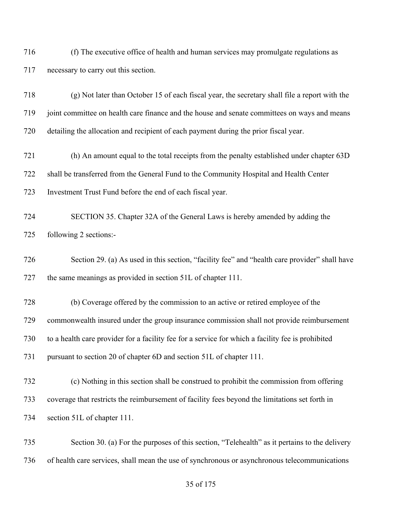(f) The executive office of health and human services may promulgate regulations as necessary to carry out this section.

 (g) Not later than October 15 of each fiscal year, the secretary shall file a report with the joint committee on health care finance and the house and senate committees on ways and means detailing the allocation and recipient of each payment during the prior fiscal year.

 (h) An amount equal to the total receipts from the penalty established under chapter 63D shall be transferred from the General Fund to the Community Hospital and Health Center Investment Trust Fund before the end of each fiscal year.

 SECTION 35. Chapter 32A of the General Laws is hereby amended by adding the following 2 sections:-

 Section 29. (a) As used in this section, "facility fee" and "health care provider" shall have the same meanings as provided in section 51L of chapter 111.

 (b) Coverage offered by the commission to an active or retired employee of the commonwealth insured under the group insurance commission shall not provide reimbursement to a health care provider for a facility fee for a service for which a facility fee is prohibited pursuant to section 20 of chapter 6D and section 51L of chapter 111.

 (c) Nothing in this section shall be construed to prohibit the commission from offering coverage that restricts the reimbursement of facility fees beyond the limitations set forth in section 51L of chapter 111.

 Section 30. (a) For the purposes of this section, "Telehealth" as it pertains to the delivery of health care services, shall mean the use of synchronous or asynchronous telecommunications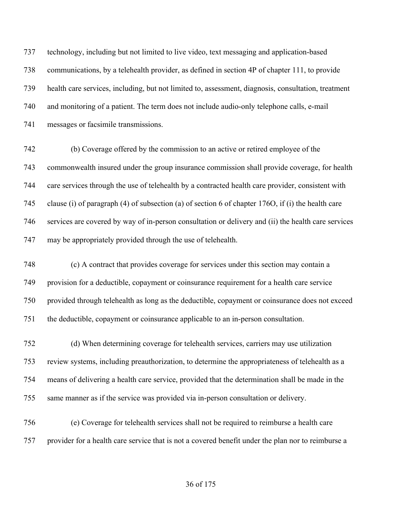technology, including but not limited to live video, text messaging and application-based communications, by a telehealth provider, as defined in section 4P of chapter 111, to provide health care services, including, but not limited to, assessment, diagnosis, consultation, treatment and monitoring of a patient. The term does not include audio-only telephone calls, e-mail messages or facsimile transmissions.

 (b) Coverage offered by the commission to an active or retired employee of the commonwealth insured under the group insurance commission shall provide coverage, for health care services through the use of telehealth by a contracted health care provider, consistent with clause (i) of paragraph (4) of subsection (a) of section 6 of chapter 176O, if (i) the health care services are covered by way of in-person consultation or delivery and (ii) the health care services may be appropriately provided through the use of telehealth.

 (c) A contract that provides coverage for services under this section may contain a provision for a deductible, copayment or coinsurance requirement for a health care service provided through telehealth as long as the deductible, copayment or coinsurance does not exceed the deductible, copayment or coinsurance applicable to an in-person consultation.

 (d) When determining coverage for telehealth services, carriers may use utilization review systems, including preauthorization, to determine the appropriateness of telehealth as a means of delivering a health care service, provided that the determination shall be made in the same manner as if the service was provided via in-person consultation or delivery.

 (e) Coverage for telehealth services shall not be required to reimburse a health care provider for a health care service that is not a covered benefit under the plan nor to reimburse a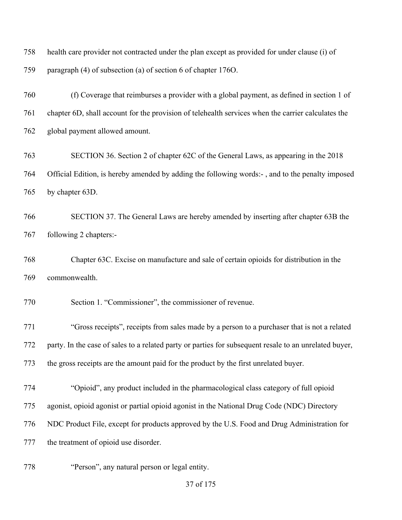health care provider not contracted under the plan except as provided for under clause (i) of paragraph (4) of subsection (a) of section 6 of chapter 176O.

 (f) Coverage that reimburses a provider with a global payment, as defined in section 1 of chapter 6D, shall account for the provision of telehealth services when the carrier calculates the global payment allowed amount.

 SECTION 36. Section 2 of chapter 62C of the General Laws, as appearing in the 2018 Official Edition, is hereby amended by adding the following words:- , and to the penalty imposed by chapter 63D.

 SECTION 37. The General Laws are hereby amended by inserting after chapter 63B the following 2 chapters:-

 Chapter 63C. Excise on manufacture and sale of certain opioids for distribution in the commonwealth.

Section 1. "Commissioner", the commissioner of revenue.

 "Gross receipts", receipts from sales made by a person to a purchaser that is not a related party. In the case of sales to a related party or parties for subsequent resale to an unrelated buyer, the gross receipts are the amount paid for the product by the first unrelated buyer.

"Opioid", any product included in the pharmacological class category of full opioid

agonist, opioid agonist or partial opioid agonist in the National Drug Code (NDC) Directory

NDC Product File, except for products approved by the U.S. Food and Drug Administration for

the treatment of opioid use disorder.

"Person", any natural person or legal entity.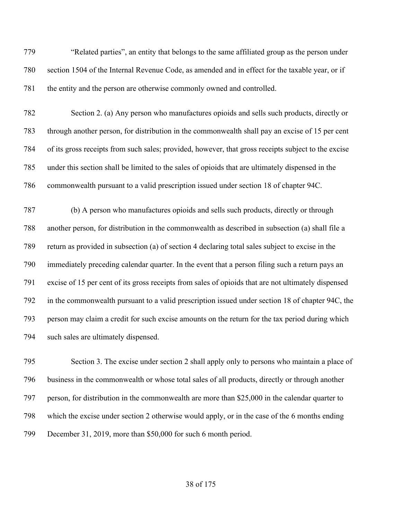"Related parties", an entity that belongs to the same affiliated group as the person under section 1504 of the Internal Revenue Code, as amended and in effect for the taxable year, or if the entity and the person are otherwise commonly owned and controlled.

 Section 2. (a) Any person who manufactures opioids and sells such products, directly or through another person, for distribution in the commonwealth shall pay an excise of 15 per cent of its gross receipts from such sales; provided, however, that gross receipts subject to the excise under this section shall be limited to the sales of opioids that are ultimately dispensed in the commonwealth pursuant to a valid prescription issued under section 18 of chapter 94C.

 (b) A person who manufactures opioids and sells such products, directly or through another person, for distribution in the commonwealth as described in subsection (a) shall file a return as provided in subsection (a) of section 4 declaring total sales subject to excise in the immediately preceding calendar quarter. In the event that a person filing such a return pays an excise of 15 per cent of its gross receipts from sales of opioids that are not ultimately dispensed in the commonwealth pursuant to a valid prescription issued under section 18 of chapter 94C, the person may claim a credit for such excise amounts on the return for the tax period during which 794 such sales are ultimately dispensed.

 Section 3. The excise under section 2 shall apply only to persons who maintain a place of business in the commonwealth or whose total sales of all products, directly or through another person, for distribution in the commonwealth are more than \$25,000 in the calendar quarter to which the excise under section 2 otherwise would apply, or in the case of the 6 months ending December 31, 2019, more than \$50,000 for such 6 month period.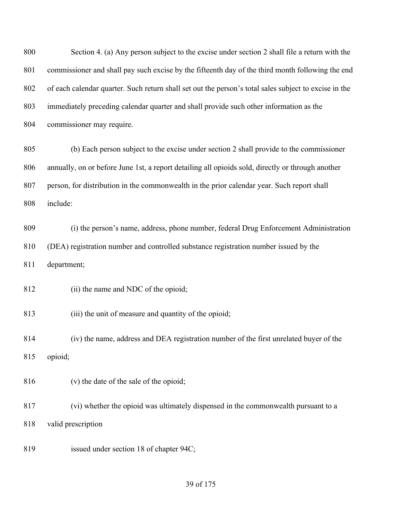of 175 Section 4. (a) Any person subject to the excise under section 2 shall file a return with the commissioner and shall pay such excise by the fifteenth day of the third month following the end of each calendar quarter. Such return shall set out the person's total sales subject to excise in the immediately preceding calendar quarter and shall provide such other information as the commissioner may require. (b) Each person subject to the excise under section 2 shall provide to the commissioner annually, on or before June 1st, a report detailing all opioids sold, directly or through another person, for distribution in the commonwealth in the prior calendar year. Such report shall include: (i) the person's name, address, phone number, federal Drug Enforcement Administration (DEA) registration number and controlled substance registration number issued by the department; (ii) the name and NDC of the opioid; 813 (iii) the unit of measure and quantity of the opioid; (iv) the name, address and DEA registration number of the first unrelated buyer of the opioid; (v) the date of the sale of the opioid; (vi) whether the opioid was ultimately dispensed in the commonwealth pursuant to a valid prescription issued under section 18 of chapter 94C;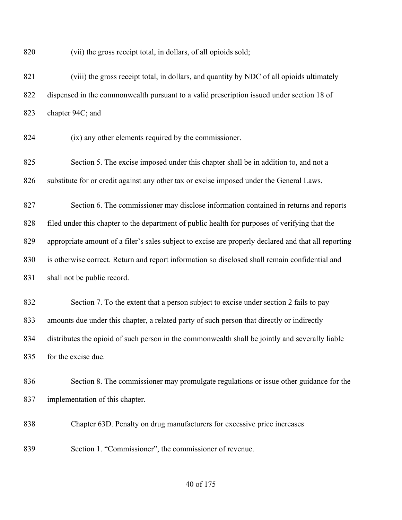(vii) the gross receipt total, in dollars, of all opioids sold;

 (viii) the gross receipt total, in dollars, and quantity by NDC of all opioids ultimately dispensed in the commonwealth pursuant to a valid prescription issued under section 18 of chapter 94C; and

(ix) any other elements required by the commissioner.

 Section 5. The excise imposed under this chapter shall be in addition to, and not a 826 substitute for or credit against any other tax or excise imposed under the General Laws.

 Section 6. The commissioner may disclose information contained in returns and reports filed under this chapter to the department of public health for purposes of verifying that the appropriate amount of a filer's sales subject to excise are properly declared and that all reporting is otherwise correct. Return and report information so disclosed shall remain confidential and shall not be public record.

 Section 7. To the extent that a person subject to excise under section 2 fails to pay amounts due under this chapter, a related party of such person that directly or indirectly distributes the opioid of such person in the commonwealth shall be jointly and severally liable for the excise due.

 Section 8. The commissioner may promulgate regulations or issue other guidance for the implementation of this chapter.

Chapter 63D. Penalty on drug manufacturers for excessive price increases

Section 1. "Commissioner", the commissioner of revenue.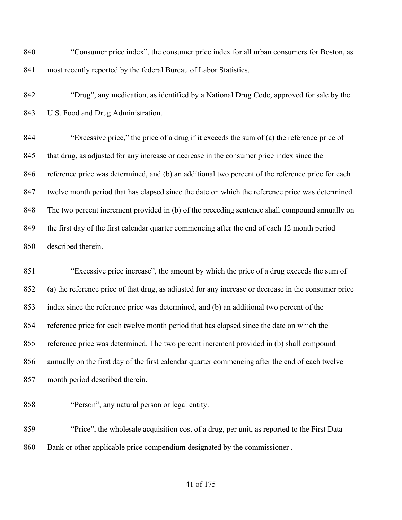"Consumer price index", the consumer price index for all urban consumers for Boston, as most recently reported by the federal Bureau of Labor Statistics.

 "Drug", any medication, as identified by a National Drug Code, approved for sale by the U.S. Food and Drug Administration.

 "Excessive price," the price of a drug if it exceeds the sum of (a) the reference price of that drug, as adjusted for any increase or decrease in the consumer price index since the reference price was determined, and (b) an additional two percent of the reference price for each twelve month period that has elapsed since the date on which the reference price was determined. The two percent increment provided in (b) of the preceding sentence shall compound annually on the first day of the first calendar quarter commencing after the end of each 12 month period described therein.

 "Excessive price increase", the amount by which the price of a drug exceeds the sum of (a) the reference price of that drug, as adjusted for any increase or decrease in the consumer price index since the reference price was determined, and (b) an additional two percent of the reference price for each twelve month period that has elapsed since the date on which the reference price was determined. The two percent increment provided in (b) shall compound annually on the first day of the first calendar quarter commencing after the end of each twelve month period described therein.

"Person", any natural person or legal entity.

 "Price", the wholesale acquisition cost of a drug, per unit, as reported to the First Data Bank or other applicable price compendium designated by the commissioner .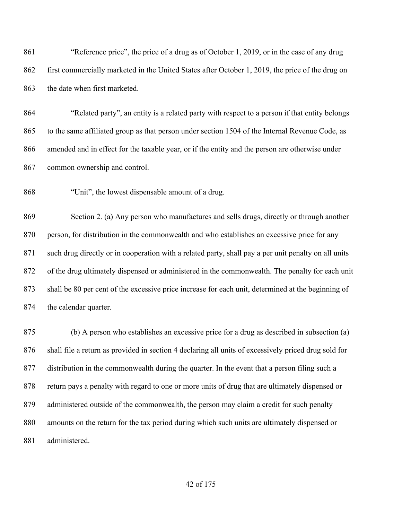"Reference price", the price of a drug as of October 1, 2019, or in the case of any drug first commercially marketed in the United States after October 1, 2019, the price of the drug on the date when first marketed.

 "Related party", an entity is a related party with respect to a person if that entity belongs to the same affiliated group as that person under section 1504 of the Internal Revenue Code, as amended and in effect for the taxable year, or if the entity and the person are otherwise under common ownership and control.

"Unit", the lowest dispensable amount of a drug.

 Section 2. (a) Any person who manufactures and sells drugs, directly or through another person, for distribution in the commonwealth and who establishes an excessive price for any such drug directly or in cooperation with a related party, shall pay a per unit penalty on all units of the drug ultimately dispensed or administered in the commonwealth. The penalty for each unit shall be 80 per cent of the excessive price increase for each unit, determined at the beginning of the calendar quarter.

 (b) A person who establishes an excessive price for a drug as described in subsection (a) shall file a return as provided in section 4 declaring all units of excessively priced drug sold for distribution in the commonwealth during the quarter. In the event that a person filing such a return pays a penalty with regard to one or more units of drug that are ultimately dispensed or administered outside of the commonwealth, the person may claim a credit for such penalty amounts on the return for the tax period during which such units are ultimately dispensed or administered.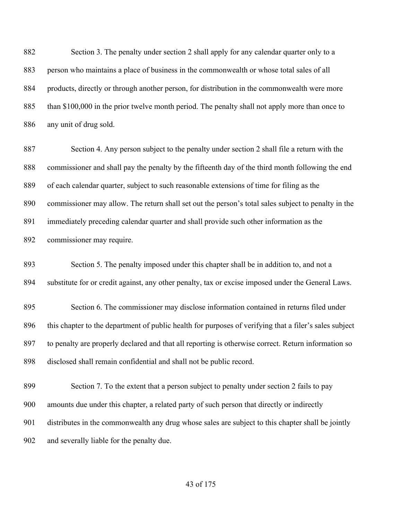Section 3. The penalty under section 2 shall apply for any calendar quarter only to a person who maintains a place of business in the commonwealth or whose total sales of all products, directly or through another person, for distribution in the commonwealth were more than \$100,000 in the prior twelve month period. The penalty shall not apply more than once to any unit of drug sold.

 Section 4. Any person subject to the penalty under section 2 shall file a return with the commissioner and shall pay the penalty by the fifteenth day of the third month following the end of each calendar quarter, subject to such reasonable extensions of time for filing as the commissioner may allow. The return shall set out the person's total sales subject to penalty in the immediately preceding calendar quarter and shall provide such other information as the commissioner may require.

 Section 5. The penalty imposed under this chapter shall be in addition to, and not a substitute for or credit against, any other penalty, tax or excise imposed under the General Laws.

 Section 6. The commissioner may disclose information contained in returns filed under this chapter to the department of public health for purposes of verifying that a filer's sales subject to penalty are properly declared and that all reporting is otherwise correct. Return information so disclosed shall remain confidential and shall not be public record.

 Section 7. To the extent that a person subject to penalty under section 2 fails to pay amounts due under this chapter, a related party of such person that directly or indirectly distributes in the commonwealth any drug whose sales are subject to this chapter shall be jointly and severally liable for the penalty due.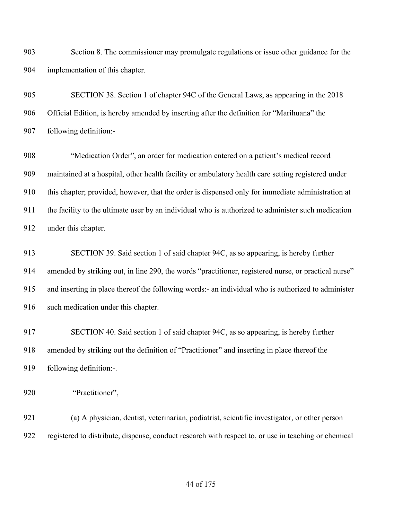Section 8. The commissioner may promulgate regulations or issue other guidance for the implementation of this chapter.

 SECTION 38. Section 1 of chapter 94C of the General Laws, as appearing in the 2018 Official Edition, is hereby amended by inserting after the definition for "Marihuana" the following definition:-

 "Medication Order", an order for medication entered on a patient's medical record maintained at a hospital, other health facility or ambulatory health care setting registered under this chapter; provided, however, that the order is dispensed only for immediate administration at the facility to the ultimate user by an individual who is authorized to administer such medication under this chapter.

 SECTION 39. Said section 1 of said chapter 94C, as so appearing, is hereby further amended by striking out, in line 290, the words "practitioner, registered nurse, or practical nurse" and inserting in place thereof the following words:- an individual who is authorized to administer 916 such medication under this chapter.

 SECTION 40. Said section 1 of said chapter 94C, as so appearing, is hereby further amended by striking out the definition of "Practitioner" and inserting in place thereof the following definition:-.

"Practitioner",

 (a) A physician, dentist, veterinarian, podiatrist, scientific investigator, or other person registered to distribute, dispense, conduct research with respect to, or use in teaching or chemical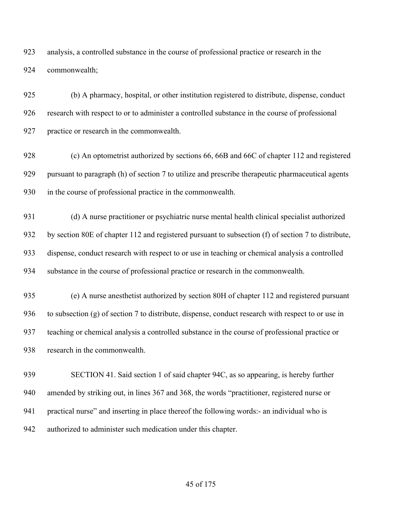analysis, a controlled substance in the course of professional practice or research in the commonwealth;

 (b) A pharmacy, hospital, or other institution registered to distribute, dispense, conduct research with respect to or to administer a controlled substance in the course of professional practice or research in the commonwealth.

 (c) An optometrist authorized by sections 66, 66B and 66C of chapter 112 and registered pursuant to paragraph (h) of section 7 to utilize and prescribe therapeutic pharmaceutical agents in the course of professional practice in the commonwealth.

 (d) A nurse practitioner or psychiatric nurse mental health clinical specialist authorized by section 80E of chapter 112 and registered pursuant to subsection (f) of section 7 to distribute, dispense, conduct research with respect to or use in teaching or chemical analysis a controlled substance in the course of professional practice or research in the commonwealth.

 (e) A nurse anesthetist authorized by section 80H of chapter 112 and registered pursuant to subsection (g) of section 7 to distribute, dispense, conduct research with respect to or use in teaching or chemical analysis a controlled substance in the course of professional practice or research in the commonwealth.

 SECTION 41. Said section 1 of said chapter 94C, as so appearing, is hereby further amended by striking out, in lines 367 and 368, the words "practitioner, registered nurse or practical nurse" and inserting in place thereof the following words:- an individual who is authorized to administer such medication under this chapter.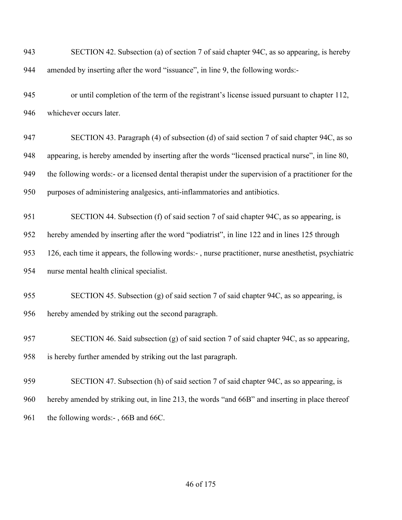| 943 | SECTION 42. Subsection (a) of section 7 of said chapter 94C, as so appearing, is hereby              |
|-----|------------------------------------------------------------------------------------------------------|
| 944 | amended by inserting after the word "issuance", in line 9, the following words:-                     |
| 945 | or until completion of the term of the registrant's license issued pursuant to chapter 112,          |
| 946 | whichever occurs later.                                                                              |
| 947 | SECTION 43. Paragraph (4) of subsection (d) of said section 7 of said chapter 94C, as so             |
| 948 | appearing, is hereby amended by inserting after the words "licensed practical nurse", in line 80,    |
| 949 | the following words:- or a licensed dental therapist under the supervision of a practitioner for the |
| 950 | purposes of administering analgesics, anti-inflammatories and antibiotics.                           |
| 951 | SECTION 44. Subsection (f) of said section 7 of said chapter 94C, as so appearing, is                |
| 952 | hereby amended by inserting after the word "podiatrist", in line 122 and in lines 125 through        |
| 953 | 126, each time it appears, the following words:-, nurse practitioner, nurse anesthetist, psychiatric |
| 954 | nurse mental health clinical specialist.                                                             |
| 955 | SECTION 45. Subsection (g) of said section 7 of said chapter 94C, as so appearing, is                |
| 956 | hereby amended by striking out the second paragraph.                                                 |
| 957 | SECTION 46. Said subsection (g) of said section 7 of said chapter 94C, as so appearing,              |
| 958 | is hereby further amended by striking out the last paragraph.                                        |
| 959 | SECTION 47. Subsection (h) of said section 7 of said chapter 94C, as so appearing, is                |
| 960 | hereby amended by striking out, in line 213, the words "and 66B" and inserting in place thereof      |
| 961 | the following words:-, 66B and 66C.                                                                  |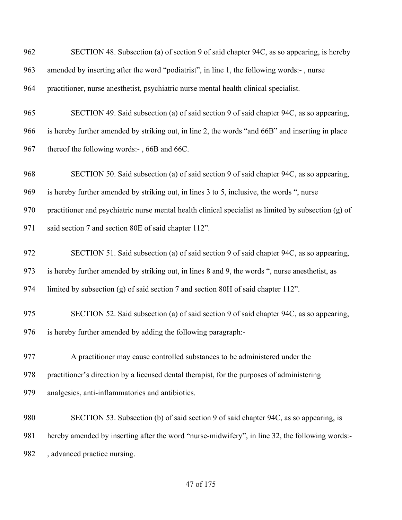| 962 | SECTION 48. Subsection (a) of section 9 of said chapter 94C, as so appearing, is hereby              |
|-----|------------------------------------------------------------------------------------------------------|
| 963 | amended by inserting after the word "podiatrist", in line 1, the following words:-, nurse            |
| 964 | practitioner, nurse anesthetist, psychiatric nurse mental health clinical specialist.                |
| 965 | SECTION 49. Said subsection (a) of said section 9 of said chapter 94C, as so appearing,              |
| 966 | is hereby further amended by striking out, in line 2, the words "and 66B" and inserting in place     |
| 967 | thereof the following words:-, 66B and 66C.                                                          |
| 968 | SECTION 50. Said subsection (a) of said section 9 of said chapter 94C, as so appearing,              |
| 969 | is hereby further amended by striking out, in lines 3 to 5, inclusive, the words ", nurse            |
| 970 | practitioner and psychiatric nurse mental health clinical specialist as limited by subsection (g) of |
| 971 | said section 7 and section 80E of said chapter 112".                                                 |
| 972 | SECTION 51. Said subsection (a) of said section 9 of said chapter 94C, as so appearing,              |
| 973 | is hereby further amended by striking out, in lines 8 and 9, the words ", nurse anesthetist, as      |
| 974 | limited by subsection (g) of said section 7 and section 80H of said chapter 112".                    |
| 975 | SECTION 52. Said subsection (a) of said section 9 of said chapter 94C, as so appearing,              |
| 976 | is hereby further amended by adding the following paragraph:-                                        |
| 977 | A practitioner may cause controlled substances to be administered under the                          |
| 978 | practitioner's direction by a licensed dental therapist, for the purposes of administering           |
| 979 | analgesics, anti-inflammatories and antibiotics.                                                     |
| 980 | SECTION 53. Subsection (b) of said section 9 of said chapter 94C, as so appearing, is                |
| 981 | hereby amended by inserting after the word "nurse-midwifery", in line 32, the following words:-      |
| 982 | , advanced practice nursing.                                                                         |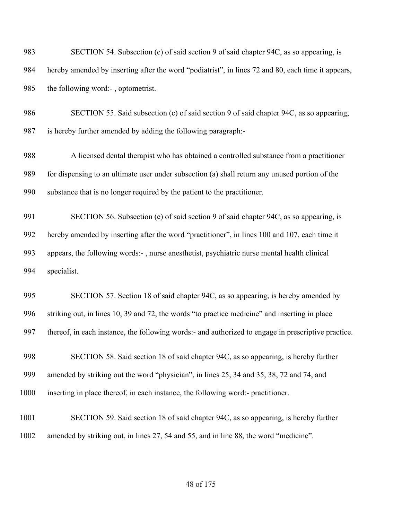| 983  | SECTION 54. Subsection (c) of said section 9 of said chapter 94C, as so appearing, is               |
|------|-----------------------------------------------------------------------------------------------------|
| 984  | hereby amended by inserting after the word "podiatrist", in lines 72 and 80, each time it appears,  |
| 985  | the following word:-, optometrist.                                                                  |
| 986  | SECTION 55. Said subsection (c) of said section 9 of said chapter 94C, as so appearing,             |
| 987  | is hereby further amended by adding the following paragraph:-                                       |
| 988  | A licensed dental therapist who has obtained a controlled substance from a practitioner             |
| 989  | for dispensing to an ultimate user under subsection (a) shall return any unused portion of the      |
| 990  | substance that is no longer required by the patient to the practitioner.                            |
| 991  | SECTION 56. Subsection (e) of said section 9 of said chapter 94C, as so appearing, is               |
| 992  | hereby amended by inserting after the word "practitioner", in lines 100 and 107, each time it       |
| 993  | appears, the following words:-, nurse anesthetist, psychiatric nurse mental health clinical         |
| 994  | specialist.                                                                                         |
| 995  | SECTION 57. Section 18 of said chapter 94C, as so appearing, is hereby amended by                   |
| 996  | striking out, in lines 10, 39 and 72, the words "to practice medicine" and inserting in place       |
| 997  | thereof, in each instance, the following words:- and authorized to engage in prescriptive practice. |
| 998  | SECTION 58. Said section 18 of said chapter 94C, as so appearing, is hereby further                 |
| 999  | amended by striking out the word "physician", in lines 25, 34 and 35, 38, 72 and 74, and            |
| 1000 | inserting in place thereof, in each instance, the following word:- practitioner.                    |
| 1001 | SECTION 59. Said section 18 of said chapter 94C, as so appearing, is hereby further                 |
| 1002 | amended by striking out, in lines 27, 54 and 55, and in line 88, the word "medicine".               |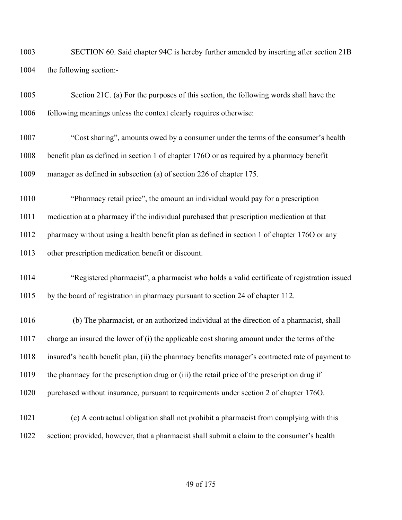SECTION 60. Said chapter 94C is hereby further amended by inserting after section 21B the following section:-

| 1005 | Section 21C. (a) For the purposes of this section, the following words shall have the             |
|------|---------------------------------------------------------------------------------------------------|
| 1006 | following meanings unless the context clearly requires otherwise:                                 |
| 1007 | "Cost sharing", amounts owed by a consumer under the terms of the consumer's health               |
| 1008 | benefit plan as defined in section 1 of chapter 1760 or as required by a pharmacy benefit         |
| 1009 | manager as defined in subsection (a) of section 226 of chapter 175.                               |
| 1010 | "Pharmacy retail price", the amount an individual would pay for a prescription                    |
| 1011 | medication at a pharmacy if the individual purchased that prescription medication at that         |
| 1012 | pharmacy without using a health benefit plan as defined in section 1 of chapter 1760 or any       |
| 1013 | other prescription medication benefit or discount.                                                |
| 1014 | "Registered pharmacist", a pharmacist who holds a valid certificate of registration issued        |
| 1015 | by the board of registration in pharmacy pursuant to section 24 of chapter 112.                   |
| 1016 | (b) The pharmacist, or an authorized individual at the direction of a pharmacist, shall           |
| 1017 | charge an insured the lower of (i) the applicable cost sharing amount under the terms of the      |
| 1018 | insured's health benefit plan, (ii) the pharmacy benefits manager's contracted rate of payment to |
| 1019 | the pharmacy for the prescription drug or (iii) the retail price of the prescription drug if      |
| 1020 | purchased without insurance, pursuant to requirements under section 2 of chapter 1760.            |
| 1021 | (c) A contractual obligation shall not prohibit a pharmacist from complying with this             |
| 1022 | section; provided, however, that a pharmacist shall submit a claim to the consumer's health       |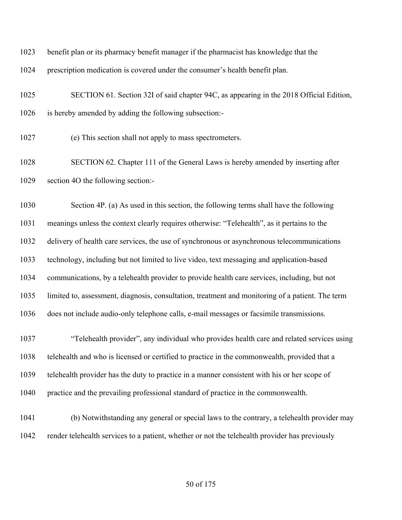- benefit plan or its pharmacy benefit manager if the pharmacist has knowledge that the
- prescription medication is covered under the consumer's health benefit plan.
- SECTION 61. Section 32I of said chapter 94C, as appearing in the 2018 Official Edition, is hereby amended by adding the following subsection:-
- (e) This section shall not apply to mass spectrometers.
- SECTION 62. Chapter 111 of the General Laws is hereby amended by inserting after section 4O the following section:-

 Section 4P. (a) As used in this section, the following terms shall have the following meanings unless the context clearly requires otherwise: "Telehealth", as it pertains to the delivery of health care services, the use of synchronous or asynchronous telecommunications technology, including but not limited to live video, text messaging and application-based communications, by a telehealth provider to provide health care services, including, but not limited to, assessment, diagnosis, consultation, treatment and monitoring of a patient. The term does not include audio-only telephone calls, e-mail messages or facsimile transmissions.

 "Telehealth provider", any individual who provides health care and related services using telehealth and who is licensed or certified to practice in the commonwealth, provided that a telehealth provider has the duty to practice in a manner consistent with his or her scope of practice and the prevailing professional standard of practice in the commonwealth.

 (b) Notwithstanding any general or special laws to the contrary, a telehealth provider may render telehealth services to a patient, whether or not the telehealth provider has previously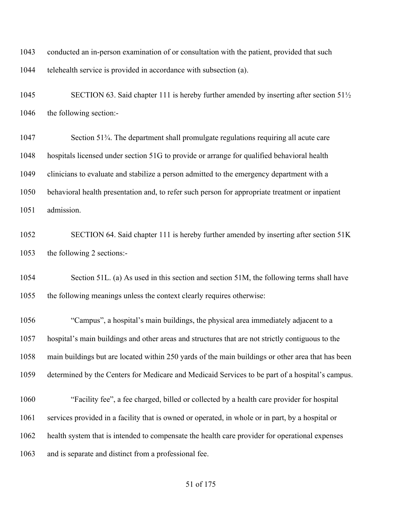conducted an in-person examination of or consultation with the patient, provided that such telehealth service is provided in accordance with subsection (a).

1045 SECTION 63. Said chapter 111 is hereby further amended by inserting after section 51<sup>1</sup>/<sub>2</sub> the following section:-

 Section 51¾. The department shall promulgate regulations requiring all acute care hospitals licensed under section 51G to provide or arrange for qualified behavioral health clinicians to evaluate and stabilize a person admitted to the emergency department with a behavioral health presentation and, to refer such person for appropriate treatment or inpatient admission.

 SECTION 64. Said chapter 111 is hereby further amended by inserting after section 51K the following 2 sections:-

 Section 51L. (a) As used in this section and section 51M, the following terms shall have the following meanings unless the context clearly requires otherwise:

 "Campus", a hospital's main buildings, the physical area immediately adjacent to a hospital's main buildings and other areas and structures that are not strictly contiguous to the main buildings but are located within 250 yards of the main buildings or other area that has been determined by the Centers for Medicare and Medicaid Services to be part of a hospital's campus.

 "Facility fee", a fee charged, billed or collected by a health care provider for hospital services provided in a facility that is owned or operated, in whole or in part, by a hospital or health system that is intended to compensate the health care provider for operational expenses and is separate and distinct from a professional fee.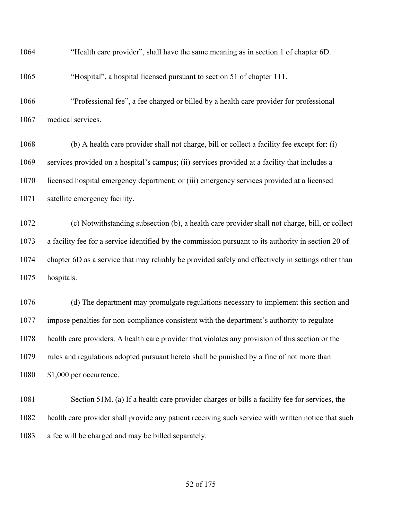"Health care provider", shall have the same meaning as in section 1 of chapter 6D.

"Hospital", a hospital licensed pursuant to section 51 of chapter 111.

 "Professional fee", a fee charged or billed by a health care provider for professional medical services.

 (b) A health care provider shall not charge, bill or collect a facility fee except for: (i) services provided on a hospital's campus; (ii) services provided at a facility that includes a licensed hospital emergency department; or (iii) emergency services provided at a licensed satellite emergency facility.

 (c) Notwithstanding subsection (b), a health care provider shall not charge, bill, or collect a facility fee for a service identified by the commission pursuant to its authority in section 20 of chapter 6D as a service that may reliably be provided safely and effectively in settings other than hospitals.

 (d) The department may promulgate regulations necessary to implement this section and impose penalties for non-compliance consistent with the department's authority to regulate health care providers. A health care provider that violates any provision of this section or the rules and regulations adopted pursuant hereto shall be punished by a fine of not more than \$1,000 per occurrence.

 Section 51M. (a) If a health care provider charges or bills a facility fee for services, the health care provider shall provide any patient receiving such service with written notice that such a fee will be charged and may be billed separately.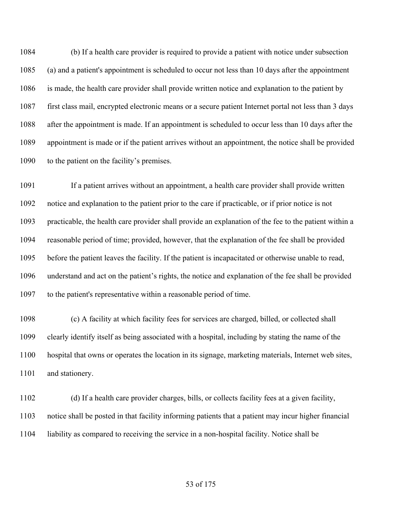(b) If a health care provider is required to provide a patient with notice under subsection (a) and a patient's appointment is scheduled to occur not less than 10 days after the appointment is made, the health care provider shall provide written notice and explanation to the patient by first class mail, encrypted electronic means or a secure patient Internet portal not less than 3 days after the appointment is made. If an appointment is scheduled to occur less than 10 days after the appointment is made or if the patient arrives without an appointment, the notice shall be provided to the patient on the facility's premises.

 If a patient arrives without an appointment, a health care provider shall provide written notice and explanation to the patient prior to the care if practicable, or if prior notice is not practicable, the health care provider shall provide an explanation of the fee to the patient within a reasonable period of time; provided, however, that the explanation of the fee shall be provided before the patient leaves the facility. If the patient is incapacitated or otherwise unable to read, understand and act on the patient's rights, the notice and explanation of the fee shall be provided to the patient's representative within a reasonable period of time.

 (c) A facility at which facility fees for services are charged, billed, or collected shall clearly identify itself as being associated with a hospital, including by stating the name of the hospital that owns or operates the location in its signage, marketing materials, Internet web sites, 1101 and stationery.

 (d) If a health care provider charges, bills, or collects facility fees at a given facility, notice shall be posted in that facility informing patients that a patient may incur higher financial liability as compared to receiving the service in a non-hospital facility. Notice shall be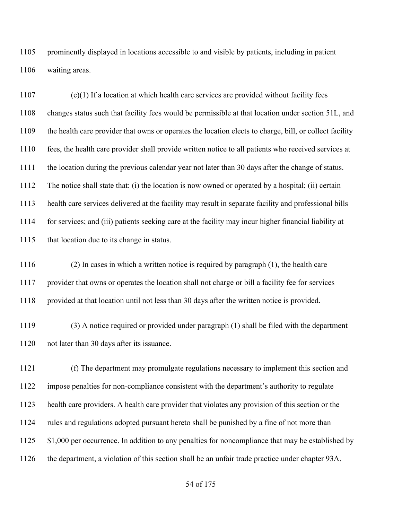prominently displayed in locations accessible to and visible by patients, including in patient waiting areas.

 (e)(1) If a location at which health care services are provided without facility fees changes status such that facility fees would be permissible at that location under section 51L, and the health care provider that owns or operates the location elects to charge, bill, or collect facility fees, the health care provider shall provide written notice to all patients who received services at the location during the previous calendar year not later than 30 days after the change of status. The notice shall state that: (i) the location is now owned or operated by a hospital; (ii) certain health care services delivered at the facility may result in separate facility and professional bills for services; and (iii) patients seeking care at the facility may incur higher financial liability at 1115 that location due to its change in status.

 (2) In cases in which a written notice is required by paragraph (1), the health care provider that owns or operates the location shall not charge or bill a facility fee for services provided at that location until not less than 30 days after the written notice is provided.

 (3) A notice required or provided under paragraph (1) shall be filed with the department not later than 30 days after its issuance.

 (f) The department may promulgate regulations necessary to implement this section and impose penalties for non-compliance consistent with the department's authority to regulate health care providers. A health care provider that violates any provision of this section or the rules and regulations adopted pursuant hereto shall be punished by a fine of not more than 1125 \$1,000 per occurrence. In addition to any penalties for noncompliance that may be established by the department, a violation of this section shall be an unfair trade practice under chapter 93A.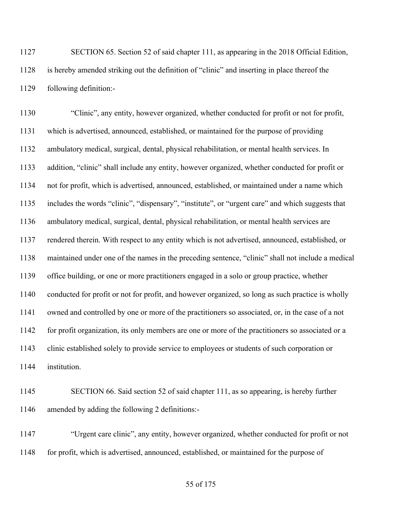SECTION 65. Section 52 of said chapter 111, as appearing in the 2018 Official Edition, is hereby amended striking out the definition of "clinic" and inserting in place thereof the following definition:-

 "Clinic", any entity, however organized, whether conducted for profit or not for profit, which is advertised, announced, established, or maintained for the purpose of providing ambulatory medical, surgical, dental, physical rehabilitation, or mental health services. In addition, "clinic" shall include any entity, however organized, whether conducted for profit or not for profit, which is advertised, announced, established, or maintained under a name which includes the words "clinic", "dispensary", "institute", or "urgent care" and which suggests that ambulatory medical, surgical, dental, physical rehabilitation, or mental health services are rendered therein. With respect to any entity which is not advertised, announced, established, or maintained under one of the names in the preceding sentence, "clinic" shall not include a medical office building, or one or more practitioners engaged in a solo or group practice, whether conducted for profit or not for profit, and however organized, so long as such practice is wholly owned and controlled by one or more of the practitioners so associated, or, in the case of a not for profit organization, its only members are one or more of the practitioners so associated or a clinic established solely to provide service to employees or students of such corporation or institution.

 SECTION 66. Said section 52 of said chapter 111, as so appearing, is hereby further amended by adding the following 2 definitions:-

 "Urgent care clinic", any entity, however organized, whether conducted for profit or not for profit, which is advertised, announced, established, or maintained for the purpose of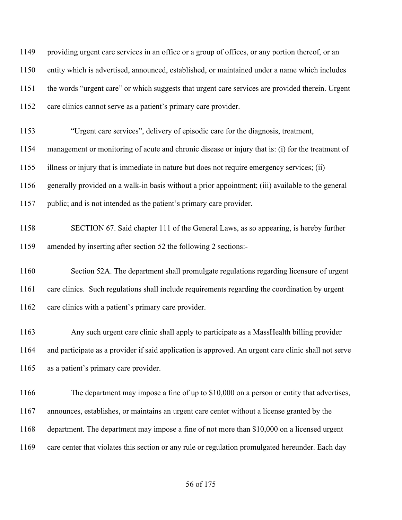providing urgent care services in an office or a group of offices, or any portion thereof, or an entity which is advertised, announced, established, or maintained under a name which includes the words "urgent care" or which suggests that urgent care services are provided therein. Urgent 1152 care clinics cannot serve as a patient's primary care provider.

"Urgent care services", delivery of episodic care for the diagnosis, treatment,

management or monitoring of acute and chronic disease or injury that is: (i) for the treatment of

illness or injury that is immediate in nature but does not require emergency services; (ii)

generally provided on a walk-in basis without a prior appointment; (iii) available to the general

- public; and is not intended as the patient's primary care provider.
- SECTION 67. Said chapter 111 of the General Laws, as so appearing, is hereby further amended by inserting after section 52 the following 2 sections:-

 Section 52A. The department shall promulgate regulations regarding licensure of urgent care clinics. Such regulations shall include requirements regarding the coordination by urgent 1162 care clinics with a patient's primary care provider.

 Any such urgent care clinic shall apply to participate as a MassHealth billing provider and participate as a provider if said application is approved. An urgent care clinic shall not serve as a patient's primary care provider.

 The department may impose a fine of up to \$10,000 on a person or entity that advertises, announces, establishes, or maintains an urgent care center without a license granted by the department. The department may impose a fine of not more than \$10,000 on a licensed urgent care center that violates this section or any rule or regulation promulgated hereunder. Each day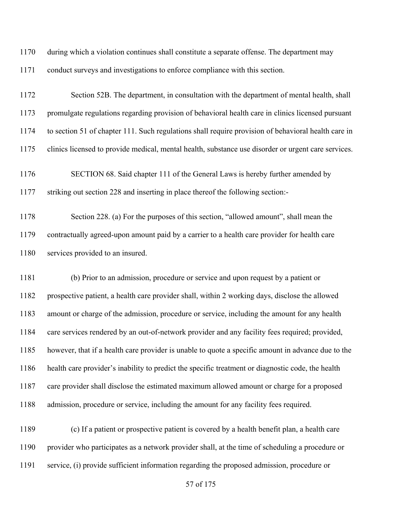- during which a violation continues shall constitute a separate offense. The department may
- conduct surveys and investigations to enforce compliance with this section.

# Section 52B. The department, in consultation with the department of mental health, shall promulgate regulations regarding provision of behavioral health care in clinics licensed pursuant to section 51 of chapter 111. Such regulations shall require provision of behavioral health care in clinics licensed to provide medical, mental health, substance use disorder or urgent care services.

 SECTION 68. Said chapter 111 of the General Laws is hereby further amended by striking out section 228 and inserting in place thereof the following section:-

 Section 228. (a) For the purposes of this section, "allowed amount", shall mean the contractually agreed-upon amount paid by a carrier to a health care provider for health care 1180 services provided to an insured.

 (b) Prior to an admission, procedure or service and upon request by a patient or prospective patient, a health care provider shall, within 2 working days, disclose the allowed amount or charge of the admission, procedure or service, including the amount for any health care services rendered by an out-of-network provider and any facility fees required; provided, however, that if a health care provider is unable to quote a specific amount in advance due to the health care provider's inability to predict the specific treatment or diagnostic code, the health care provider shall disclose the estimated maximum allowed amount or charge for a proposed admission, procedure or service, including the amount for any facility fees required.

 (c) If a patient or prospective patient is covered by a health benefit plan, a health care provider who participates as a network provider shall, at the time of scheduling a procedure or service, (i) provide sufficient information regarding the proposed admission, procedure or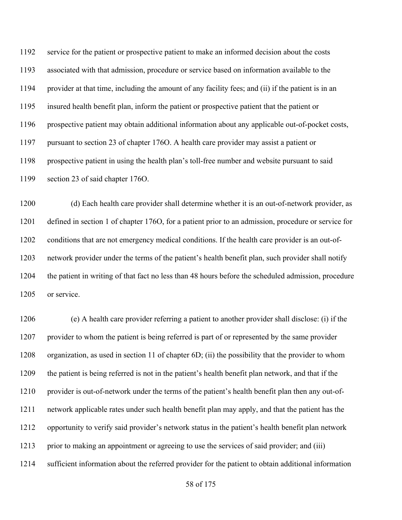service for the patient or prospective patient to make an informed decision about the costs associated with that admission, procedure or service based on information available to the provider at that time, including the amount of any facility fees; and (ii) if the patient is in an insured health benefit plan, inform the patient or prospective patient that the patient or prospective patient may obtain additional information about any applicable out-of-pocket costs, pursuant to section 23 of chapter 176O. A health care provider may assist a patient or prospective patient in using the health plan's toll-free number and website pursuant to said section 23 of said chapter 176O.

 (d) Each health care provider shall determine whether it is an out-of-network provider, as defined in section 1 of chapter 176O, for a patient prior to an admission, procedure or service for conditions that are not emergency medical conditions. If the health care provider is an out-of- network provider under the terms of the patient's health benefit plan, such provider shall notify the patient in writing of that fact no less than 48 hours before the scheduled admission, procedure 1205 or service.

 (e) A health care provider referring a patient to another provider shall disclose: (i) if the provider to whom the patient is being referred is part of or represented by the same provider organization, as used in section 11 of chapter 6D; (ii) the possibility that the provider to whom the patient is being referred is not in the patient's health benefit plan network, and that if the provider is out-of-network under the terms of the patient's health benefit plan then any out-of- network applicable rates under such health benefit plan may apply, and that the patient has the opportunity to verify said provider's network status in the patient's health benefit plan network prior to making an appointment or agreeing to use the services of said provider; and (iii) sufficient information about the referred provider for the patient to obtain additional information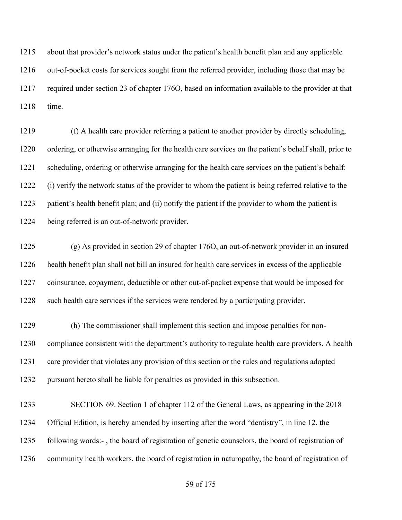about that provider's network status under the patient's health benefit plan and any applicable out-of-pocket costs for services sought from the referred provider, including those that may be required under section 23 of chapter 176O, based on information available to the provider at that time.

 (f) A health care provider referring a patient to another provider by directly scheduling, ordering, or otherwise arranging for the health care services on the patient's behalf shall, prior to scheduling, ordering or otherwise arranging for the health care services on the patient's behalf: (i) verify the network status of the provider to whom the patient is being referred relative to the patient's health benefit plan; and (ii) notify the patient if the provider to whom the patient is being referred is an out-of-network provider.

 (g) As provided in section 29 of chapter 176O, an out-of-network provider in an insured health benefit plan shall not bill an insured for health care services in excess of the applicable coinsurance, copayment, deductible or other out-of-pocket expense that would be imposed for 1228 such health care services if the services were rendered by a participating provider.

 (h) The commissioner shall implement this section and impose penalties for non- compliance consistent with the department's authority to regulate health care providers. A health care provider that violates any provision of this section or the rules and regulations adopted pursuant hereto shall be liable for penalties as provided in this subsection.

 SECTION 69. Section 1 of chapter 112 of the General Laws, as appearing in the 2018 Official Edition, is hereby amended by inserting after the word "dentistry", in line 12, the following words:- , the board of registration of genetic counselors, the board of registration of community health workers, the board of registration in naturopathy, the board of registration of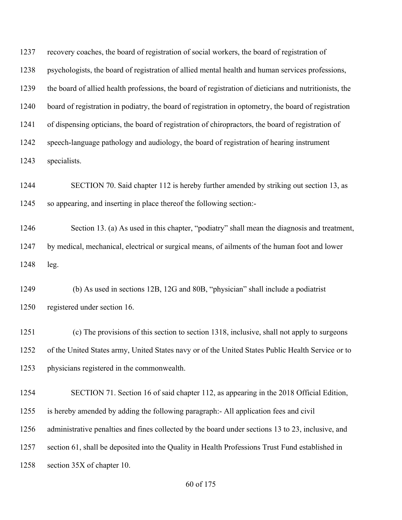recovery coaches, the board of registration of social workers, the board of registration of psychologists, the board of registration of allied mental health and human services professions, the board of allied health professions, the board of registration of dieticians and nutritionists, the board of registration in podiatry, the board of registration in optometry, the board of registration of dispensing opticians, the board of registration of chiropractors, the board of registration of speech-language pathology and audiology, the board of registration of hearing instrument specialists.

 SECTION 70. Said chapter 112 is hereby further amended by striking out section 13, as so appearing, and inserting in place thereof the following section:-

 Section 13. (a) As used in this chapter, "podiatry" shall mean the diagnosis and treatment, by medical, mechanical, electrical or surgical means, of ailments of the human foot and lower leg.

 (b) As used in sections 12B, 12G and 80B, "physician" shall include a podiatrist registered under section 16.

 (c) The provisions of this section to section 1318, inclusive, shall not apply to surgeons of the United States army, United States navy or of the United States Public Health Service or to physicians registered in the commonwealth.

 SECTION 71. Section 16 of said chapter 112, as appearing in the 2018 Official Edition, is hereby amended by adding the following paragraph:- All application fees and civil administrative penalties and fines collected by the board under sections 13 to 23, inclusive, and section 61, shall be deposited into the Quality in Health Professions Trust Fund established in section 35X of chapter 10.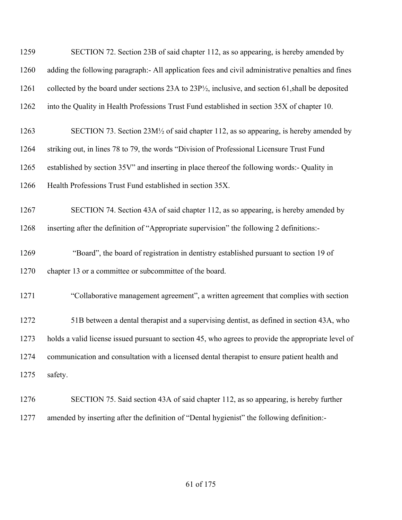| 1259 | SECTION 72. Section 23B of said chapter 112, as so appearing, is hereby amended by                             |
|------|----------------------------------------------------------------------------------------------------------------|
| 1260 | adding the following paragraph:- All application fees and civil administrative penalties and fines             |
| 1261 | collected by the board under sections 23A to $23P1/2$ , inclusive, and section 61, shall be deposited          |
| 1262 | into the Quality in Health Professions Trust Fund established in section 35X of chapter 10.                    |
| 1263 | SECTION 73. Section 23M <sup>1</sup> / <sub>2</sub> of said chapter 112, as so appearing, is hereby amended by |
| 1264 | striking out, in lines 78 to 79, the words "Division of Professional Licensure Trust Fund                      |
| 1265 | established by section 35V" and inserting in place thereof the following words:- Quality in                    |
| 1266 | Health Professions Trust Fund established in section 35X.                                                      |
| 1267 | SECTION 74. Section 43A of said chapter 112, as so appearing, is hereby amended by                             |
| 1268 | inserting after the definition of "Appropriate supervision" the following 2 definitions:-                      |
| 1269 | "Board", the board of registration in dentistry established pursuant to section 19 of                          |
| 1270 | chapter 13 or a committee or subcommittee of the board.                                                        |
| 1271 | "Collaborative management agreement", a written agreement that complies with section                           |
| 1272 | 51B between a dental therapist and a supervising dentist, as defined in section 43A, who                       |
| 1273 | holds a valid license issued pursuant to section 45, who agrees to provide the appropriate level of            |
| 1274 | communication and consultation with a licensed dental therapist to ensure patient health and                   |
| 1275 | safety.                                                                                                        |
| 1276 | SECTION 75. Said section 43A of said chapter 112, as so appearing, is hereby further                           |
| 1277 | amended by inserting after the definition of "Dental hygienist" the following definition:-                     |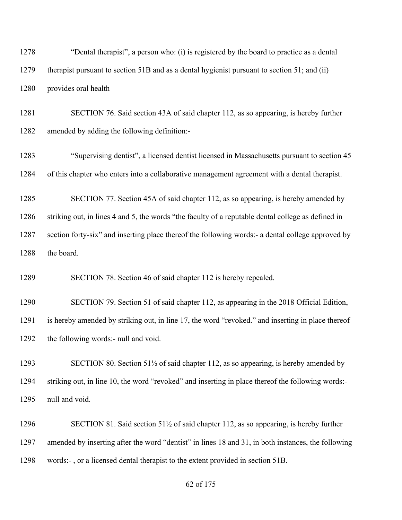"Dental therapist", a person who: (i) is registered by the board to practice as a dental therapist pursuant to section 51B and as a dental hygienist pursuant to section 51; and (ii) provides oral health

 SECTION 76. Said section 43A of said chapter 112, as so appearing, is hereby further amended by adding the following definition:-

 "Supervising dentist", a licensed dentist licensed in Massachusetts pursuant to section 45 of this chapter who enters into a collaborative management agreement with a dental therapist.

 SECTION 77. Section 45A of said chapter 112, as so appearing, is hereby amended by striking out, in lines 4 and 5, the words "the faculty of a reputable dental college as defined in section forty-six" and inserting place thereof the following words:- a dental college approved by 1288 the board.

SECTION 78. Section 46 of said chapter 112 is hereby repealed.

 SECTION 79. Section 51 of said chapter 112, as appearing in the 2018 Official Edition, is hereby amended by striking out, in line 17, the word "revoked." and inserting in place thereof the following words:- null and void.

1293 SECTION 80. Section 51<sup>1</sup>/<sub>2</sub> of said chapter 112, as so appearing, is hereby amended by striking out, in line 10, the word "revoked" and inserting in place thereof the following words:- null and void.

 SECTION 81. Said section 51½ of said chapter 112, as so appearing, is hereby further amended by inserting after the word "dentist" in lines 18 and 31, in both instances, the following words:- , or a licensed dental therapist to the extent provided in section 51B.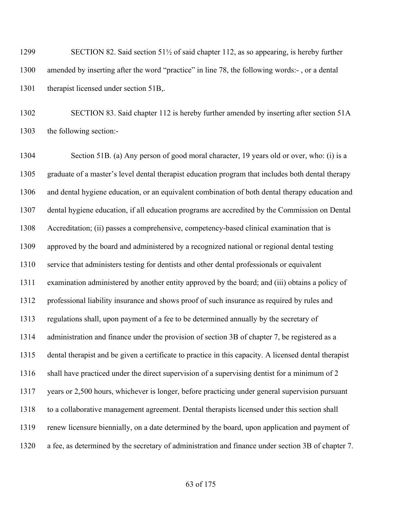SECTION 82. Said section 51½ of said chapter 112, as so appearing, is hereby further amended by inserting after the word "practice" in line 78, the following words:- , or a dental 1301 therapist licensed under section 51B,.

 SECTION 83. Said chapter 112 is hereby further amended by inserting after section 51A the following section:-

 Section 51B. (a) Any person of good moral character, 19 years old or over, who: (i) is a graduate of a master's level dental therapist education program that includes both dental therapy and dental hygiene education, or an equivalent combination of both dental therapy education and dental hygiene education, if all education programs are accredited by the Commission on Dental Accreditation; (ii) passes a comprehensive, competency-based clinical examination that is approved by the board and administered by a recognized national or regional dental testing service that administers testing for dentists and other dental professionals or equivalent examination administered by another entity approved by the board; and (iii) obtains a policy of professional liability insurance and shows proof of such insurance as required by rules and regulations shall, upon payment of a fee to be determined annually by the secretary of administration and finance under the provision of section 3B of chapter 7, be registered as a dental therapist and be given a certificate to practice in this capacity. A licensed dental therapist 1316 shall have practiced under the direct supervision of a supervising dentist for a minimum of 2 years or 2,500 hours, whichever is longer, before practicing under general supervision pursuant to a collaborative management agreement. Dental therapists licensed under this section shall renew licensure biennially, on a date determined by the board, upon application and payment of a fee, as determined by the secretary of administration and finance under section 3B of chapter 7.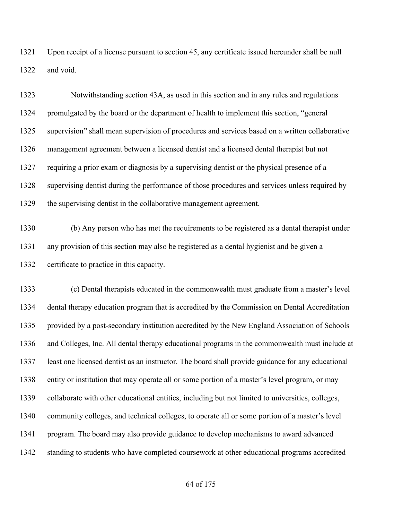Upon receipt of a license pursuant to section 45, any certificate issued hereunder shall be null and void.

| 1323 | Notwithstanding section 43A, as used in this section and in any rules and regulations           |
|------|-------------------------------------------------------------------------------------------------|
| 1324 | promulgated by the board or the department of health to implement this section, "general        |
| 1325 | supervision" shall mean supervision of procedures and services based on a written collaborative |
| 1326 | management agreement between a licensed dentist and a licensed dental therapist but not         |
| 1327 | requiring a prior exam or diagnosis by a supervising dentist or the physical presence of a      |
| 1328 | supervising dentist during the performance of those procedures and services unless required by  |
| 1329 | the supervising dentist in the collaborative management agreement.                              |

 (b) Any person who has met the requirements to be registered as a dental therapist under any provision of this section may also be registered as a dental hygienist and be given a certificate to practice in this capacity.

 (c) Dental therapists educated in the commonwealth must graduate from a master's level dental therapy education program that is accredited by the Commission on Dental Accreditation provided by a post-secondary institution accredited by the New England Association of Schools and Colleges, Inc. All dental therapy educational programs in the commonwealth must include at least one licensed dentist as an instructor. The board shall provide guidance for any educational entity or institution that may operate all or some portion of a master's level program, or may collaborate with other educational entities, including but not limited to universities, colleges, community colleges, and technical colleges, to operate all or some portion of a master's level program. The board may also provide guidance to develop mechanisms to award advanced standing to students who have completed coursework at other educational programs accredited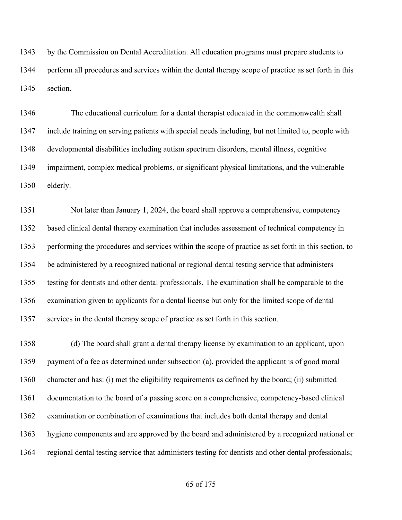by the Commission on Dental Accreditation. All education programs must prepare students to perform all procedures and services within the dental therapy scope of practice as set forth in this section.

 The educational curriculum for a dental therapist educated in the commonwealth shall include training on serving patients with special needs including, but not limited to, people with developmental disabilities including autism spectrum disorders, mental illness, cognitive impairment, complex medical problems, or significant physical limitations, and the vulnerable elderly.

 Not later than January 1, 2024, the board shall approve a comprehensive, competency based clinical dental therapy examination that includes assessment of technical competency in performing the procedures and services within the scope of practice as set forth in this section, to be administered by a recognized national or regional dental testing service that administers testing for dentists and other dental professionals. The examination shall be comparable to the examination given to applicants for a dental license but only for the limited scope of dental services in the dental therapy scope of practice as set forth in this section.

 (d) The board shall grant a dental therapy license by examination to an applicant, upon payment of a fee as determined under subsection (a), provided the applicant is of good moral character and has: (i) met the eligibility requirements as defined by the board; (ii) submitted documentation to the board of a passing score on a comprehensive, competency-based clinical examination or combination of examinations that includes both dental therapy and dental hygiene components and are approved by the board and administered by a recognized national or regional dental testing service that administers testing for dentists and other dental professionals;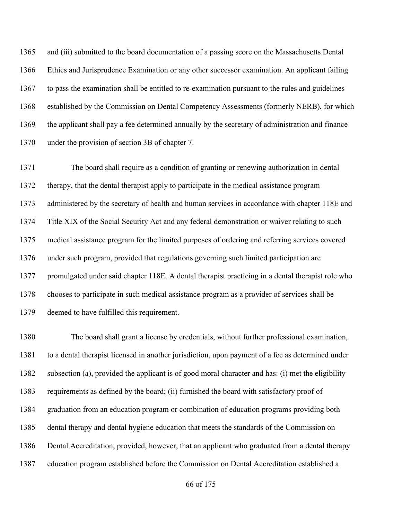and (iii) submitted to the board documentation of a passing score on the Massachusetts Dental Ethics and Jurisprudence Examination or any other successor examination. An applicant failing to pass the examination shall be entitled to re-examination pursuant to the rules and guidelines established by the Commission on Dental Competency Assessments (formerly NERB), for which the applicant shall pay a fee determined annually by the secretary of administration and finance under the provision of section 3B of chapter 7.

 The board shall require as a condition of granting or renewing authorization in dental therapy, that the dental therapist apply to participate in the medical assistance program administered by the secretary of health and human services in accordance with chapter 118E and Title XIX of the Social Security Act and any federal demonstration or waiver relating to such medical assistance program for the limited purposes of ordering and referring services covered under such program, provided that regulations governing such limited participation are promulgated under said chapter 118E. A dental therapist practicing in a dental therapist role who chooses to participate in such medical assistance program as a provider of services shall be deemed to have fulfilled this requirement.

 The board shall grant a license by credentials, without further professional examination, to a dental therapist licensed in another jurisdiction, upon payment of a fee as determined under subsection (a), provided the applicant is of good moral character and has: (i) met the eligibility requirements as defined by the board; (ii) furnished the board with satisfactory proof of graduation from an education program or combination of education programs providing both dental therapy and dental hygiene education that meets the standards of the Commission on Dental Accreditation, provided, however, that an applicant who graduated from a dental therapy education program established before the Commission on Dental Accreditation established a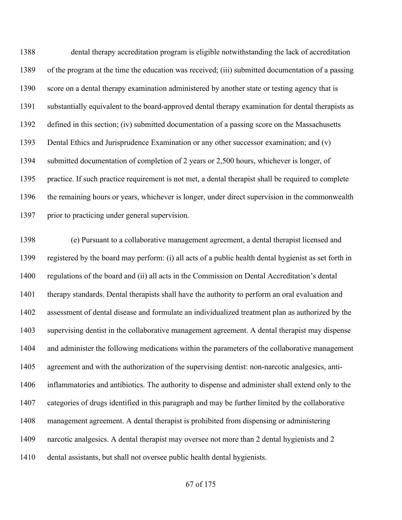dental therapy accreditation program is eligible notwithstanding the lack of accreditation of the program at the time the education was received; (iii) submitted documentation of a passing score on a dental therapy examination administered by another state or testing agency that is substantially equivalent to the board-approved dental therapy examination for dental therapists as defined in this section; (iv) submitted documentation of a passing score on the Massachusetts Dental Ethics and Jurisprudence Examination or any other successor examination; and (v) submitted documentation of completion of 2 years or 2,500 hours, whichever is longer, of practice. If such practice requirement is not met, a dental therapist shall be required to complete the remaining hours or years, whichever is longer, under direct supervision in the commonwealth 1397 prior to practicing under general supervision.

 (e) Pursuant to a collaborative management agreement, a dental therapist licensed and registered by the board may perform: (i) all acts of a public health dental hygienist as set forth in regulations of the board and (ii) all acts in the Commission on Dental Accreditation's dental therapy standards. Dental therapists shall have the authority to perform an oral evaluation and assessment of dental disease and formulate an individualized treatment plan as authorized by the supervising dentist in the collaborative management agreement. A dental therapist may dispense and administer the following medications within the parameters of the collaborative management agreement and with the authorization of the supervising dentist: non-narcotic analgesics, anti- inflammatories and antibiotics. The authority to dispense and administer shall extend only to the categories of drugs identified in this paragraph and may be further limited by the collaborative management agreement. A dental therapist is prohibited from dispensing or administering narcotic analgesics. A dental therapist may oversee not more than 2 dental hygienists and 2 dental assistants, but shall not oversee public health dental hygienists.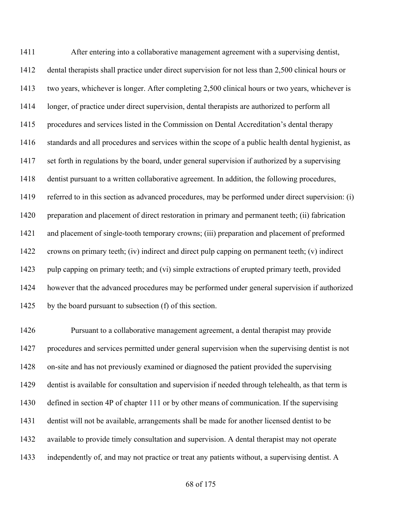After entering into a collaborative management agreement with a supervising dentist, dental therapists shall practice under direct supervision for not less than 2,500 clinical hours or two years, whichever is longer. After completing 2,500 clinical hours or two years, whichever is longer, of practice under direct supervision, dental therapists are authorized to perform all procedures and services listed in the Commission on Dental Accreditation's dental therapy standards and all procedures and services within the scope of a public health dental hygienist, as set forth in regulations by the board, under general supervision if authorized by a supervising dentist pursuant to a written collaborative agreement. In addition, the following procedures, referred to in this section as advanced procedures, may be performed under direct supervision: (i) preparation and placement of direct restoration in primary and permanent teeth; (ii) fabrication and placement of single-tooth temporary crowns; (iii) preparation and placement of preformed crowns on primary teeth; (iv) indirect and direct pulp capping on permanent teeth; (v) indirect pulp capping on primary teeth; and (vi) simple extractions of erupted primary teeth, provided however that the advanced procedures may be performed under general supervision if authorized 1425 by the board pursuant to subsection (f) of this section.

 Pursuant to a collaborative management agreement, a dental therapist may provide procedures and services permitted under general supervision when the supervising dentist is not on-site and has not previously examined or diagnosed the patient provided the supervising dentist is available for consultation and supervision if needed through telehealth, as that term is defined in section 4P of chapter 111 or by other means of communication. If the supervising dentist will not be available, arrangements shall be made for another licensed dentist to be available to provide timely consultation and supervision. A dental therapist may not operate independently of, and may not practice or treat any patients without, a supervising dentist. A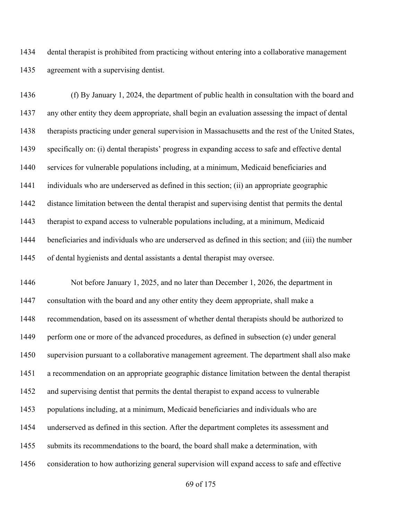dental therapist is prohibited from practicing without entering into a collaborative management agreement with a supervising dentist.

 (f) By January 1, 2024, the department of public health in consultation with the board and any other entity they deem appropriate, shall begin an evaluation assessing the impact of dental therapists practicing under general supervision in Massachusetts and the rest of the United States, specifically on: (i) dental therapists' progress in expanding access to safe and effective dental services for vulnerable populations including, at a minimum, Medicaid beneficiaries and individuals who are underserved as defined in this section; (ii) an appropriate geographic distance limitation between the dental therapist and supervising dentist that permits the dental therapist to expand access to vulnerable populations including, at a minimum, Medicaid beneficiaries and individuals who are underserved as defined in this section; and (iii) the number of dental hygienists and dental assistants a dental therapist may oversee.

 Not before January 1, 2025, and no later than December 1, 2026, the department in consultation with the board and any other entity they deem appropriate, shall make a recommendation, based on its assessment of whether dental therapists should be authorized to perform one or more of the advanced procedures, as defined in subsection (e) under general supervision pursuant to a collaborative management agreement. The department shall also make a recommendation on an appropriate geographic distance limitation between the dental therapist and supervising dentist that permits the dental therapist to expand access to vulnerable populations including, at a minimum, Medicaid beneficiaries and individuals who are underserved as defined in this section. After the department completes its assessment and submits its recommendations to the board, the board shall make a determination, with consideration to how authorizing general supervision will expand access to safe and effective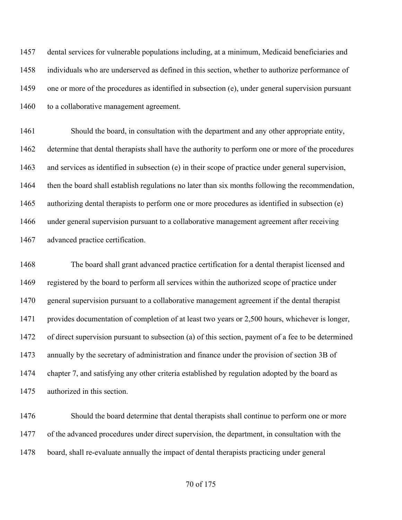dental services for vulnerable populations including, at a minimum, Medicaid beneficiaries and individuals who are underserved as defined in this section, whether to authorize performance of one or more of the procedures as identified in subsection (e), under general supervision pursuant 1460 to a collaborative management agreement.

 Should the board, in consultation with the department and any other appropriate entity, determine that dental therapists shall have the authority to perform one or more of the procedures and services as identified in subsection (e) in their scope of practice under general supervision, then the board shall establish regulations no later than six months following the recommendation, authorizing dental therapists to perform one or more procedures as identified in subsection (e) under general supervision pursuant to a collaborative management agreement after receiving advanced practice certification.

 The board shall grant advanced practice certification for a dental therapist licensed and registered by the board to perform all services within the authorized scope of practice under general supervision pursuant to a collaborative management agreement if the dental therapist provides documentation of completion of at least two years or 2,500 hours, whichever is longer, of direct supervision pursuant to subsection (a) of this section, payment of a fee to be determined annually by the secretary of administration and finance under the provision of section 3B of chapter 7, and satisfying any other criteria established by regulation adopted by the board as authorized in this section.

 Should the board determine that dental therapists shall continue to perform one or more of the advanced procedures under direct supervision, the department, in consultation with the board, shall re-evaluate annually the impact of dental therapists practicing under general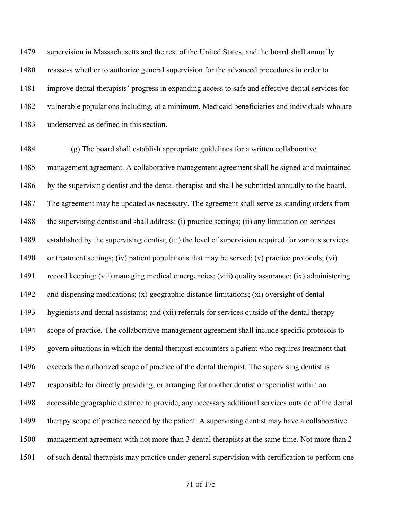supervision in Massachusetts and the rest of the United States, and the board shall annually reassess whether to authorize general supervision for the advanced procedures in order to improve dental therapists' progress in expanding access to safe and effective dental services for vulnerable populations including, at a minimum, Medicaid beneficiaries and individuals who are underserved as defined in this section.

 (g) The board shall establish appropriate guidelines for a written collaborative management agreement. A collaborative management agreement shall be signed and maintained by the supervising dentist and the dental therapist and shall be submitted annually to the board. The agreement may be updated as necessary. The agreement shall serve as standing orders from the supervising dentist and shall address: (i) practice settings; (ii) any limitation on services established by the supervising dentist; (iii) the level of supervision required for various services or treatment settings; (iv) patient populations that may be served; (v) practice protocols; (vi) record keeping; (vii) managing medical emergencies; (viii) quality assurance; (ix) administering and dispensing medications; (x) geographic distance limitations; (xi) oversight of dental hygienists and dental assistants; and (xii) referrals for services outside of the dental therapy scope of practice. The collaborative management agreement shall include specific protocols to govern situations in which the dental therapist encounters a patient who requires treatment that exceeds the authorized scope of practice of the dental therapist. The supervising dentist is responsible for directly providing, or arranging for another dentist or specialist within an accessible geographic distance to provide, any necessary additional services outside of the dental therapy scope of practice needed by the patient. A supervising dentist may have a collaborative management agreement with not more than 3 dental therapists at the same time. Not more than 2 of such dental therapists may practice under general supervision with certification to perform one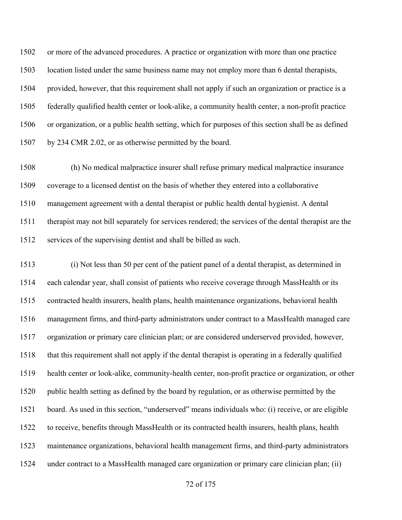or more of the advanced procedures. A practice or organization with more than one practice location listed under the same business name may not employ more than 6 dental therapists, provided, however, that this requirement shall not apply if such an organization or practice is a federally qualified health center or look-alike, a community health center, a non-profit practice or organization, or a public health setting, which for purposes of this section shall be as defined by 234 CMR 2.02, or as otherwise permitted by the board.

 (h) No medical malpractice insurer shall refuse primary medical malpractice insurance coverage to a licensed dentist on the basis of whether they entered into a collaborative management agreement with a dental therapist or public health dental hygienist. A dental therapist may not bill separately for services rendered; the services of the dental therapist are the services of the supervising dentist and shall be billed as such.

 (i) Not less than 50 per cent of the patient panel of a dental therapist, as determined in each calendar year, shall consist of patients who receive coverage through MassHealth or its contracted health insurers, health plans, health maintenance organizations, behavioral health management firms, and third-party administrators under contract to a MassHealth managed care organization or primary care clinician plan; or are considered underserved provided, however, that this requirement shall not apply if the dental therapist is operating in a federally qualified health center or look-alike, community-health center, non-profit practice or organization, or other public health setting as defined by the board by regulation, or as otherwise permitted by the board. As used in this section, "underserved" means individuals who: (i) receive, or are eligible to receive, benefits through MassHealth or its contracted health insurers, health plans, health maintenance organizations, behavioral health management firms, and third-party administrators under contract to a MassHealth managed care organization or primary care clinician plan; (ii)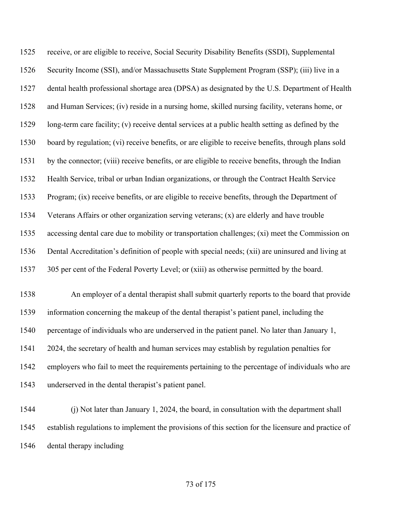receive, or are eligible to receive, Social Security Disability Benefits (SSDI), Supplemental Security Income (SSI), and/or Massachusetts State Supplement Program (SSP); (iii) live in a dental health professional shortage area (DPSA) as designated by the U.S. Department of Health and Human Services; (iv) reside in a nursing home, skilled nursing facility, veterans home, or long-term care facility; (v) receive dental services at a public health setting as defined by the board by regulation; (vi) receive benefits, or are eligible to receive benefits, through plans sold by the connector; (viii) receive benefits, or are eligible to receive benefits, through the Indian Health Service, tribal or urban Indian organizations, or through the Contract Health Service Program; (ix) receive benefits, or are eligible to receive benefits, through the Department of Veterans Affairs or other organization serving veterans; (x) are elderly and have trouble accessing dental care due to mobility or transportation challenges; (xi) meet the Commission on Dental Accreditation's definition of people with special needs; (xii) are uninsured and living at 305 per cent of the Federal Poverty Level; or (xiii) as otherwise permitted by the board. An employer of a dental therapist shall submit quarterly reports to the board that provide information concerning the makeup of the dental therapist's patient panel, including the percentage of individuals who are underserved in the patient panel. No later than January 1, 2024, the secretary of health and human services may establish by regulation penalties for

 employers who fail to meet the requirements pertaining to the percentage of individuals who are underserved in the dental therapist's patient panel.

 (j) Not later than January 1, 2024, the board, in consultation with the department shall establish regulations to implement the provisions of this section for the licensure and practice of dental therapy including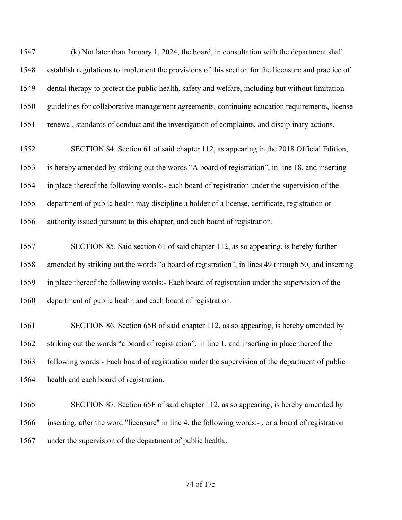(k) Not later than January 1, 2024, the board, in consultation with the department shall establish regulations to implement the provisions of this section for the licensure and practice of dental therapy to protect the public health, safety and welfare, including but without limitation guidelines for collaborative management agreements, continuing education requirements, license renewal, standards of conduct and the investigation of complaints, and disciplinary actions.

 SECTION 84. Section 61 of said chapter 112, as appearing in the 2018 Official Edition, is hereby amended by striking out the words "A board of registration", in line 18, and inserting in place thereof the following words:- each board of registration under the supervision of the department of public health may discipline a holder of a license, certificate, registration or authority issued pursuant to this chapter, and each board of registration.

 SECTION 85. Said section 61 of said chapter 112, as so appearing, is hereby further amended by striking out the words "a board of registration", in lines 49 through 50, and inserting in place thereof the following words:- Each board of registration under the supervision of the department of public health and each board of registration.

 SECTION 86. Section 65B of said chapter 112, as so appearing, is hereby amended by striking out the words "a board of registration", in line 1, and inserting in place thereof the following words:- Each board of registration under the supervision of the department of public health and each board of registration.

 SECTION 87. Section 65F of said chapter 112, as so appearing, is hereby amended by inserting, after the word "licensure" in line 4, the following words:- , or a board of registration under the supervision of the department of public health,.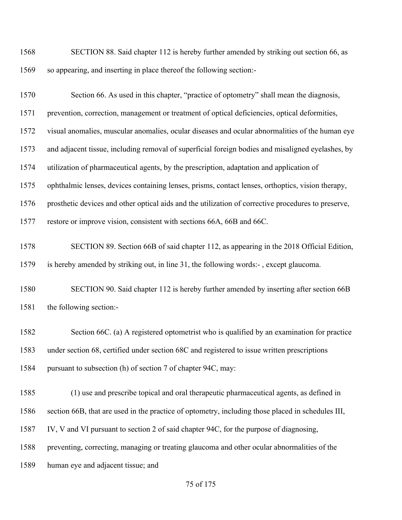SECTION 88. Said chapter 112 is hereby further amended by striking out section 66, as so appearing, and inserting in place thereof the following section:-

| 1570 | Section 66. As used in this chapter, "practice of optometry" shall mean the diagnosis,              |
|------|-----------------------------------------------------------------------------------------------------|
| 1571 | prevention, correction, management or treatment of optical deficiencies, optical deformities,       |
| 1572 | visual anomalies, muscular anomalies, ocular diseases and ocular abnormalities of the human eye     |
| 1573 | and adjacent tissue, including removal of superficial foreign bodies and misaligned eyelashes, by   |
| 1574 | utilization of pharmaceutical agents, by the prescription, adaptation and application of            |
| 1575 | ophthalmic lenses, devices containing lenses, prisms, contact lenses, orthoptics, vision therapy,   |
| 1576 | prosthetic devices and other optical aids and the utilization of corrective procedures to preserve, |
| 1577 | restore or improve vision, consistent with sections 66A, 66B and 66C.                               |
| 1578 | SECTION 89. Section 66B of said chapter 112, as appearing in the 2018 Official Edition,             |
| 1579 | is hereby amended by striking out, in line 31, the following words:-, except glaucoma.              |
| 1580 | SECTION 90. Said chapter 112 is hereby further amended by inserting after section 66B               |
| 1581 | the following section:-                                                                             |
| 1582 | Section 66C. (a) A registered optometrist who is qualified by an examination for practice           |
| 1583 | under section 68, certified under section 68C and registered to issue written prescriptions         |
| 1584 | pursuant to subsection (h) of section 7 of chapter 94C, may:                                        |
| 1585 | (1) use and prescribe topical and oral therapeutic pharmaceutical agents, as defined in             |
| 1586 | section 66B, that are used in the practice of optometry, including those placed in schedules III,   |
| 1587 | IV, V and VI pursuant to section 2 of said chapter 94C, for the purpose of diagnosing,              |
| 1588 | preventing, correcting, managing or treating glaucoma and other ocular abnormalities of the         |
| 1589 | human eye and adjacent tissue; and                                                                  |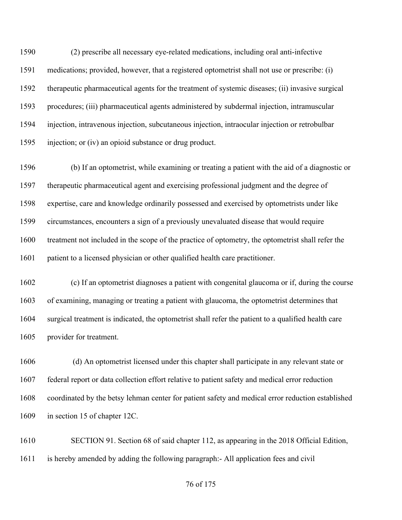(2) prescribe all necessary eye-related medications, including oral anti-infective medications; provided, however, that a registered optometrist shall not use or prescribe: (i) therapeutic pharmaceutical agents for the treatment of systemic diseases; (ii) invasive surgical procedures; (iii) pharmaceutical agents administered by subdermal injection, intramuscular injection, intravenous injection, subcutaneous injection, intraocular injection or retrobulbar injection; or (iv) an opioid substance or drug product.

 (b) If an optometrist, while examining or treating a patient with the aid of a diagnostic or therapeutic pharmaceutical agent and exercising professional judgment and the degree of expertise, care and knowledge ordinarily possessed and exercised by optometrists under like circumstances, encounters a sign of a previously unevaluated disease that would require treatment not included in the scope of the practice of optometry, the optometrist shall refer the patient to a licensed physician or other qualified health care practitioner.

 (c) If an optometrist diagnoses a patient with congenital glaucoma or if, during the course of examining, managing or treating a patient with glaucoma, the optometrist determines that surgical treatment is indicated, the optometrist shall refer the patient to a qualified health care provider for treatment.

 (d) An optometrist licensed under this chapter shall participate in any relevant state or federal report or data collection effort relative to patient safety and medical error reduction coordinated by the betsy lehman center for patient safety and medical error reduction established in section 15 of chapter 12C.

 SECTION 91. Section 68 of said chapter 112, as appearing in the 2018 Official Edition, is hereby amended by adding the following paragraph:- All application fees and civil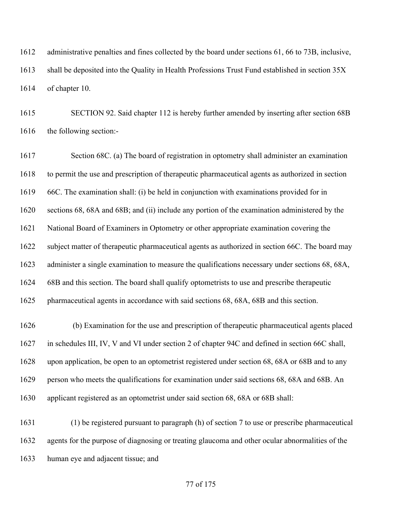administrative penalties and fines collected by the board under sections 61, 66 to 73B, inclusive, shall be deposited into the Quality in Health Professions Trust Fund established in section 35X of chapter 10.

 SECTION 92. Said chapter 112 is hereby further amended by inserting after section 68B the following section:-

 Section 68C. (a) The board of registration in optometry shall administer an examination to permit the use and prescription of therapeutic pharmaceutical agents as authorized in section 66C. The examination shall: (i) be held in conjunction with examinations provided for in sections 68, 68A and 68B; and (ii) include any portion of the examination administered by the National Board of Examiners in Optometry or other appropriate examination covering the subject matter of therapeutic pharmaceutical agents as authorized in section 66C. The board may administer a single examination to measure the qualifications necessary under sections 68, 68A, 68B and this section. The board shall qualify optometrists to use and prescribe therapeutic pharmaceutical agents in accordance with said sections 68, 68A, 68B and this section.

 (b) Examination for the use and prescription of therapeutic pharmaceutical agents placed in schedules III, IV, V and VI under section 2 of chapter 94C and defined in section 66C shall, upon application, be open to an optometrist registered under section 68, 68A or 68B and to any person who meets the qualifications for examination under said sections 68, 68A and 68B. An applicant registered as an optometrist under said section 68, 68A or 68B shall:

 (1) be registered pursuant to paragraph (h) of section 7 to use or prescribe pharmaceutical agents for the purpose of diagnosing or treating glaucoma and other ocular abnormalities of the human eye and adjacent tissue; and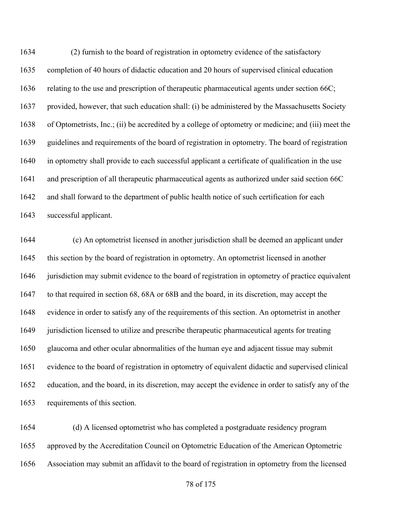(2) furnish to the board of registration in optometry evidence of the satisfactory completion of 40 hours of didactic education and 20 hours of supervised clinical education relating to the use and prescription of therapeutic pharmaceutical agents under section 66C; provided, however, that such education shall: (i) be administered by the Massachusetts Society of Optometrists, Inc.; (ii) be accredited by a college of optometry or medicine; and (iii) meet the guidelines and requirements of the board of registration in optometry. The board of registration in optometry shall provide to each successful applicant a certificate of qualification in the use and prescription of all therapeutic pharmaceutical agents as authorized under said section 66C and shall forward to the department of public health notice of such certification for each successful applicant.

 (c) An optometrist licensed in another jurisdiction shall be deemed an applicant under this section by the board of registration in optometry. An optometrist licensed in another jurisdiction may submit evidence to the board of registration in optometry of practice equivalent to that required in section 68, 68A or 68B and the board, in its discretion, may accept the evidence in order to satisfy any of the requirements of this section. An optometrist in another 1649 jurisdiction licensed to utilize and prescribe therapeutic pharmaceutical agents for treating glaucoma and other ocular abnormalities of the human eye and adjacent tissue may submit evidence to the board of registration in optometry of equivalent didactic and supervised clinical education, and the board, in its discretion, may accept the evidence in order to satisfy any of the requirements of this section.

 (d) A licensed optometrist who has completed a postgraduate residency program approved by the Accreditation Council on Optometric Education of the American Optometric Association may submit an affidavit to the board of registration in optometry from the licensed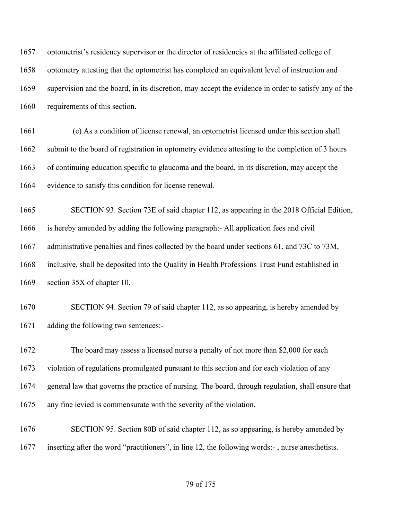optometrist's residency supervisor or the director of residencies at the affiliated college of optometry attesting that the optometrist has completed an equivalent level of instruction and supervision and the board, in its discretion, may accept the evidence in order to satisfy any of the requirements of this section.

 (e) As a condition of license renewal, an optometrist licensed under this section shall submit to the board of registration in optometry evidence attesting to the completion of 3 hours of continuing education specific to glaucoma and the board, in its discretion, may accept the evidence to satisfy this condition for license renewal.

 SECTION 93. Section 73E of said chapter 112, as appearing in the 2018 Official Edition, is hereby amended by adding the following paragraph:- All application fees and civil administrative penalties and fines collected by the board under sections 61, and 73C to 73M, inclusive, shall be deposited into the Quality in Health Professions Trust Fund established in section 35X of chapter 10.

 SECTION 94. Section 79 of said chapter 112, as so appearing, is hereby amended by adding the following two sentences:-

 The board may assess a licensed nurse a penalty of not more than \$2,000 for each violation of regulations promulgated pursuant to this section and for each violation of any general law that governs the practice of nursing. The board, through regulation, shall ensure that any fine levied is commensurate with the severity of the violation.

 SECTION 95. Section 80B of said chapter 112, as so appearing, is hereby amended by inserting after the word "practitioners", in line 12, the following words:- , nurse anesthetists.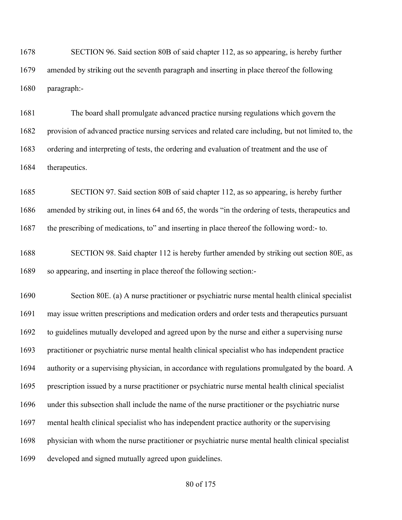SECTION 96. Said section 80B of said chapter 112, as so appearing, is hereby further amended by striking out the seventh paragraph and inserting in place thereof the following paragraph:-

 The board shall promulgate advanced practice nursing regulations which govern the provision of advanced practice nursing services and related care including, but not limited to, the ordering and interpreting of tests, the ordering and evaluation of treatment and the use of therapeutics.

 SECTION 97. Said section 80B of said chapter 112, as so appearing, is hereby further amended by striking out, in lines 64 and 65, the words "in the ordering of tests, therapeutics and the prescribing of medications, to" and inserting in place thereof the following word:- to.

 SECTION 98. Said chapter 112 is hereby further amended by striking out section 80E, as so appearing, and inserting in place thereof the following section:-

 Section 80E. (a) A nurse practitioner or psychiatric nurse mental health clinical specialist may issue written prescriptions and medication orders and order tests and therapeutics pursuant to guidelines mutually developed and agreed upon by the nurse and either a supervising nurse practitioner or psychiatric nurse mental health clinical specialist who has independent practice authority or a supervising physician, in accordance with regulations promulgated by the board. A prescription issued by a nurse practitioner or psychiatric nurse mental health clinical specialist under this subsection shall include the name of the nurse practitioner or the psychiatric nurse mental health clinical specialist who has independent practice authority or the supervising physician with whom the nurse practitioner or psychiatric nurse mental health clinical specialist developed and signed mutually agreed upon guidelines.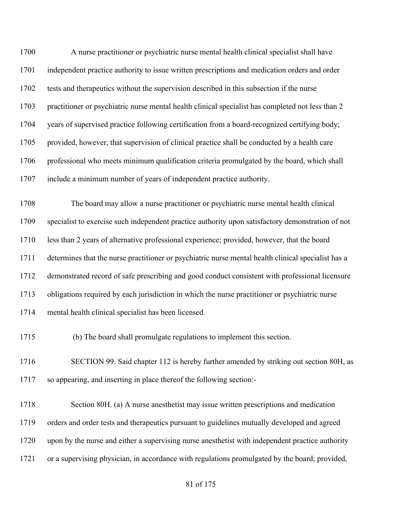A nurse practitioner or psychiatric nurse mental health clinical specialist shall have independent practice authority to issue written prescriptions and medication orders and order tests and therapeutics without the supervision described in this subsection if the nurse practitioner or psychiatric nurse mental health clinical specialist has completed not less than 2 years of supervised practice following certification from a board-recognized certifying body; provided, however, that supervision of clinical practice shall be conducted by a health care professional who meets minimum qualification criteria promulgated by the board, which shall include a minimum number of years of independent practice authority.

 The board may allow a nurse practitioner or psychiatric nurse mental health clinical specialist to exercise such independent practice authority upon satisfactory demonstration of not less than 2 years of alternative professional experience; provided, however, that the board determines that the nurse practitioner or psychiatric nurse mental health clinical specialist has a demonstrated record of safe prescribing and good conduct consistent with professional licensure obligations required by each jurisdiction in which the nurse practitioner or psychiatric nurse mental health clinical specialist has been licensed.

(b) The board shall promulgate regulations to implement this section.

1716 SECTION 99. Said chapter 112 is hereby further amended by striking out section 80H, as so appearing, and inserting in place thereof the following section:-

 Section 80H. (a) A nurse anesthetist may issue written prescriptions and medication orders and order tests and therapeutics pursuant to guidelines mutually developed and agreed upon by the nurse and either a supervising nurse anesthetist with independent practice authority or a supervising physician, in accordance with regulations promulgated by the board; provided,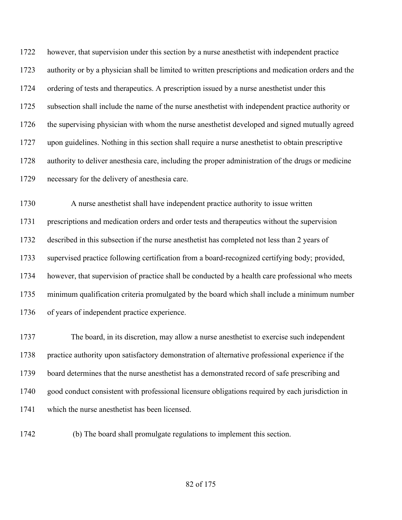however, that supervision under this section by a nurse anesthetist with independent practice authority or by a physician shall be limited to written prescriptions and medication orders and the ordering of tests and therapeutics. A prescription issued by a nurse anesthetist under this subsection shall include the name of the nurse anesthetist with independent practice authority or 1726 the supervising physician with whom the nurse anesthetist developed and signed mutually agreed upon guidelines. Nothing in this section shall require a nurse anesthetist to obtain prescriptive authority to deliver anesthesia care, including the proper administration of the drugs or medicine necessary for the delivery of anesthesia care.

 A nurse anesthetist shall have independent practice authority to issue written prescriptions and medication orders and order tests and therapeutics without the supervision described in this subsection if the nurse anesthetist has completed not less than 2 years of supervised practice following certification from a board-recognized certifying body; provided, however, that supervision of practice shall be conducted by a health care professional who meets minimum qualification criteria promulgated by the board which shall include a minimum number of years of independent practice experience.

 The board, in its discretion, may allow a nurse anesthetist to exercise such independent practice authority upon satisfactory demonstration of alternative professional experience if the board determines that the nurse anesthetist has a demonstrated record of safe prescribing and good conduct consistent with professional licensure obligations required by each jurisdiction in which the nurse anesthetist has been licensed.

(b) The board shall promulgate regulations to implement this section.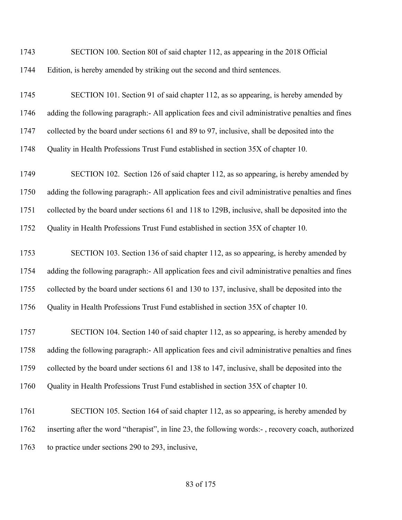| 1743 | SECTION 100. Section 80I of said chapter 112, as appearing in the 2018 Official                     |
|------|-----------------------------------------------------------------------------------------------------|
| 1744 | Edition, is hereby amended by striking out the second and third sentences.                          |
| 1745 | SECTION 101. Section 91 of said chapter 112, as so appearing, is hereby amended by                  |
| 1746 | adding the following paragraph:- All application fees and civil administrative penalties and fines  |
| 1747 | collected by the board under sections 61 and 89 to 97, inclusive, shall be deposited into the       |
| 1748 | Quality in Health Professions Trust Fund established in section 35X of chapter 10.                  |
| 1749 | SECTION 102. Section 126 of said chapter 112, as so appearing, is hereby amended by                 |
| 1750 | adding the following paragraph:- All application fees and civil administrative penalties and fines  |
| 1751 | collected by the board under sections 61 and 118 to 129B, inclusive, shall be deposited into the    |
| 1752 | Quality in Health Professions Trust Fund established in section 35X of chapter 10.                  |
| 1753 | SECTION 103. Section 136 of said chapter 112, as so appearing, is hereby amended by                 |
| 1754 | adding the following paragraph:- All application fees and civil administrative penalties and fines  |
| 1755 | collected by the board under sections 61 and 130 to 137, inclusive, shall be deposited into the     |
| 1756 | Quality in Health Professions Trust Fund established in section 35X of chapter 10.                  |
| 1757 | SECTION 104. Section 140 of said chapter 112, as so appearing, is hereby amended by                 |
| 1758 | adding the following paragraph:- All application fees and civil administrative penalties and fines  |
| 1759 | collected by the board under sections 61 and 138 to 147, inclusive, shall be deposited into the     |
| 1760 | Quality in Health Professions Trust Fund established in section 35X of chapter 10.                  |
| 1761 | SECTION 105. Section 164 of said chapter 112, as so appearing, is hereby amended by                 |
| 1762 | inserting after the word "therapist", in line 23, the following words:-, recovery coach, authorized |
| 1763 | to practice under sections 290 to 293, inclusive,                                                   |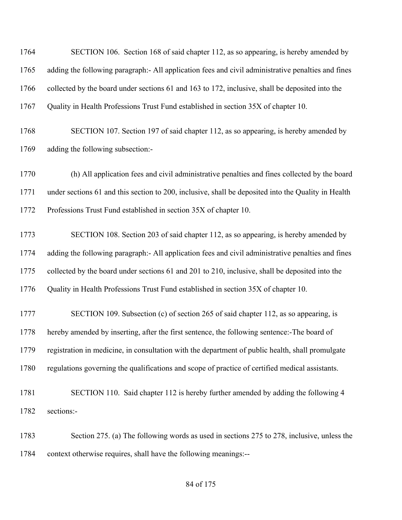| 1764 | SECTION 106. Section 168 of said chapter 112, as so appearing, is hereby amended by                 |
|------|-----------------------------------------------------------------------------------------------------|
| 1765 | adding the following paragraph:- All application fees and civil administrative penalties and fines  |
| 1766 | collected by the board under sections 61 and 163 to 172, inclusive, shall be deposited into the     |
| 1767 | Quality in Health Professions Trust Fund established in section 35X of chapter 10.                  |
| 1768 | SECTION 107. Section 197 of said chapter 112, as so appearing, is hereby amended by                 |
| 1769 | adding the following subsection:-                                                                   |
| 1770 | (h) All application fees and civil administrative penalties and fines collected by the board        |
| 1771 | under sections 61 and this section to 200, inclusive, shall be deposited into the Quality in Health |
| 1772 | Professions Trust Fund established in section 35X of chapter 10.                                    |
| 1773 | SECTION 108. Section 203 of said chapter 112, as so appearing, is hereby amended by                 |
| 1774 | adding the following paragraph:- All application fees and civil administrative penalties and fines  |
| 1775 | collected by the board under sections 61 and 201 to 210, inclusive, shall be deposited into the     |
| 1776 | Quality in Health Professions Trust Fund established in section 35X of chapter 10.                  |
| 1777 | SECTION 109. Subsection (c) of section 265 of said chapter 112, as so appearing, is                 |
| 1778 | hereby amended by inserting, after the first sentence, the following sentence:-The board of         |
| 1779 | registration in medicine, in consultation with the department of public health, shall promulgate    |
| 1780 | regulations governing the qualifications and scope of practice of certified medical assistants.     |
| 1781 | SECTION 110. Said chapter 112 is hereby further amended by adding the following 4                   |
| 1782 | sections:-                                                                                          |
| 1783 | Section 275. (a) The following words as used in sections 275 to 278, inclusive, unless the          |
| 1784 | context otherwise requires, shall have the following meanings:--                                    |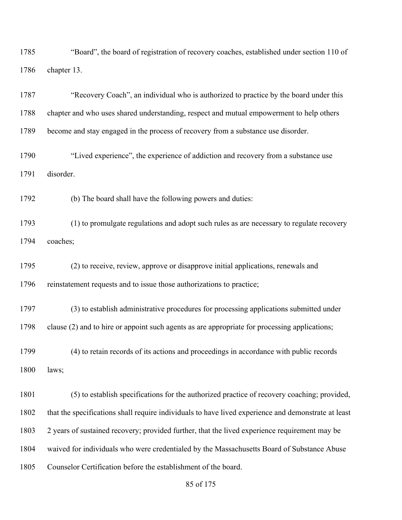"Board", the board of registration of recovery coaches, established under section 110 of chapter 13.

 "Recovery Coach", an individual who is authorized to practice by the board under this chapter and who uses shared understanding, respect and mutual empowerment to help others become and stay engaged in the process of recovery from a substance use disorder.

 "Lived experience", the experience of addiction and recovery from a substance use disorder.

(b) The board shall have the following powers and duties:

 (1) to promulgate regulations and adopt such rules as are necessary to regulate recovery coaches;

 (2) to receive, review, approve or disapprove initial applications, renewals and reinstatement requests and to issue those authorizations to practice;

 (3) to establish administrative procedures for processing applications submitted under clause (2) and to hire or appoint such agents as are appropriate for processing applications;

 (4) to retain records of its actions and proceedings in accordance with public records laws;

 (5) to establish specifications for the authorized practice of recovery coaching; provided, that the specifications shall require individuals to have lived experience and demonstrate at least 2 years of sustained recovery; provided further, that the lived experience requirement may be waived for individuals who were credentialed by the Massachusetts Board of Substance Abuse Counselor Certification before the establishment of the board.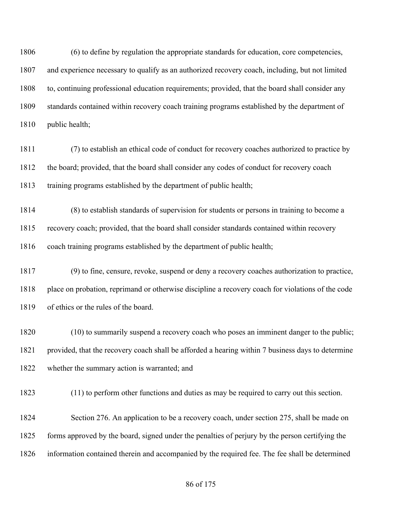(6) to define by regulation the appropriate standards for education, core competencies, and experience necessary to qualify as an authorized recovery coach, including, but not limited to, continuing professional education requirements; provided, that the board shall consider any standards contained within recovery coach training programs established by the department of public health;

 (7) to establish an ethical code of conduct for recovery coaches authorized to practice by 1812 the board; provided, that the board shall consider any codes of conduct for recovery coach training programs established by the department of public health;

 (8) to establish standards of supervision for students or persons in training to become a recovery coach; provided, that the board shall consider standards contained within recovery 1816 coach training programs established by the department of public health;

 (9) to fine, censure, revoke, suspend or deny a recovery coaches authorization to practice, place on probation, reprimand or otherwise discipline a recovery coach for violations of the code of ethics or the rules of the board.

 (10) to summarily suspend a recovery coach who poses an imminent danger to the public; provided, that the recovery coach shall be afforded a hearing within 7 business days to determine whether the summary action is warranted; and

(11) to perform other functions and duties as may be required to carry out this section.

 Section 276. An application to be a recovery coach, under section 275, shall be made on forms approved by the board, signed under the penalties of perjury by the person certifying the information contained therein and accompanied by the required fee. The fee shall be determined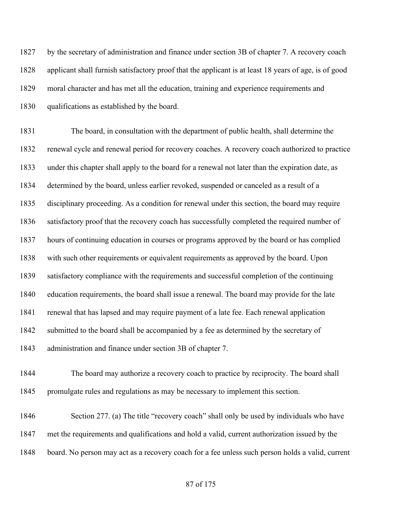by the secretary of administration and finance under section 3B of chapter 7. A recovery coach applicant shall furnish satisfactory proof that the applicant is at least 18 years of age, is of good moral character and has met all the education, training and experience requirements and qualifications as established by the board.

 The board, in consultation with the department of public health, shall determine the renewal cycle and renewal period for recovery coaches. A recovery coach authorized to practice under this chapter shall apply to the board for a renewal not later than the expiration date, as determined by the board, unless earlier revoked, suspended or canceled as a result of a disciplinary proceeding. As a condition for renewal under this section, the board may require satisfactory proof that the recovery coach has successfully completed the required number of hours of continuing education in courses or programs approved by the board or has complied with such other requirements or equivalent requirements as approved by the board. Upon satisfactory compliance with the requirements and successful completion of the continuing education requirements, the board shall issue a renewal. The board may provide for the late renewal that has lapsed and may require payment of a late fee. Each renewal application 1842 submitted to the board shall be accompanied by a fee as determined by the secretary of administration and finance under section 3B of chapter 7.

 The board may authorize a recovery coach to practice by reciprocity. The board shall promulgate rules and regulations as may be necessary to implement this section.

 Section 277. (a) The title "recovery coach" shall only be used by individuals who have met the requirements and qualifications and hold a valid, current authorization issued by the board. No person may act as a recovery coach for a fee unless such person holds a valid, current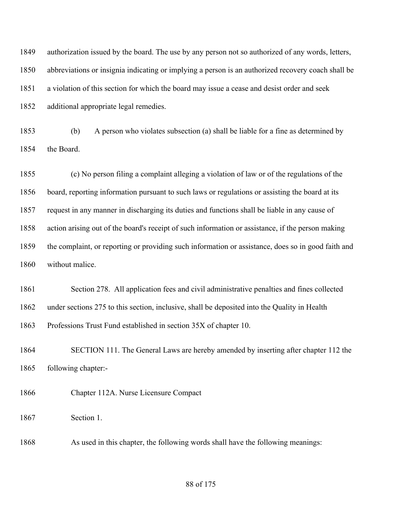authorization issued by the board. The use by any person not so authorized of any words, letters, abbreviations or insignia indicating or implying a person is an authorized recovery coach shall be a violation of this section for which the board may issue a cease and desist order and seek additional appropriate legal remedies.

 (b) A person who violates subsection (a) shall be liable for a fine as determined by the Board.

 (c) No person filing a complaint alleging a violation of law or of the regulations of the board, reporting information pursuant to such laws or regulations or assisting the board at its request in any manner in discharging its duties and functions shall be liable in any cause of action arising out of the board's receipt of such information or assistance, if the person making the complaint, or reporting or providing such information or assistance, does so in good faith and without malice.

 Section 278. All application fees and civil administrative penalties and fines collected under sections 275 to this section, inclusive, shall be deposited into the Quality in Health Professions Trust Fund established in section 35X of chapter 10.

 SECTION 111. The General Laws are hereby amended by inserting after chapter 112 the following chapter:-

Chapter 112A. Nurse Licensure Compact

Section 1.

As used in this chapter, the following words shall have the following meanings: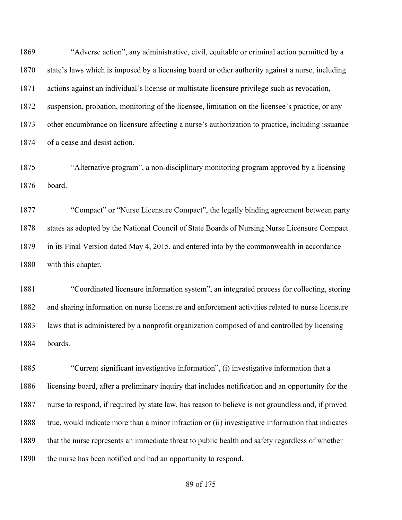"Adverse action", any administrative, civil, equitable or criminal action permitted by a state's laws which is imposed by a licensing board or other authority against a nurse, including actions against an individual's license or multistate licensure privilege such as revocation, suspension, probation, monitoring of the licensee, limitation on the licensee's practice, or any other encumbrance on licensure affecting a nurse's authorization to practice, including issuance of a cease and desist action.

 "Alternative program", a non-disciplinary monitoring program approved by a licensing board.

 "Compact" or "Nurse Licensure Compact", the legally binding agreement between party states as adopted by the National Council of State Boards of Nursing Nurse Licensure Compact in its Final Version dated May 4, 2015, and entered into by the commonwealth in accordance with this chapter.

 "Coordinated licensure information system", an integrated process for collecting, storing and sharing information on nurse licensure and enforcement activities related to nurse licensure laws that is administered by a nonprofit organization composed of and controlled by licensing boards.

 "Current significant investigative information", (i) investigative information that a licensing board, after a preliminary inquiry that includes notification and an opportunity for the nurse to respond, if required by state law, has reason to believe is not groundless and, if proved true, would indicate more than a minor infraction or (ii) investigative information that indicates that the nurse represents an immediate threat to public health and safety regardless of whether the nurse has been notified and had an opportunity to respond.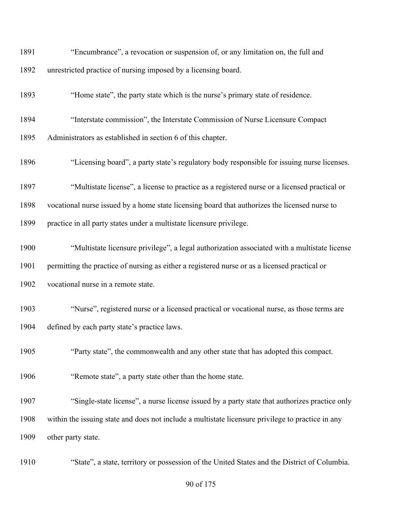| 1891 | "Encumbrance", a revocation or suspension of, or any limitation on, the full and                  |
|------|---------------------------------------------------------------------------------------------------|
| 1892 | unrestricted practice of nursing imposed by a licensing board.                                    |
| 1893 | "Home state", the party state which is the nurse's primary state of residence.                    |
| 1894 | "Interstate commission", the Interstate Commission of Nurse Licensure Compact                     |
| 1895 | Administrators as established in section 6 of this chapter.                                       |
| 1896 | "Licensing board", a party state's regulatory body responsible for issuing nurse licenses.        |
| 1897 | "Multistate license", a license to practice as a registered nurse or a licensed practical or      |
| 1898 | vocational nurse issued by a home state licensing board that authorizes the licensed nurse to     |
| 1899 | practice in all party states under a multistate licensure privilege.                              |
| 1900 | "Multistate licensure privilege", a legal authorization associated with a multistate license      |
| 1901 | permitting the practice of nursing as either a registered nurse or as a licensed practical or     |
| 1902 | vocational nurse in a remote state.                                                               |
| 1903 | "Nurse", registered nurse or a licensed practical or vocational nurse, as those terms are         |
| 1904 | defined by each party state's practice laws.                                                      |
| 1905 | "Party state", the commonwealth and any other state that has adopted this compact.                |
| 1906 | "Remote state", a party state other than the home state.                                          |
| 1907 | "Single-state license", a nurse license issued by a party state that authorizes practice only     |
| 1908 | within the issuing state and does not include a multistate licensure privilege to practice in any |
| 1909 | other party state.                                                                                |
| 1910 | "State", a state, territory or possession of the United States and the District of Columbia.      |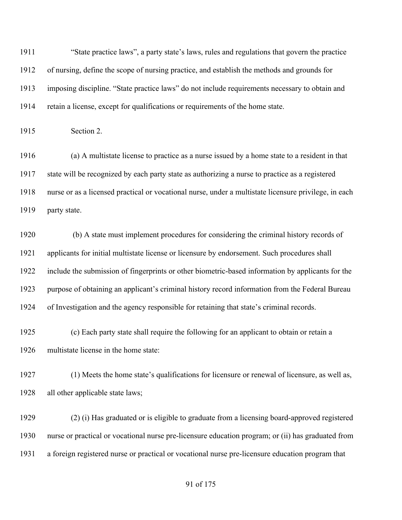"State practice laws", a party state's laws, rules and regulations that govern the practice of nursing, define the scope of nursing practice, and establish the methods and grounds for imposing discipline. "State practice laws" do not include requirements necessary to obtain and retain a license, except for qualifications or requirements of the home state.

Section 2.

 (a) A multistate license to practice as a nurse issued by a home state to a resident in that state will be recognized by each party state as authorizing a nurse to practice as a registered nurse or as a licensed practical or vocational nurse, under a multistate licensure privilege, in each party state.

 (b) A state must implement procedures for considering the criminal history records of applicants for initial multistate license or licensure by endorsement. Such procedures shall include the submission of fingerprints or other biometric-based information by applicants for the purpose of obtaining an applicant's criminal history record information from the Federal Bureau of Investigation and the agency responsible for retaining that state's criminal records.

 (c) Each party state shall require the following for an applicant to obtain or retain a multistate license in the home state:

 (1) Meets the home state's qualifications for licensure or renewal of licensure, as well as, all other applicable state laws;

 (2) (i) Has graduated or is eligible to graduate from a licensing board-approved registered nurse or practical or vocational nurse pre-licensure education program; or (ii) has graduated from a foreign registered nurse or practical or vocational nurse pre-licensure education program that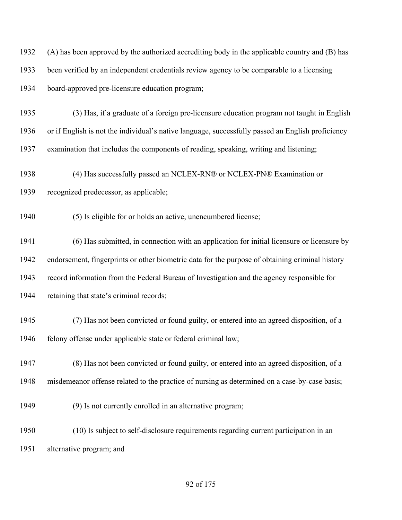(A) has been approved by the authorized accrediting body in the applicable country and (B) has been verified by an independent credentials review agency to be comparable to a licensing board-approved pre-licensure education program;

 (3) Has, if a graduate of a foreign pre-licensure education program not taught in English or if English is not the individual's native language, successfully passed an English proficiency examination that includes the components of reading, speaking, writing and listening;

 (4) Has successfully passed an NCLEX-RN® or NCLEX-PN® Examination or recognized predecessor, as applicable;

(5) Is eligible for or holds an active, unencumbered license;

 (6) Has submitted, in connection with an application for initial licensure or licensure by endorsement, fingerprints or other biometric data for the purpose of obtaining criminal history record information from the Federal Bureau of Investigation and the agency responsible for retaining that state's criminal records;

 (7) Has not been convicted or found guilty, or entered into an agreed disposition, of a 1946 felony offense under applicable state or federal criminal law;

 (8) Has not been convicted or found guilty, or entered into an agreed disposition, of a misdemeanor offense related to the practice of nursing as determined on a case-by-case basis;

(9) Is not currently enrolled in an alternative program;

 (10) Is subject to self-disclosure requirements regarding current participation in an alternative program; and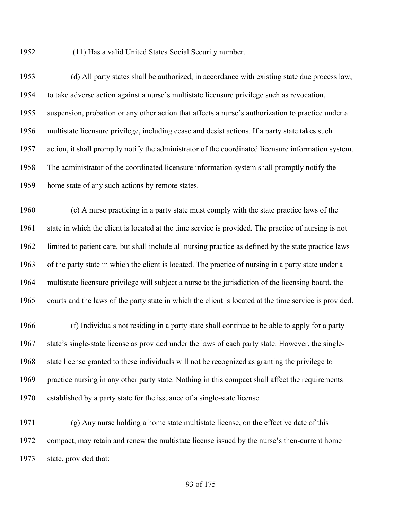(11) Has a valid United States Social Security number.

 (d) All party states shall be authorized, in accordance with existing state due process law, to take adverse action against a nurse's multistate licensure privilege such as revocation, suspension, probation or any other action that affects a nurse's authorization to practice under a multistate licensure privilege, including cease and desist actions. If a party state takes such action, it shall promptly notify the administrator of the coordinated licensure information system. The administrator of the coordinated licensure information system shall promptly notify the home state of any such actions by remote states.

 (e) A nurse practicing in a party state must comply with the state practice laws of the state in which the client is located at the time service is provided. The practice of nursing is not limited to patient care, but shall include all nursing practice as defined by the state practice laws of the party state in which the client is located. The practice of nursing in a party state under a multistate licensure privilege will subject a nurse to the jurisdiction of the licensing board, the courts and the laws of the party state in which the client is located at the time service is provided.

 (f) Individuals not residing in a party state shall continue to be able to apply for a party state's single-state license as provided under the laws of each party state. However, the single- state license granted to these individuals will not be recognized as granting the privilege to practice nursing in any other party state. Nothing in this compact shall affect the requirements established by a party state for the issuance of a single-state license.

 (g) Any nurse holding a home state multistate license, on the effective date of this compact, may retain and renew the multistate license issued by the nurse's then-current home state, provided that: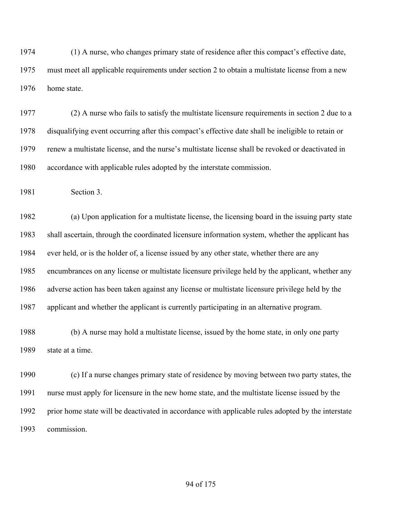(1) A nurse, who changes primary state of residence after this compact's effective date, must meet all applicable requirements under section 2 to obtain a multistate license from a new home state.

 (2) A nurse who fails to satisfy the multistate licensure requirements in section 2 due to a disqualifying event occurring after this compact's effective date shall be ineligible to retain or renew a multistate license, and the nurse's multistate license shall be revoked or deactivated in accordance with applicable rules adopted by the interstate commission.

Section 3.

 (a) Upon application for a multistate license, the licensing board in the issuing party state shall ascertain, through the coordinated licensure information system, whether the applicant has ever held, or is the holder of, a license issued by any other state, whether there are any encumbrances on any license or multistate licensure privilege held by the applicant, whether any adverse action has been taken against any license or multistate licensure privilege held by the applicant and whether the applicant is currently participating in an alternative program.

 (b) A nurse may hold a multistate license, issued by the home state, in only one party state at a time.

 (c) If a nurse changes primary state of residence by moving between two party states, the nurse must apply for licensure in the new home state, and the multistate license issued by the prior home state will be deactivated in accordance with applicable rules adopted by the interstate commission.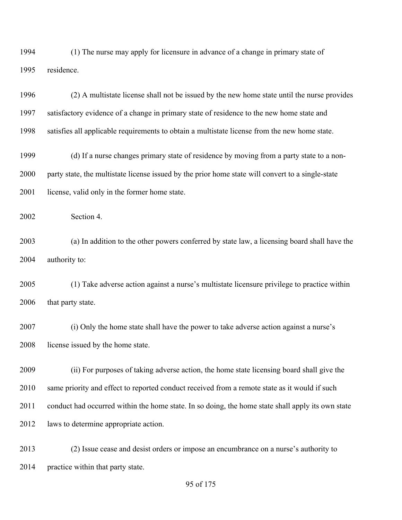(1) The nurse may apply for licensure in advance of a change in primary state of residence.

 (2) A multistate license shall not be issued by the new home state until the nurse provides satisfactory evidence of a change in primary state of residence to the new home state and satisfies all applicable requirements to obtain a multistate license from the new home state.

 (d) If a nurse changes primary state of residence by moving from a party state to a non- party state, the multistate license issued by the prior home state will convert to a single-state 2001 license, valid only in the former home state.

Section 4.

 (a) In addition to the other powers conferred by state law, a licensing board shall have the authority to:

 (1) Take adverse action against a nurse's multistate licensure privilege to practice within 2006 that party state.

 (i) Only the home state shall have the power to take adverse action against a nurse's 2008 license issued by the home state.

 (ii) For purposes of taking adverse action, the home state licensing board shall give the same priority and effect to reported conduct received from a remote state as it would if such conduct had occurred within the home state. In so doing, the home state shall apply its own state laws to determine appropriate action.

 (2) Issue cease and desist orders or impose an encumbrance on a nurse's authority to 2014 practice within that party state.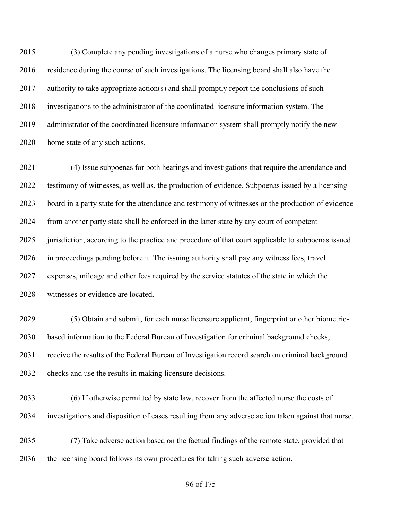(3) Complete any pending investigations of a nurse who changes primary state of residence during the course of such investigations. The licensing board shall also have the 2017 authority to take appropriate action(s) and shall promptly report the conclusions of such investigations to the administrator of the coordinated licensure information system. The administrator of the coordinated licensure information system shall promptly notify the new home state of any such actions.

 (4) Issue subpoenas for both hearings and investigations that require the attendance and testimony of witnesses, as well as, the production of evidence. Subpoenas issued by a licensing board in a party state for the attendance and testimony of witnesses or the production of evidence from another party state shall be enforced in the latter state by any court of competent jurisdiction, according to the practice and procedure of that court applicable to subpoenas issued in proceedings pending before it. The issuing authority shall pay any witness fees, travel expenses, mileage and other fees required by the service statutes of the state in which the witnesses or evidence are located.

 (5) Obtain and submit, for each nurse licensure applicant, fingerprint or other biometric- based information to the Federal Bureau of Investigation for criminal background checks, receive the results of the Federal Bureau of Investigation record search on criminal background checks and use the results in making licensure decisions.

 (6) If otherwise permitted by state law, recover from the affected nurse the costs of investigations and disposition of cases resulting from any adverse action taken against that nurse.

 (7) Take adverse action based on the factual findings of the remote state, provided that the licensing board follows its own procedures for taking such adverse action.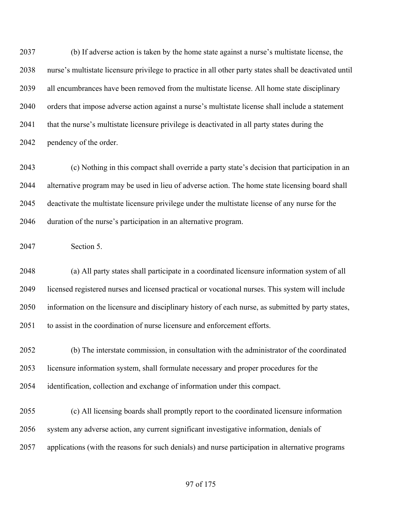(b) If adverse action is taken by the home state against a nurse's multistate license, the nurse's multistate licensure privilege to practice in all other party states shall be deactivated until all encumbrances have been removed from the multistate license. All home state disciplinary orders that impose adverse action against a nurse's multistate license shall include a statement 2041 that the nurse's multistate licensure privilege is deactivated in all party states during the pendency of the order.

 (c) Nothing in this compact shall override a party state's decision that participation in an alternative program may be used in lieu of adverse action. The home state licensing board shall deactivate the multistate licensure privilege under the multistate license of any nurse for the duration of the nurse's participation in an alternative program.

Section 5.

 (a) All party states shall participate in a coordinated licensure information system of all licensed registered nurses and licensed practical or vocational nurses. This system will include information on the licensure and disciplinary history of each nurse, as submitted by party states, to assist in the coordination of nurse licensure and enforcement efforts.

 (b) The interstate commission, in consultation with the administrator of the coordinated licensure information system, shall formulate necessary and proper procedures for the identification, collection and exchange of information under this compact.

 (c) All licensing boards shall promptly report to the coordinated licensure information system any adverse action, any current significant investigative information, denials of applications (with the reasons for such denials) and nurse participation in alternative programs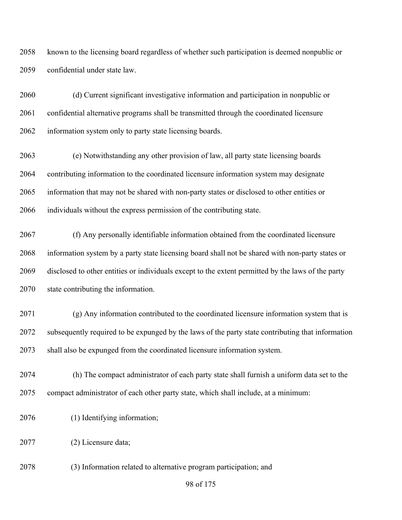known to the licensing board regardless of whether such participation is deemed nonpublic or confidential under state law.

 (d) Current significant investigative information and participation in nonpublic or confidential alternative programs shall be transmitted through the coordinated licensure 2062 information system only to party state licensing boards.

 (e) Notwithstanding any other provision of law, all party state licensing boards contributing information to the coordinated licensure information system may designate information that may not be shared with non-party states or disclosed to other entities or individuals without the express permission of the contributing state.

 (f) Any personally identifiable information obtained from the coordinated licensure information system by a party state licensing board shall not be shared with non-party states or disclosed to other entities or individuals except to the extent permitted by the laws of the party state contributing the information.

 (g) Any information contributed to the coordinated licensure information system that is subsequently required to be expunged by the laws of the party state contributing that information shall also be expunged from the coordinated licensure information system.

 (h) The compact administrator of each party state shall furnish a uniform data set to the compact administrator of each other party state, which shall include, at a minimum:

(1) Identifying information;

(2) Licensure data;

(3) Information related to alternative program participation; and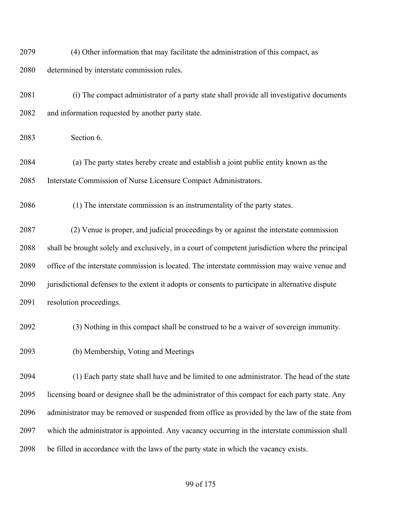(4) Other information that may facilitate the administration of this compact, as determined by interstate commission rules.

 (i) The compact administrator of a party state shall provide all investigative documents and information requested by another party state.

Section 6.

 (a) The party states hereby create and establish a joint public entity known as the Interstate Commission of Nurse Licensure Compact Administrators.

(1) The interstate commission is an instrumentality of the party states.

 (2) Venue is proper, and judicial proceedings by or against the interstate commission shall be brought solely and exclusively, in a court of competent jurisdiction where the principal office of the interstate commission is located. The interstate commission may waive venue and jurisdictional defenses to the extent it adopts or consents to participate in alternative dispute resolution proceedings.

(3) Nothing in this compact shall be construed to be a waiver of sovereign immunity.

(b) Membership, Voting and Meetings

 (1) Each party state shall have and be limited to one administrator. The head of the state licensing board or designee shall be the administrator of this compact for each party state. Any administrator may be removed or suspended from office as provided by the law of the state from which the administrator is appointed. Any vacancy occurring in the interstate commission shall be filled in accordance with the laws of the party state in which the vacancy exists.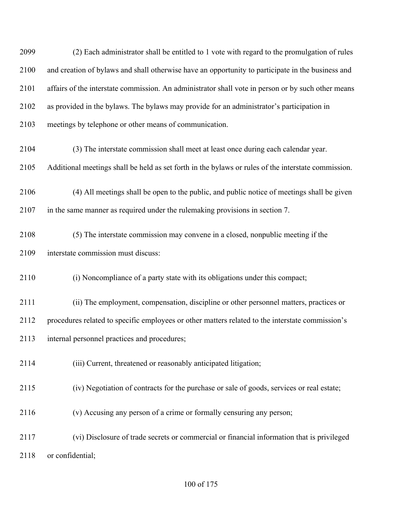and creation of bylaws and shall otherwise have an opportunity to participate in the business and affairs of the interstate commission. An administrator shall vote in person or by such other means as provided in the bylaws. The bylaws may provide for an administrator's participation in meetings by telephone or other means of communication. (3) The interstate commission shall meet at least once during each calendar year. Additional meetings shall be held as set forth in the bylaws or rules of the interstate commission. (4) All meetings shall be open to the public, and public notice of meetings shall be given in the same manner as required under the rulemaking provisions in section 7. (5) The interstate commission may convene in a closed, nonpublic meeting if the interstate commission must discuss: (i) Noncompliance of a party state with its obligations under this compact; (ii) The employment, compensation, discipline or other personnel matters, practices or procedures related to specific employees or other matters related to the interstate commission's internal personnel practices and procedures; (iii) Current, threatened or reasonably anticipated litigation; (iv) Negotiation of contracts for the purchase or sale of goods, services or real estate; (v) Accusing any person of a crime or formally censuring any person; (vi) Disclosure of trade secrets or commercial or financial information that is privileged or confidential;

(2) Each administrator shall be entitled to 1 vote with regard to the promulgation of rules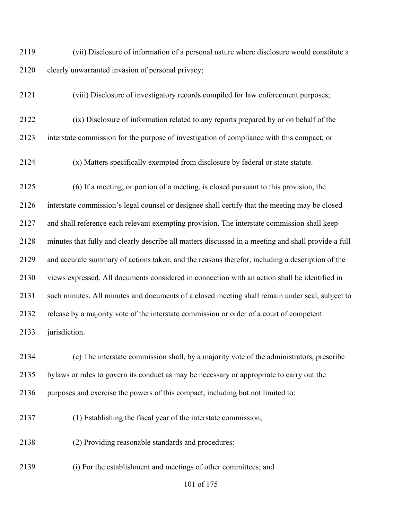(vii) Disclosure of information of a personal nature where disclosure would constitute a clearly unwarranted invasion of personal privacy;

(viii) Disclosure of investigatory records compiled for law enforcement purposes;

 (ix) Disclosure of information related to any reports prepared by or on behalf of the interstate commission for the purpose of investigation of compliance with this compact; or

(x) Matters specifically exempted from disclosure by federal or state statute.

 (6) If a meeting, or portion of a meeting, is closed pursuant to this provision, the interstate commission's legal counsel or designee shall certify that the meeting may be closed and shall reference each relevant exempting provision. The interstate commission shall keep minutes that fully and clearly describe all matters discussed in a meeting and shall provide a full and accurate summary of actions taken, and the reasons therefor, including a description of the views expressed. All documents considered in connection with an action shall be identified in such minutes. All minutes and documents of a closed meeting shall remain under seal, subject to release by a majority vote of the interstate commission or order of a court of competent jurisdiction.

 (c) The interstate commission shall, by a majority vote of the administrators, prescribe bylaws or rules to govern its conduct as may be necessary or appropriate to carry out the purposes and exercise the powers of this compact, including but not limited to:

(1) Establishing the fiscal year of the interstate commission;

(2) Providing reasonable standards and procedures:

(i) For the establishment and meetings of other committees; and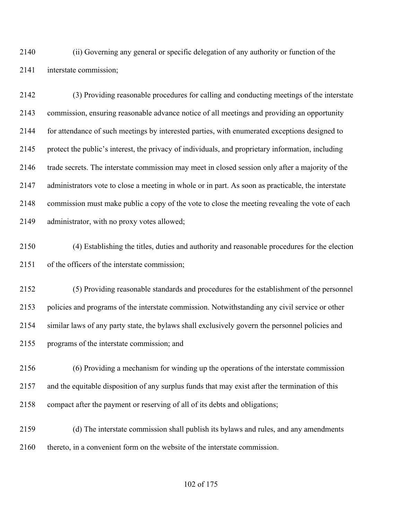(ii) Governing any general or specific delegation of any authority or function of the interstate commission;

 (3) Providing reasonable procedures for calling and conducting meetings of the interstate commission, ensuring reasonable advance notice of all meetings and providing an opportunity for attendance of such meetings by interested parties, with enumerated exceptions designed to protect the public's interest, the privacy of individuals, and proprietary information, including trade secrets. The interstate commission may meet in closed session only after a majority of the administrators vote to close a meeting in whole or in part. As soon as practicable, the interstate commission must make public a copy of the vote to close the meeting revealing the vote of each administrator, with no proxy votes allowed;

 (4) Establishing the titles, duties and authority and reasonable procedures for the election of the officers of the interstate commission;

 (5) Providing reasonable standards and procedures for the establishment of the personnel policies and programs of the interstate commission. Notwithstanding any civil service or other similar laws of any party state, the bylaws shall exclusively govern the personnel policies and programs of the interstate commission; and

 (6) Providing a mechanism for winding up the operations of the interstate commission and the equitable disposition of any surplus funds that may exist after the termination of this compact after the payment or reserving of all of its debts and obligations;

 (d) The interstate commission shall publish its bylaws and rules, and any amendments thereto, in a convenient form on the website of the interstate commission.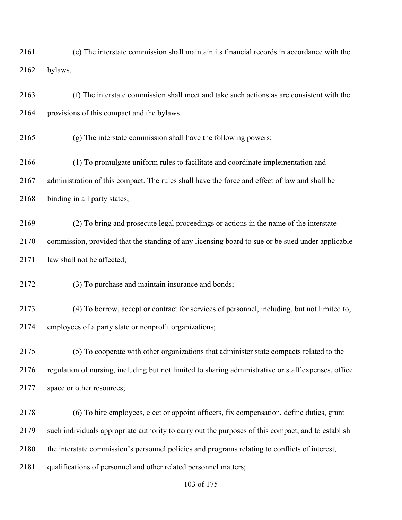(e) The interstate commission shall maintain its financial records in accordance with the bylaws.

 (f) The interstate commission shall meet and take such actions as are consistent with the provisions of this compact and the bylaws.

(g) The interstate commission shall have the following powers:

 (1) To promulgate uniform rules to facilitate and coordinate implementation and administration of this compact. The rules shall have the force and effect of law and shall be binding in all party states;

 (2) To bring and prosecute legal proceedings or actions in the name of the interstate commission, provided that the standing of any licensing board to sue or be sued under applicable 2171 law shall not be affected;

(3) To purchase and maintain insurance and bonds;

 (4) To borrow, accept or contract for services of personnel, including, but not limited to, employees of a party state or nonprofit organizations;

 (5) To cooperate with other organizations that administer state compacts related to the regulation of nursing, including but not limited to sharing administrative or staff expenses, office 2177 space or other resources;

 (6) To hire employees, elect or appoint officers, fix compensation, define duties, grant such individuals appropriate authority to carry out the purposes of this compact, and to establish the interstate commission's personnel policies and programs relating to conflicts of interest, qualifications of personnel and other related personnel matters;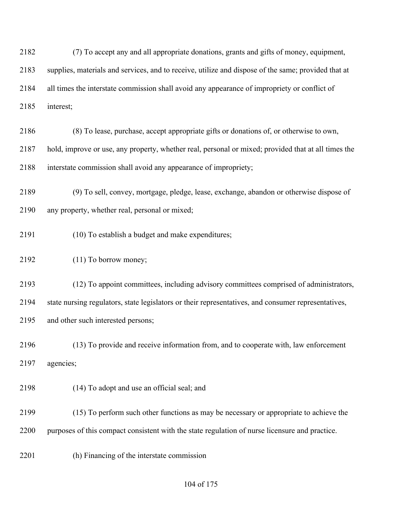(7) To accept any and all appropriate donations, grants and gifts of money, equipment, supplies, materials and services, and to receive, utilize and dispose of the same; provided that at all times the interstate commission shall avoid any appearance of impropriety or conflict of interest;

- (8) To lease, purchase, accept appropriate gifts or donations of, or otherwise to own, hold, improve or use, any property, whether real, personal or mixed; provided that at all times the interstate commission shall avoid any appearance of impropriety;
- (9) To sell, convey, mortgage, pledge, lease, exchange, abandon or otherwise dispose of any property, whether real, personal or mixed;
- (10) To establish a budget and make expenditures;
- (11) To borrow money;
- (12) To appoint committees, including advisory committees comprised of administrators, state nursing regulators, state legislators or their representatives, and consumer representatives, and other such interested persons;
- (13) To provide and receive information from, and to cooperate with, law enforcement agencies;
- (14) To adopt and use an official seal; and
- (15) To perform such other functions as may be necessary or appropriate to achieve the purposes of this compact consistent with the state regulation of nurse licensure and practice.
- (h) Financing of the interstate commission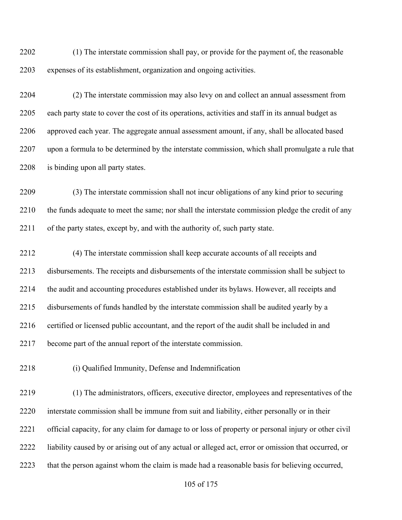(1) The interstate commission shall pay, or provide for the payment of, the reasonable expenses of its establishment, organization and ongoing activities.

 (2) The interstate commission may also levy on and collect an annual assessment from each party state to cover the cost of its operations, activities and staff in its annual budget as approved each year. The aggregate annual assessment amount, if any, shall be allocated based upon a formula to be determined by the interstate commission, which shall promulgate a rule that 2208 is binding upon all party states.

 (3) The interstate commission shall not incur obligations of any kind prior to securing the funds adequate to meet the same; nor shall the interstate commission pledge the credit of any of the party states, except by, and with the authority of, such party state.

 (4) The interstate commission shall keep accurate accounts of all receipts and disbursements. The receipts and disbursements of the interstate commission shall be subject to the audit and accounting procedures established under its bylaws. However, all receipts and disbursements of funds handled by the interstate commission shall be audited yearly by a 2216 certified or licensed public accountant, and the report of the audit shall be included in and become part of the annual report of the interstate commission.

(i) Qualified Immunity, Defense and Indemnification

 (1) The administrators, officers, executive director, employees and representatives of the interstate commission shall be immune from suit and liability, either personally or in their official capacity, for any claim for damage to or loss of property or personal injury or other civil liability caused by or arising out of any actual or alleged act, error or omission that occurred, or that the person against whom the claim is made had a reasonable basis for believing occurred,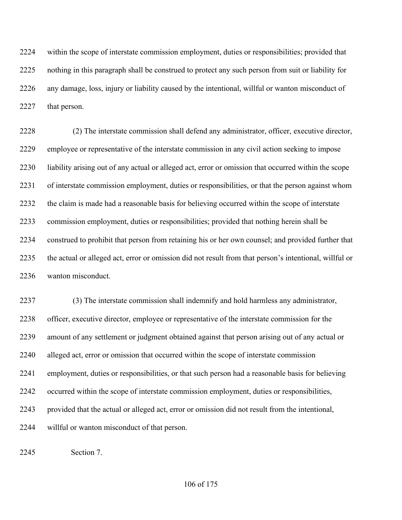within the scope of interstate commission employment, duties or responsibilities; provided that nothing in this paragraph shall be construed to protect any such person from suit or liability for any damage, loss, injury or liability caused by the intentional, willful or wanton misconduct of 2227 that person.

 (2) The interstate commission shall defend any administrator, officer, executive director, employee or representative of the interstate commission in any civil action seeking to impose liability arising out of any actual or alleged act, error or omission that occurred within the scope of interstate commission employment, duties or responsibilities, or that the person against whom the claim is made had a reasonable basis for believing occurred within the scope of interstate commission employment, duties or responsibilities; provided that nothing herein shall be construed to prohibit that person from retaining his or her own counsel; and provided further that the actual or alleged act, error or omission did not result from that person's intentional, willful or wanton misconduct.

 (3) The interstate commission shall indemnify and hold harmless any administrator, officer, executive director, employee or representative of the interstate commission for the amount of any settlement or judgment obtained against that person arising out of any actual or alleged act, error or omission that occurred within the scope of interstate commission employment, duties or responsibilities, or that such person had a reasonable basis for believing occurred within the scope of interstate commission employment, duties or responsibilities, provided that the actual or alleged act, error or omission did not result from the intentional, willful or wanton misconduct of that person.

Section 7.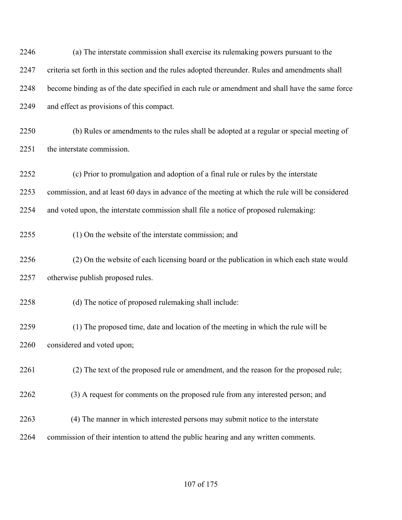| 2246 | (a) The interstate commission shall exercise its rulemaking powers pursuant to the              |
|------|-------------------------------------------------------------------------------------------------|
| 2247 | criteria set forth in this section and the rules adopted thereunder. Rules and amendments shall |
| 2248 | become binding as of the date specified in each rule or amendment and shall have the same force |
| 2249 | and effect as provisions of this compact.                                                       |
| 2250 | (b) Rules or amendments to the rules shall be adopted at a regular or special meeting of        |
| 2251 | the interstate commission.                                                                      |
| 2252 | (c) Prior to promulgation and adoption of a final rule or rules by the interstate               |
| 2253 | commission, and at least 60 days in advance of the meeting at which the rule will be considered |
| 2254 | and voted upon, the interstate commission shall file a notice of proposed rulemaking:           |
| 2255 | (1) On the website of the interstate commission; and                                            |
| 2256 | (2) On the website of each licensing board or the publication in which each state would         |
| 2257 | otherwise publish proposed rules.                                                               |
| 2258 | (d) The notice of proposed rulemaking shall include:                                            |
| 2259 | (1) The proposed time, date and location of the meeting in which the rule will be               |
| 2260 | considered and voted upon;                                                                      |
| 2261 | (2) The text of the proposed rule or amendment, and the reason for the proposed rule;           |
| 2262 | (3) A request for comments on the proposed rule from any interested person; and                 |
| 2263 | (4) The manner in which interested persons may submit notice to the interstate                  |
| 2264 | commission of their intention to attend the public hearing and any written comments.            |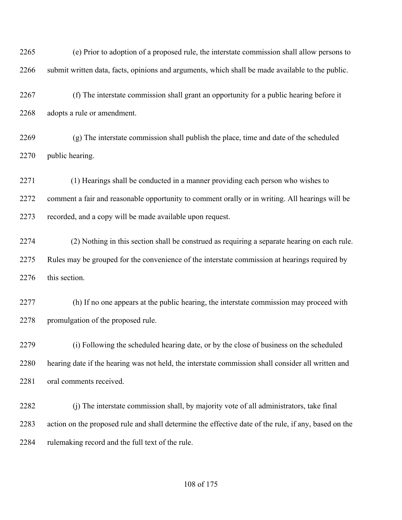(e) Prior to adoption of a proposed rule, the interstate commission shall allow persons to submit written data, facts, opinions and arguments, which shall be made available to the public.

 (f) The interstate commission shall grant an opportunity for a public hearing before it adopts a rule or amendment.

 (g) The interstate commission shall publish the place, time and date of the scheduled public hearing.

 (1) Hearings shall be conducted in a manner providing each person who wishes to comment a fair and reasonable opportunity to comment orally or in writing. All hearings will be recorded, and a copy will be made available upon request.

 (2) Nothing in this section shall be construed as requiring a separate hearing on each rule. Rules may be grouped for the convenience of the interstate commission at hearings required by 2276 this section.

 (h) If no one appears at the public hearing, the interstate commission may proceed with promulgation of the proposed rule.

 (i) Following the scheduled hearing date, or by the close of business on the scheduled hearing date if the hearing was not held, the interstate commission shall consider all written and oral comments received.

 (j) The interstate commission shall, by majority vote of all administrators, take final action on the proposed rule and shall determine the effective date of the rule, if any, based on the 2284 rulemaking record and the full text of the rule.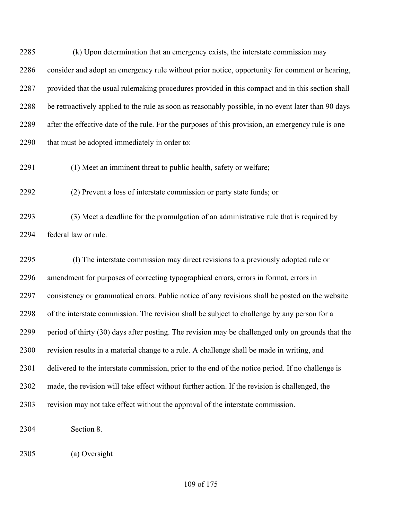(k) Upon determination that an emergency exists, the interstate commission may consider and adopt an emergency rule without prior notice, opportunity for comment or hearing, provided that the usual rulemaking procedures provided in this compact and in this section shall be retroactively applied to the rule as soon as reasonably possible, in no event later than 90 days after the effective date of the rule. For the purposes of this provision, an emergency rule is one that must be adopted immediately in order to:

(1) Meet an imminent threat to public health, safety or welfare;

(2) Prevent a loss of interstate commission or party state funds; or

 (3) Meet a deadline for the promulgation of an administrative rule that is required by federal law or rule.

 (l) The interstate commission may direct revisions to a previously adopted rule or amendment for purposes of correcting typographical errors, errors in format, errors in consistency or grammatical errors. Public notice of any revisions shall be posted on the website of the interstate commission. The revision shall be subject to challenge by any person for a period of thirty (30) days after posting. The revision may be challenged only on grounds that the revision results in a material change to a rule. A challenge shall be made in writing, and delivered to the interstate commission, prior to the end of the notice period. If no challenge is made, the revision will take effect without further action. If the revision is challenged, the revision may not take effect without the approval of the interstate commission.

Section 8.

(a) Oversight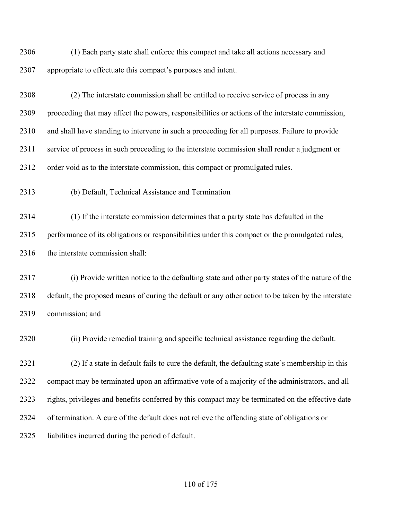(1) Each party state shall enforce this compact and take all actions necessary and appropriate to effectuate this compact's purposes and intent.

 (2) The interstate commission shall be entitled to receive service of process in any proceeding that may affect the powers, responsibilities or actions of the interstate commission, and shall have standing to intervene in such a proceeding for all purposes. Failure to provide service of process in such proceeding to the interstate commission shall render a judgment or order void as to the interstate commission, this compact or promulgated rules.

(b) Default, Technical Assistance and Termination

 (1) If the interstate commission determines that a party state has defaulted in the performance of its obligations or responsibilities under this compact or the promulgated rules, 2316 the interstate commission shall:

 (i) Provide written notice to the defaulting state and other party states of the nature of the default, the proposed means of curing the default or any other action to be taken by the interstate commission; and

(ii) Provide remedial training and specific technical assistance regarding the default.

 (2) If a state in default fails to cure the default, the defaulting state's membership in this compact may be terminated upon an affirmative vote of a majority of the administrators, and all rights, privileges and benefits conferred by this compact may be terminated on the effective date of termination. A cure of the default does not relieve the offending state of obligations or liabilities incurred during the period of default.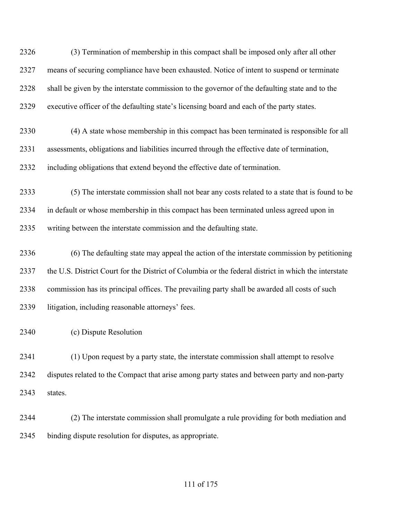(3) Termination of membership in this compact shall be imposed only after all other means of securing compliance have been exhausted. Notice of intent to suspend or terminate shall be given by the interstate commission to the governor of the defaulting state and to the executive officer of the defaulting state's licensing board and each of the party states.

- (4) A state whose membership in this compact has been terminated is responsible for all assessments, obligations and liabilities incurred through the effective date of termination, including obligations that extend beyond the effective date of termination.
- (5) The interstate commission shall not bear any costs related to a state that is found to be in default or whose membership in this compact has been terminated unless agreed upon in writing between the interstate commission and the defaulting state.

 (6) The defaulting state may appeal the action of the interstate commission by petitioning the U.S. District Court for the District of Columbia or the federal district in which the interstate commission has its principal offices. The prevailing party shall be awarded all costs of such litigation, including reasonable attorneys' fees.

(c) Dispute Resolution

 (1) Upon request by a party state, the interstate commission shall attempt to resolve disputes related to the Compact that arise among party states and between party and non-party states.

 (2) The interstate commission shall promulgate a rule providing for both mediation and binding dispute resolution for disputes, as appropriate.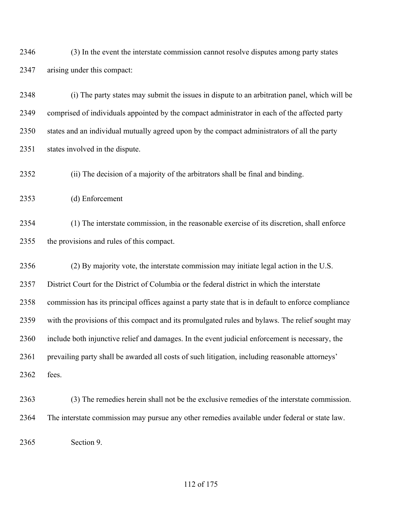(3) In the event the interstate commission cannot resolve disputes among party states arising under this compact:

 (i) The party states may submit the issues in dispute to an arbitration panel, which will be comprised of individuals appointed by the compact administrator in each of the affected party states and an individual mutually agreed upon by the compact administrators of all the party states involved in the dispute.

(ii) The decision of a majority of the arbitrators shall be final and binding.

(d) Enforcement

 (1) The interstate commission, in the reasonable exercise of its discretion, shall enforce the provisions and rules of this compact.

 (2) By majority vote, the interstate commission may initiate legal action in the U.S. District Court for the District of Columbia or the federal district in which the interstate commission has its principal offices against a party state that is in default to enforce compliance with the provisions of this compact and its promulgated rules and bylaws. The relief sought may include both injunctive relief and damages. In the event judicial enforcement is necessary, the 2361 prevailing party shall be awarded all costs of such litigation, including reasonable attorneys' fees.

 (3) The remedies herein shall not be the exclusive remedies of the interstate commission. The interstate commission may pursue any other remedies available under federal or state law.

Section 9.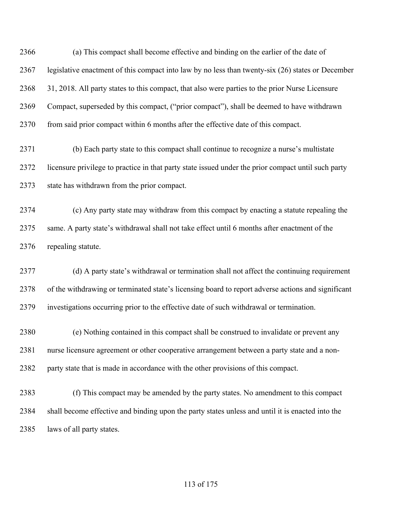(a) This compact shall become effective and binding on the earlier of the date of legislative enactment of this compact into law by no less than twenty-six (26) states or December 31, 2018. All party states to this compact, that also were parties to the prior Nurse Licensure Compact, superseded by this compact, ("prior compact"), shall be deemed to have withdrawn 2370 from said prior compact within 6 months after the effective date of this compact.

 (b) Each party state to this compact shall continue to recognize a nurse's multistate licensure privilege to practice in that party state issued under the prior compact until such party state has withdrawn from the prior compact.

 (c) Any party state may withdraw from this compact by enacting a statute repealing the same. A party state's withdrawal shall not take effect until 6 months after enactment of the repealing statute.

 (d) A party state's withdrawal or termination shall not affect the continuing requirement of the withdrawing or terminated state's licensing board to report adverse actions and significant investigations occurring prior to the effective date of such withdrawal or termination.

 (e) Nothing contained in this compact shall be construed to invalidate or prevent any nurse licensure agreement or other cooperative arrangement between a party state and a non-party state that is made in accordance with the other provisions of this compact.

 (f) This compact may be amended by the party states. No amendment to this compact shall become effective and binding upon the party states unless and until it is enacted into the laws of all party states.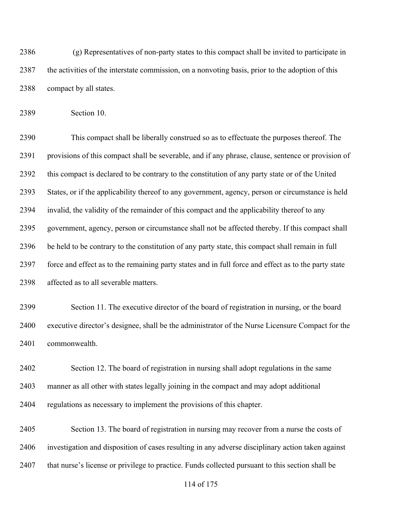(g) Representatives of non-party states to this compact shall be invited to participate in the activities of the interstate commission, on a nonvoting basis, prior to the adoption of this compact by all states.

Section 10.

 This compact shall be liberally construed so as to effectuate the purposes thereof. The provisions of this compact shall be severable, and if any phrase, clause, sentence or provision of this compact is declared to be contrary to the constitution of any party state or of the United States, or if the applicability thereof to any government, agency, person or circumstance is held invalid, the validity of the remainder of this compact and the applicability thereof to any government, agency, person or circumstance shall not be affected thereby. If this compact shall be held to be contrary to the constitution of any party state, this compact shall remain in full force and effect as to the remaining party states and in full force and effect as to the party state affected as to all severable matters.

 Section 11. The executive director of the board of registration in nursing, or the board executive director's designee, shall be the administrator of the Nurse Licensure Compact for the commonwealth.

 Section 12. The board of registration in nursing shall adopt regulations in the same manner as all other with states legally joining in the compact and may adopt additional regulations as necessary to implement the provisions of this chapter.

 Section 13. The board of registration in nursing may recover from a nurse the costs of investigation and disposition of cases resulting in any adverse disciplinary action taken against that nurse's license or privilege to practice. Funds collected pursuant to this section shall be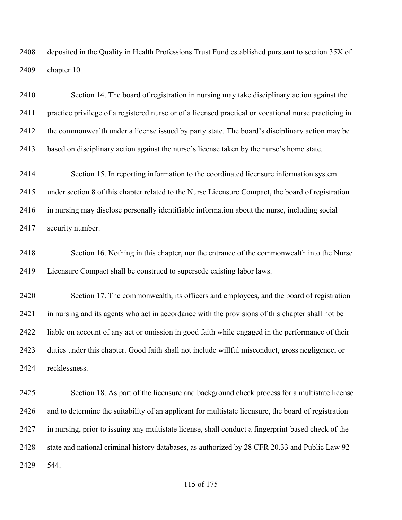deposited in the Quality in Health Professions Trust Fund established pursuant to section 35X of chapter 10.

 Section 14. The board of registration in nursing may take disciplinary action against the practice privilege of a registered nurse or of a licensed practical or vocational nurse practicing in the commonwealth under a license issued by party state. The board's disciplinary action may be based on disciplinary action against the nurse's license taken by the nurse's home state.

 Section 15. In reporting information to the coordinated licensure information system under section 8 of this chapter related to the Nurse Licensure Compact, the board of registration in nursing may disclose personally identifiable information about the nurse, including social security number.

 Section 16. Nothing in this chapter, nor the entrance of the commonwealth into the Nurse Licensure Compact shall be construed to supersede existing labor laws.

 Section 17. The commonwealth, its officers and employees, and the board of registration in nursing and its agents who act in accordance with the provisions of this chapter shall not be liable on account of any act or omission in good faith while engaged in the performance of their duties under this chapter. Good faith shall not include willful misconduct, gross negligence, or recklessness.

 Section 18. As part of the licensure and background check process for a multistate license and to determine the suitability of an applicant for multistate licensure, the board of registration in nursing, prior to issuing any multistate license, shall conduct a fingerprint-based check of the state and national criminal history databases, as authorized by 28 CFR 20.33 and Public Law 92- 544.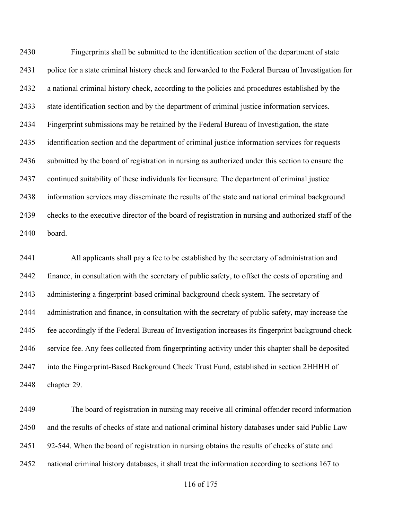Fingerprints shall be submitted to the identification section of the department of state police for a state criminal history check and forwarded to the Federal Bureau of Investigation for a national criminal history check, according to the policies and procedures established by the state identification section and by the department of criminal justice information services. Fingerprint submissions may be retained by the Federal Bureau of Investigation, the state identification section and the department of criminal justice information services for requests submitted by the board of registration in nursing as authorized under this section to ensure the continued suitability of these individuals for licensure. The department of criminal justice information services may disseminate the results of the state and national criminal background checks to the executive director of the board of registration in nursing and authorized staff of the board.

 All applicants shall pay a fee to be established by the secretary of administration and finance, in consultation with the secretary of public safety, to offset the costs of operating and administering a fingerprint-based criminal background check system. The secretary of administration and finance, in consultation with the secretary of public safety, may increase the fee accordingly if the Federal Bureau of Investigation increases its fingerprint background check service fee. Any fees collected from fingerprinting activity under this chapter shall be deposited into the Fingerprint-Based Background Check Trust Fund, established in section 2HHHH of chapter 29.

 The board of registration in nursing may receive all criminal offender record information and the results of checks of state and national criminal history databases under said Public Law 92-544. When the board of registration in nursing obtains the results of checks of state and national criminal history databases, it shall treat the information according to sections 167 to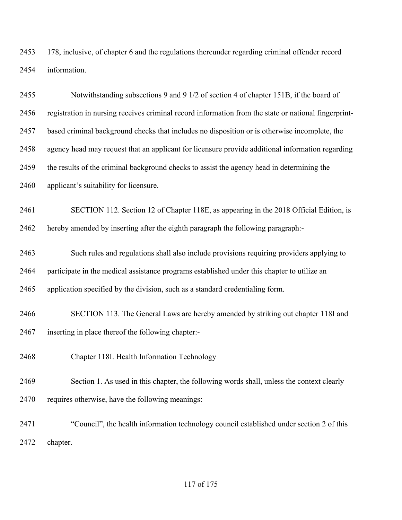178, inclusive, of chapter 6 and the regulations thereunder regarding criminal offender record information.

| 2455 | Notwithstanding subsections 9 and 9 1/2 of section 4 of chapter 151B, if the board of                |
|------|------------------------------------------------------------------------------------------------------|
| 2456 | registration in nursing receives criminal record information from the state or national fingerprint- |
| 2457 | based criminal background checks that includes no disposition or is otherwise incomplete, the        |
| 2458 | agency head may request that an applicant for licensure provide additional information regarding     |
| 2459 | the results of the criminal background checks to assist the agency head in determining the           |
| 2460 | applicant's suitability for licensure.                                                               |
| 2461 | SECTION 112. Section 12 of Chapter 118E, as appearing in the 2018 Official Edition, is               |
| 2462 | hereby amended by inserting after the eighth paragraph the following paragraph:-                     |
| 2463 | Such rules and regulations shall also include provisions requiring providers applying to             |
| 2464 | participate in the medical assistance programs established under this chapter to utilize an          |
| 2465 | application specified by the division, such as a standard credentialing form.                        |
| 2466 | SECTION 113. The General Laws are hereby amended by striking out chapter 118I and                    |
| 2467 | inserting in place thereof the following chapter:-                                                   |
| 2468 | Chapter 118I. Health Information Technology                                                          |
| 2469 | Section 1. As used in this chapter, the following words shall, unless the context clearly            |
| 2470 | requires otherwise, have the following meanings:                                                     |
| 2471 | "Council", the health information technology council established under section 2 of this             |
| 2472 | chapter.                                                                                             |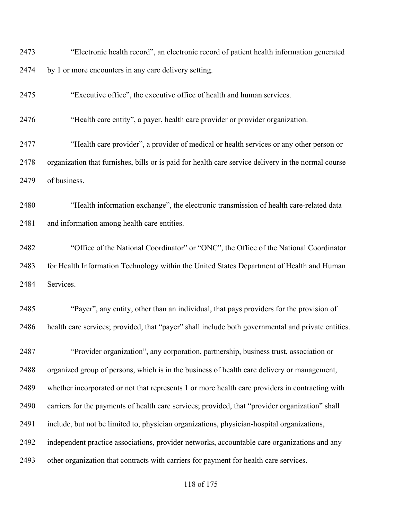"Electronic health record", an electronic record of patient health information generated by 1 or more encounters in any care delivery setting.

"Executive office", the executive office of health and human services.

"Health care entity", a payer, health care provider or provider organization.

 "Health care provider", a provider of medical or health services or any other person or organization that furnishes, bills or is paid for health care service delivery in the normal course of business.

 "Health information exchange", the electronic transmission of health care-related data and information among health care entities.

 "Office of the National Coordinator" or "ONC", the Office of the National Coordinator 2483 for Health Information Technology within the United States Department of Health and Human Services.

 "Payer", any entity, other than an individual, that pays providers for the provision of health care services; provided, that "payer" shall include both governmental and private entities.

 "Provider organization", any corporation, partnership, business trust, association or organized group of persons, which is in the business of health care delivery or management, whether incorporated or not that represents 1 or more health care providers in contracting with carriers for the payments of health care services; provided, that "provider organization" shall include, but not be limited to, physician organizations, physician-hospital organizations, independent practice associations, provider networks, accountable care organizations and any other organization that contracts with carriers for payment for health care services.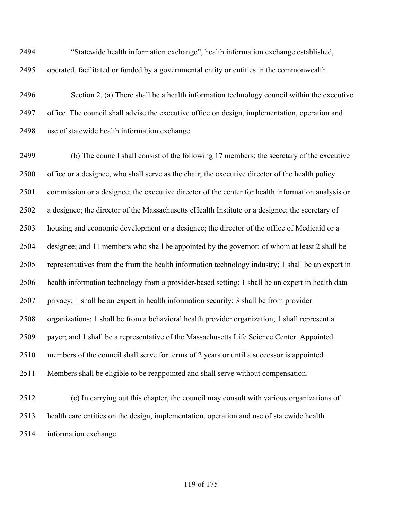"Statewide health information exchange", health information exchange established, operated, facilitated or funded by a governmental entity or entities in the commonwealth.

 Section 2. (a) There shall be a health information technology council within the executive office. The council shall advise the executive office on design, implementation, operation and use of statewide health information exchange.

 (b) The council shall consist of the following 17 members: the secretary of the executive office or a designee, who shall serve as the chair; the executive director of the health policy commission or a designee; the executive director of the center for health information analysis or a designee; the director of the Massachusetts eHealth Institute or a designee; the secretary of housing and economic development or a designee; the director of the office of Medicaid or a designee; and 11 members who shall be appointed by the governor: of whom at least 2 shall be representatives from the from the health information technology industry; 1 shall be an expert in health information technology from a provider-based setting; 1 shall be an expert in health data privacy; 1 shall be an expert in health information security; 3 shall be from provider organizations; 1 shall be from a behavioral health provider organization; 1 shall represent a payer; and 1 shall be a representative of the Massachusetts Life Science Center. Appointed members of the council shall serve for terms of 2 years or until a successor is appointed. Members shall be eligible to be reappointed and shall serve without compensation. (c) In carrying out this chapter, the council may consult with various organizations of health care entities on the design, implementation, operation and use of statewide health

information exchange.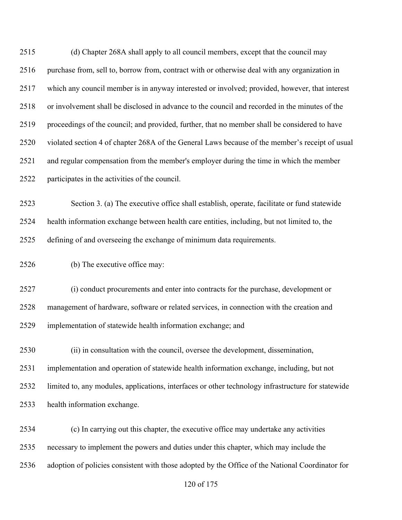(d) Chapter 268A shall apply to all council members, except that the council may 2516 purchase from, sell to, borrow from, contract with or otherwise deal with any organization in which any council member is in anyway interested or involved; provided, however, that interest or involvement shall be disclosed in advance to the council and recorded in the minutes of the proceedings of the council; and provided, further, that no member shall be considered to have violated section 4 of chapter 268A of the General Laws because of the member's receipt of usual and regular compensation from the member's employer during the time in which the member participates in the activities of the council.

 Section 3. (a) The executive office shall establish, operate, facilitate or fund statewide health information exchange between health care entities, including, but not limited to, the defining of and overseeing the exchange of minimum data requirements.

(b) The executive office may:

 (i) conduct procurements and enter into contracts for the purchase, development or management of hardware, software or related services, in connection with the creation and implementation of statewide health information exchange; and

 (ii) in consultation with the council, oversee the development, dissemination, implementation and operation of statewide health information exchange, including, but not limited to, any modules, applications, interfaces or other technology infrastructure for statewide health information exchange.

 (c) In carrying out this chapter, the executive office may undertake any activities necessary to implement the powers and duties under this chapter, which may include the adoption of policies consistent with those adopted by the Office of the National Coordinator for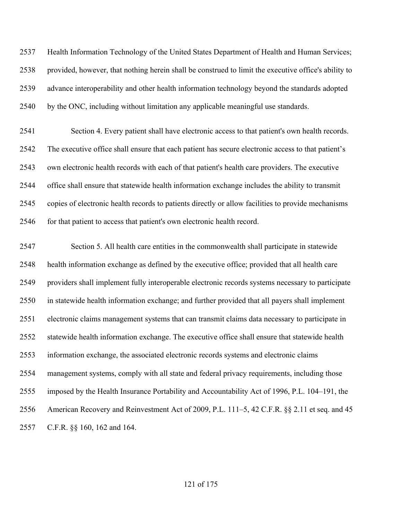Health Information Technology of the United States Department of Health and Human Services; provided, however, that nothing herein shall be construed to limit the executive office's ability to advance interoperability and other health information technology beyond the standards adopted by the ONC, including without limitation any applicable meaningful use standards.

 Section 4. Every patient shall have electronic access to that patient's own health records. The executive office shall ensure that each patient has secure electronic access to that patient's own electronic health records with each of that patient's health care providers. The executive office shall ensure that statewide health information exchange includes the ability to transmit copies of electronic health records to patients directly or allow facilities to provide mechanisms 2546 for that patient to access that patient's own electronic health record.

 Section 5. All health care entities in the commonwealth shall participate in statewide health information exchange as defined by the executive office; provided that all health care providers shall implement fully interoperable electronic records systems necessary to participate in statewide health information exchange; and further provided that all payers shall implement electronic claims management systems that can transmit claims data necessary to participate in statewide health information exchange. The executive office shall ensure that statewide health information exchange, the associated electronic records systems and electronic claims management systems, comply with all state and federal privacy requirements, including those imposed by the Health Insurance Portability and Accountability Act of 1996, P.L. 104–191, the American Recovery and Reinvestment Act of 2009, P.L. 111–5, 42 C.F.R. §§ 2.11 et seq. and 45 C.F.R. §§ 160, 162 and 164.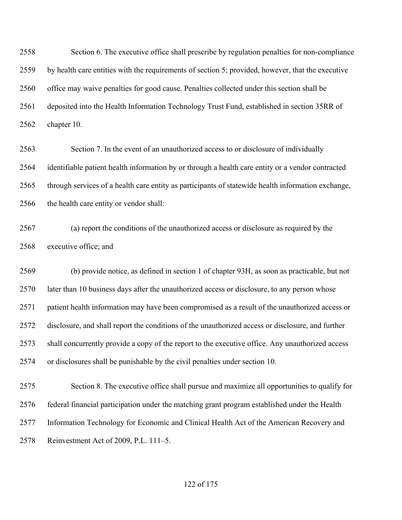Section 6. The executive office shall prescribe by regulation penalties for non-compliance by health care entities with the requirements of section 5; provided, however, that the executive office may waive penalties for good cause. Penalties collected under this section shall be deposited into the Health Information Technology Trust Fund, established in section 35RR of chapter 10.

 Section 7. In the event of an unauthorized access to or disclosure of individually identifiable patient health information by or through a health care entity or a vendor contracted through services of a health care entity as participants of statewide health information exchange, the health care entity or vendor shall:

 (a) report the conditions of the unauthorized access or disclosure as required by the executive office; and

 (b) provide notice, as defined in section 1 of chapter 93H, as soon as practicable, but not later than 10 business days after the unauthorized access or disclosure, to any person whose patient health information may have been compromised as a result of the unauthorized access or disclosure, and shall report the conditions of the unauthorized access or disclosure, and further shall concurrently provide a copy of the report to the executive office. Any unauthorized access or disclosures shall be punishable by the civil penalties under section 10.

 Section 8. The executive office shall pursue and maximize all opportunities to qualify for federal financial participation under the matching grant program established under the Health Information Technology for Economic and Clinical Health Act of the American Recovery and Reinvestment Act of 2009, P.L. 111–5.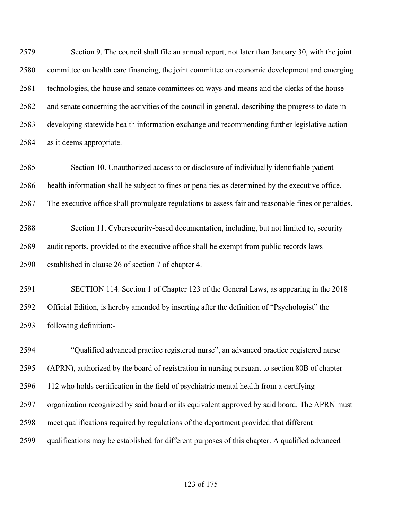Section 9. The council shall file an annual report, not later than January 30, with the joint committee on health care financing, the joint committee on economic development and emerging technologies, the house and senate committees on ways and means and the clerks of the house and senate concerning the activities of the council in general, describing the progress to date in developing statewide health information exchange and recommending further legislative action as it deems appropriate.

 Section 10. Unauthorized access to or disclosure of individually identifiable patient health information shall be subject to fines or penalties as determined by the executive office. The executive office shall promulgate regulations to assess fair and reasonable fines or penalties.

 Section 11. Cybersecurity-based documentation, including, but not limited to, security audit reports, provided to the executive office shall be exempt from public records laws established in clause 26 of section 7 of chapter 4.

 SECTION 114. Section 1 of Chapter 123 of the General Laws, as appearing in the 2018 Official Edition, is hereby amended by inserting after the definition of "Psychologist" the following definition:-

 "Qualified advanced practice registered nurse", an advanced practice registered nurse (APRN), authorized by the board of registration in nursing pursuant to section 80B of chapter 112 who holds certification in the field of psychiatric mental health from a certifying organization recognized by said board or its equivalent approved by said board. The APRN must meet qualifications required by regulations of the department provided that different qualifications may be established for different purposes of this chapter. A qualified advanced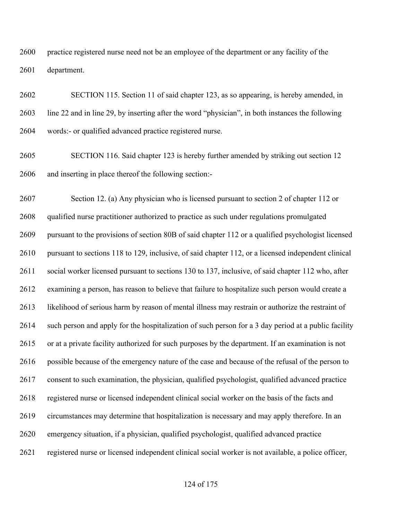practice registered nurse need not be an employee of the department or any facility of the department.

 SECTION 115. Section 11 of said chapter 123, as so appearing, is hereby amended, in line 22 and in line 29, by inserting after the word "physician", in both instances the following words:- or qualified advanced practice registered nurse.

 SECTION 116. Said chapter 123 is hereby further amended by striking out section 12 and inserting in place thereof the following section:-

 Section 12. (a) Any physician who is licensed pursuant to section 2 of chapter 112 or qualified nurse practitioner authorized to practice as such under regulations promulgated pursuant to the provisions of section 80B of said chapter 112 or a qualified psychologist licensed pursuant to sections 118 to 129, inclusive, of said chapter 112, or a licensed independent clinical social worker licensed pursuant to sections 130 to 137, inclusive, of said chapter 112 who, after examining a person, has reason to believe that failure to hospitalize such person would create a likelihood of serious harm by reason of mental illness may restrain or authorize the restraint of such person and apply for the hospitalization of such person for a 3 day period at a public facility or at a private facility authorized for such purposes by the department. If an examination is not possible because of the emergency nature of the case and because of the refusal of the person to consent to such examination, the physician, qualified psychologist, qualified advanced practice registered nurse or licensed independent clinical social worker on the basis of the facts and circumstances may determine that hospitalization is necessary and may apply therefore. In an emergency situation, if a physician, qualified psychologist, qualified advanced practice registered nurse or licensed independent clinical social worker is not available, a police officer,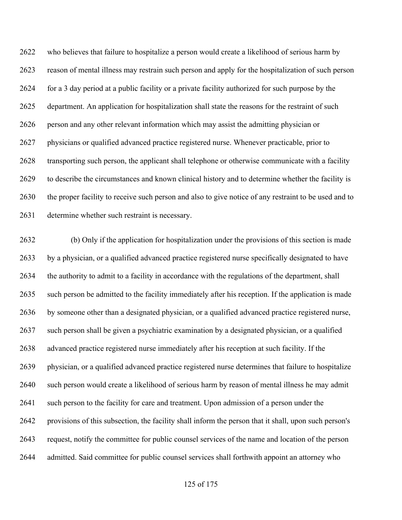who believes that failure to hospitalize a person would create a likelihood of serious harm by reason of mental illness may restrain such person and apply for the hospitalization of such person for a 3 day period at a public facility or a private facility authorized for such purpose by the department. An application for hospitalization shall state the reasons for the restraint of such person and any other relevant information which may assist the admitting physician or physicians or qualified advanced practice registered nurse. Whenever practicable, prior to transporting such person, the applicant shall telephone or otherwise communicate with a facility to describe the circumstances and known clinical history and to determine whether the facility is the proper facility to receive such person and also to give notice of any restraint to be used and to determine whether such restraint is necessary.

 (b) Only if the application for hospitalization under the provisions of this section is made by a physician, or a qualified advanced practice registered nurse specifically designated to have the authority to admit to a facility in accordance with the regulations of the department, shall such person be admitted to the facility immediately after his reception. If the application is made by someone other than a designated physician, or a qualified advanced practice registered nurse, such person shall be given a psychiatric examination by a designated physician, or a qualified advanced practice registered nurse immediately after his reception at such facility. If the physician, or a qualified advanced practice registered nurse determines that failure to hospitalize such person would create a likelihood of serious harm by reason of mental illness he may admit 2641 such person to the facility for care and treatment. Upon admission of a person under the provisions of this subsection, the facility shall inform the person that it shall, upon such person's request, notify the committee for public counsel services of the name and location of the person admitted. Said committee for public counsel services shall forthwith appoint an attorney who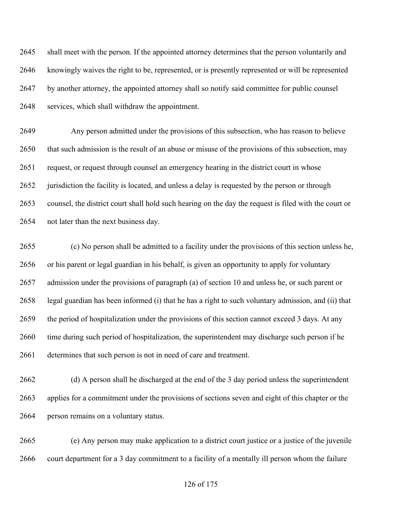shall meet with the person. If the appointed attorney determines that the person voluntarily and knowingly waives the right to be, represented, or is presently represented or will be represented by another attorney, the appointed attorney shall so notify said committee for public counsel services, which shall withdraw the appointment.

 Any person admitted under the provisions of this subsection, who has reason to believe that such admission is the result of an abuse or misuse of the provisions of this subsection, may request, or request through counsel an emergency hearing in the district court in whose 2652 jurisdiction the facility is located, and unless a delay is requested by the person or through counsel, the district court shall hold such hearing on the day the request is filed with the court or not later than the next business day.

 (c) No person shall be admitted to a facility under the provisions of this section unless he, or his parent or legal guardian in his behalf, is given an opportunity to apply for voluntary admission under the provisions of paragraph (a) of section 10 and unless he, or such parent or legal guardian has been informed (i) that he has a right to such voluntary admission, and (ii) that the period of hospitalization under the provisions of this section cannot exceed 3 days. At any time during such period of hospitalization, the superintendent may discharge such person if he determines that such person is not in need of care and treatment.

 (d) A person shall be discharged at the end of the 3 day period unless the superintendent applies for a commitment under the provisions of sections seven and eight of this chapter or the person remains on a voluntary status.

 (e) Any person may make application to a district court justice or a justice of the juvenile court department for a 3 day commitment to a facility of a mentally ill person whom the failure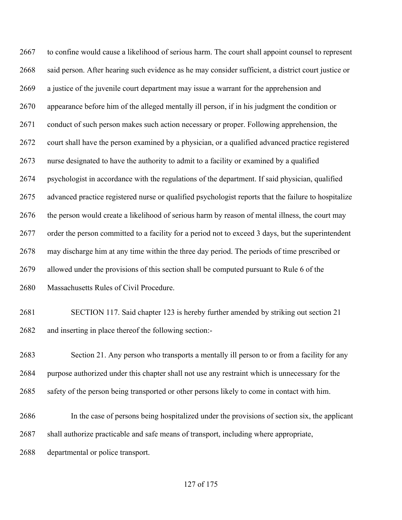to confine would cause a likelihood of serious harm. The court shall appoint counsel to represent said person. After hearing such evidence as he may consider sufficient, a district court justice or a justice of the juvenile court department may issue a warrant for the apprehension and appearance before him of the alleged mentally ill person, if in his judgment the condition or 2671 conduct of such person makes such action necessary or proper. Following apprehension, the court shall have the person examined by a physician, or a qualified advanced practice registered nurse designated to have the authority to admit to a facility or examined by a qualified psychologist in accordance with the regulations of the department. If said physician, qualified advanced practice registered nurse or qualified psychologist reports that the failure to hospitalize the person would create a likelihood of serious harm by reason of mental illness, the court may order the person committed to a facility for a period not to exceed 3 days, but the superintendent may discharge him at any time within the three day period. The periods of time prescribed or allowed under the provisions of this section shall be computed pursuant to Rule 6 of the Massachusetts Rules of Civil Procedure.

 SECTION 117. Said chapter 123 is hereby further amended by striking out section 21 and inserting in place thereof the following section:-

 Section 21. Any person who transports a mentally ill person to or from a facility for any purpose authorized under this chapter shall not use any restraint which is unnecessary for the safety of the person being transported or other persons likely to come in contact with him.

 In the case of persons being hospitalized under the provisions of section six, the applicant shall authorize practicable and safe means of transport, including where appropriate,

departmental or police transport.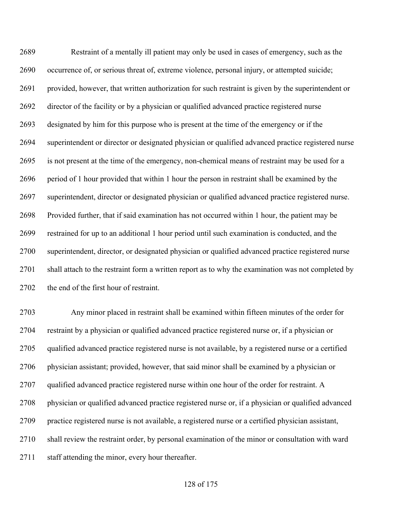Restraint of a mentally ill patient may only be used in cases of emergency, such as the occurrence of, or serious threat of, extreme violence, personal injury, or attempted suicide; provided, however, that written authorization for such restraint is given by the superintendent or director of the facility or by a physician or qualified advanced practice registered nurse designated by him for this purpose who is present at the time of the emergency or if the superintendent or director or designated physician or qualified advanced practice registered nurse is not present at the time of the emergency, non-chemical means of restraint may be used for a period of 1 hour provided that within 1 hour the person in restraint shall be examined by the superintendent, director or designated physician or qualified advanced practice registered nurse. Provided further, that if said examination has not occurred within 1 hour, the patient may be restrained for up to an additional 1 hour period until such examination is conducted, and the superintendent, director, or designated physician or qualified advanced practice registered nurse shall attach to the restraint form a written report as to why the examination was not completed by 2702 the end of the first hour of restraint.

 Any minor placed in restraint shall be examined within fifteen minutes of the order for restraint by a physician or qualified advanced practice registered nurse or, if a physician or qualified advanced practice registered nurse is not available, by a registered nurse or a certified physician assistant; provided, however, that said minor shall be examined by a physician or 2707 qualified advanced practice registered nurse within one hour of the order for restraint. A physician or qualified advanced practice registered nurse or, if a physician or qualified advanced practice registered nurse is not available, a registered nurse or a certified physician assistant, shall review the restraint order, by personal examination of the minor or consultation with ward staff attending the minor, every hour thereafter.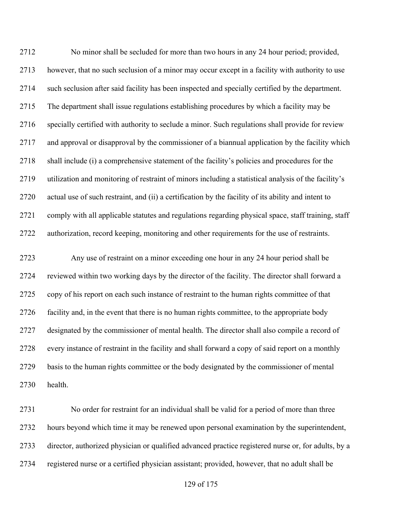No minor shall be secluded for more than two hours in any 24 hour period; provided, however, that no such seclusion of a minor may occur except in a facility with authority to use such seclusion after said facility has been inspected and specially certified by the department. The department shall issue regulations establishing procedures by which a facility may be specially certified with authority to seclude a minor. Such regulations shall provide for review and approval or disapproval by the commissioner of a biannual application by the facility which shall include (i) a comprehensive statement of the facility's policies and procedures for the utilization and monitoring of restraint of minors including a statistical analysis of the facility's actual use of such restraint, and (ii) a certification by the facility of its ability and intent to comply with all applicable statutes and regulations regarding physical space, staff training, staff authorization, record keeping, monitoring and other requirements for the use of restraints.

 Any use of restraint on a minor exceeding one hour in any 24 hour period shall be reviewed within two working days by the director of the facility. The director shall forward a copy of his report on each such instance of restraint to the human rights committee of that facility and, in the event that there is no human rights committee, to the appropriate body designated by the commissioner of mental health. The director shall also compile a record of every instance of restraint in the facility and shall forward a copy of said report on a monthly basis to the human rights committee or the body designated by the commissioner of mental health.

 No order for restraint for an individual shall be valid for a period of more than three hours beyond which time it may be renewed upon personal examination by the superintendent, director, authorized physician or qualified advanced practice registered nurse or, for adults, by a registered nurse or a certified physician assistant; provided, however, that no adult shall be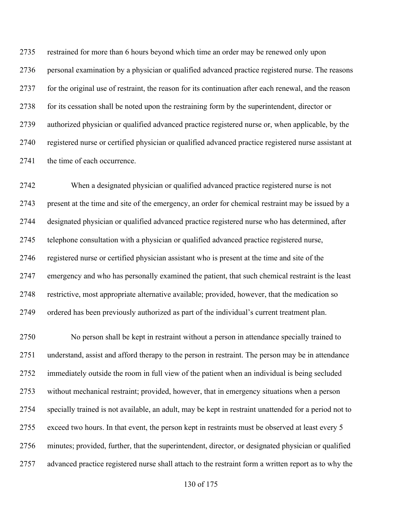restrained for more than 6 hours beyond which time an order may be renewed only upon personal examination by a physician or qualified advanced practice registered nurse. The reasons for the original use of restraint, the reason for its continuation after each renewal, and the reason for its cessation shall be noted upon the restraining form by the superintendent, director or authorized physician or qualified advanced practice registered nurse or, when applicable, by the registered nurse or certified physician or qualified advanced practice registered nurse assistant at 2741 the time of each occurrence.

 When a designated physician or qualified advanced practice registered nurse is not present at the time and site of the emergency, an order for chemical restraint may be issued by a designated physician or qualified advanced practice registered nurse who has determined, after telephone consultation with a physician or qualified advanced practice registered nurse, registered nurse or certified physician assistant who is present at the time and site of the emergency and who has personally examined the patient, that such chemical restraint is the least restrictive, most appropriate alternative available; provided, however, that the medication so ordered has been previously authorized as part of the individual's current treatment plan.

 No person shall be kept in restraint without a person in attendance specially trained to understand, assist and afford therapy to the person in restraint. The person may be in attendance immediately outside the room in full view of the patient when an individual is being secluded without mechanical restraint; provided, however, that in emergency situations when a person specially trained is not available, an adult, may be kept in restraint unattended for a period not to exceed two hours. In that event, the person kept in restraints must be observed at least every 5 minutes; provided, further, that the superintendent, director, or designated physician or qualified advanced practice registered nurse shall attach to the restraint form a written report as to why the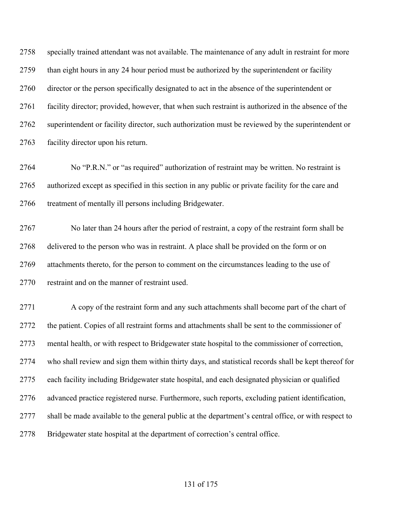specially trained attendant was not available. The maintenance of any adult in restraint for more than eight hours in any 24 hour period must be authorized by the superintendent or facility director or the person specifically designated to act in the absence of the superintendent or facility director; provided, however, that when such restraint is authorized in the absence of the superintendent or facility director, such authorization must be reviewed by the superintendent or facility director upon his return.

 No "P.R.N." or "as required" authorization of restraint may be written. No restraint is authorized except as specified in this section in any public or private facility for the care and 2766 treatment of mentally ill persons including Bridgewater.

 No later than 24 hours after the period of restraint, a copy of the restraint form shall be delivered to the person who was in restraint. A place shall be provided on the form or on attachments thereto, for the person to comment on the circumstances leading to the use of 2770 restraint and on the manner of restraint used.

 A copy of the restraint form and any such attachments shall become part of the chart of the patient. Copies of all restraint forms and attachments shall be sent to the commissioner of mental health, or with respect to Bridgewater state hospital to the commissioner of correction, who shall review and sign them within thirty days, and statistical records shall be kept thereof for each facility including Bridgewater state hospital, and each designated physician or qualified advanced practice registered nurse. Furthermore, such reports, excluding patient identification, shall be made available to the general public at the department's central office, or with respect to Bridgewater state hospital at the department of correction's central office.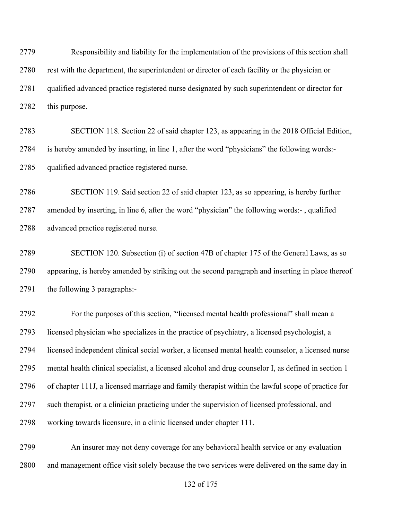Responsibility and liability for the implementation of the provisions of this section shall rest with the department, the superintendent or director of each facility or the physician or qualified advanced practice registered nurse designated by such superintendent or director for this purpose.

 SECTION 118. Section 22 of said chapter 123, as appearing in the 2018 Official Edition, is hereby amended by inserting, in line 1, after the word "physicians" the following words:- qualified advanced practice registered nurse.

 SECTION 119. Said section 22 of said chapter 123, as so appearing, is hereby further amended by inserting, in line 6, after the word "physician" the following words:- , qualified advanced practice registered nurse.

 SECTION 120. Subsection (i) of section 47B of chapter 175 of the General Laws, as so appearing, is hereby amended by striking out the second paragraph and inserting in place thereof the following 3 paragraphs:-

 For the purposes of this section, '"licensed mental health professional" shall mean a licensed physician who specializes in the practice of psychiatry, a licensed psychologist, a licensed independent clinical social worker, a licensed mental health counselor, a licensed nurse mental health clinical specialist, a licensed alcohol and drug counselor I, as defined in section 1 of chapter 111J, a licensed marriage and family therapist within the lawful scope of practice for such therapist, or a clinician practicing under the supervision of licensed professional, and working towards licensure, in a clinic licensed under chapter 111.

 An insurer may not deny coverage for any behavioral health service or any evaluation and management office visit solely because the two services were delivered on the same day in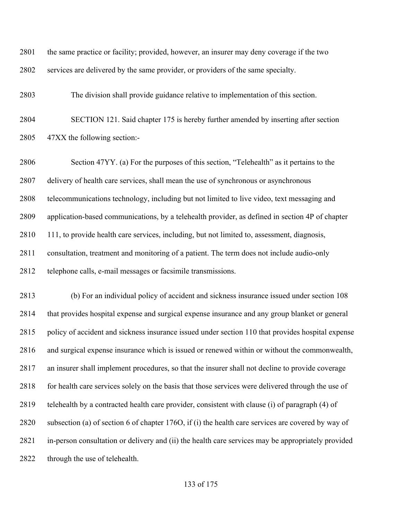the same practice or facility; provided, however, an insurer may deny coverage if the two services are delivered by the same provider, or providers of the same specialty.

The division shall provide guidance relative to implementation of this section.

 SECTION 121. Said chapter 175 is hereby further amended by inserting after section 47XX the following section:-

 Section 47YY. (a) For the purposes of this section, "Telehealth" as it pertains to the delivery of health care services, shall mean the use of synchronous or asynchronous telecommunications technology, including but not limited to live video, text messaging and application-based communications, by a telehealth provider, as defined in section 4P of chapter 111, to provide health care services, including, but not limited to, assessment, diagnosis, consultation, treatment and monitoring of a patient. The term does not include audio-only telephone calls, e-mail messages or facsimile transmissions.

 (b) For an individual policy of accident and sickness insurance issued under section 108 that provides hospital expense and surgical expense insurance and any group blanket or general policy of accident and sickness insurance issued under section 110 that provides hospital expense and surgical expense insurance which is issued or renewed within or without the commonwealth, an insurer shall implement procedures, so that the insurer shall not decline to provide coverage 2818 for health care services solely on the basis that those services were delivered through the use of telehealth by a contracted health care provider, consistent with clause (i) of paragraph (4) of subsection (a) of section 6 of chapter 176O, if (i) the health care services are covered by way of in-person consultation or delivery and (ii) the health care services may be appropriately provided through the use of telehealth.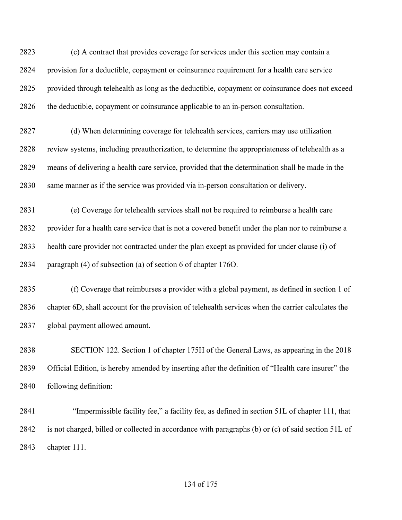(c) A contract that provides coverage for services under this section may contain a provision for a deductible, copayment or coinsurance requirement for a health care service provided through telehealth as long as the deductible, copayment or coinsurance does not exceed the deductible, copayment or coinsurance applicable to an in-person consultation.

 (d) When determining coverage for telehealth services, carriers may use utilization review systems, including preauthorization, to determine the appropriateness of telehealth as a means of delivering a health care service, provided that the determination shall be made in the same manner as if the service was provided via in-person consultation or delivery.

 (e) Coverage for telehealth services shall not be required to reimburse a health care provider for a health care service that is not a covered benefit under the plan nor to reimburse a health care provider not contracted under the plan except as provided for under clause (i) of paragraph (4) of subsection (a) of section 6 of chapter 176O.

 (f) Coverage that reimburses a provider with a global payment, as defined in section 1 of chapter 6D, shall account for the provision of telehealth services when the carrier calculates the global payment allowed amount.

 SECTION 122. Section 1 of chapter 175H of the General Laws, as appearing in the 2018 Official Edition, is hereby amended by inserting after the definition of "Health care insurer" the following definition:

 "Impermissible facility fee," a facility fee, as defined in section 51L of chapter 111, that is not charged, billed or collected in accordance with paragraphs (b) or (c) of said section 51L of chapter 111.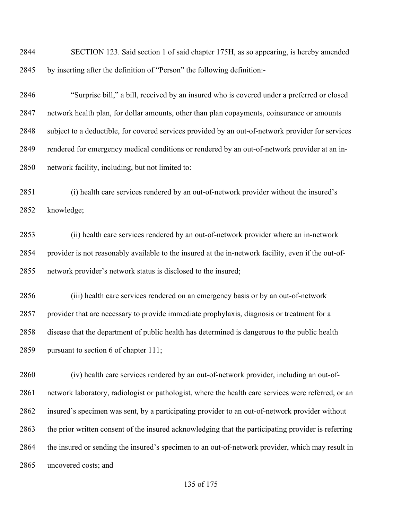SECTION 123. Said section 1 of said chapter 175H, as so appearing, is hereby amended by inserting after the definition of "Person" the following definition:-

 "Surprise bill," a bill, received by an insured who is covered under a preferred or closed network health plan, for dollar amounts, other than plan copayments, coinsurance or amounts subject to a deductible, for covered services provided by an out-of-network provider for services rendered for emergency medical conditions or rendered by an out-of-network provider at an in-network facility, including, but not limited to:

 (i) health care services rendered by an out-of-network provider without the insured's knowledge;

 (ii) health care services rendered by an out-of-network provider where an in-network provider is not reasonably available to the insured at the in-network facility, even if the out-of-network provider's network status is disclosed to the insured;

 (iii) health care services rendered on an emergency basis or by an out-of-network provider that are necessary to provide immediate prophylaxis, diagnosis or treatment for a disease that the department of public health has determined is dangerous to the public health pursuant to section 6 of chapter 111;

 (iv) health care services rendered by an out-of-network provider, including an out-of- network laboratory, radiologist or pathologist, where the health care services were referred, or an insured's specimen was sent, by a participating provider to an out-of-network provider without the prior written consent of the insured acknowledging that the participating provider is referring the insured or sending the insured's specimen to an out-of-network provider, which may result in uncovered costs; and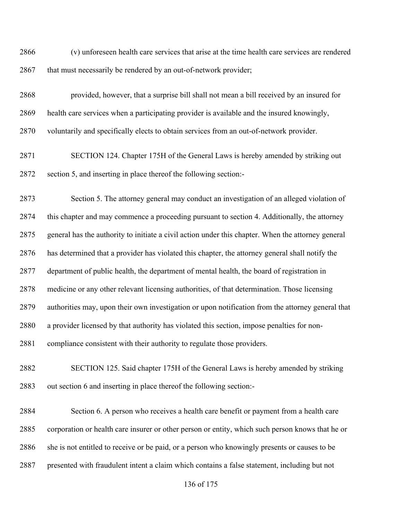(v) unforeseen health care services that arise at the time health care services are rendered 2867 that must necessarily be rendered by an out-of-network provider;

 provided, however, that a surprise bill shall not mean a bill received by an insured for health care services when a participating provider is available and the insured knowingly, voluntarily and specifically elects to obtain services from an out-of-network provider.

 SECTION 124. Chapter 175H of the General Laws is hereby amended by striking out section 5, and inserting in place thereof the following section:-

 Section 5. The attorney general may conduct an investigation of an alleged violation of this chapter and may commence a proceeding pursuant to section 4. Additionally, the attorney general has the authority to initiate a civil action under this chapter. When the attorney general has determined that a provider has violated this chapter, the attorney general shall notify the department of public health, the department of mental health, the board of registration in medicine or any other relevant licensing authorities, of that determination. Those licensing authorities may, upon their own investigation or upon notification from the attorney general that a provider licensed by that authority has violated this section, impose penalties for non-compliance consistent with their authority to regulate those providers.

 SECTION 125. Said chapter 175H of the General Laws is hereby amended by striking out section 6 and inserting in place thereof the following section:-

 Section 6. A person who receives a health care benefit or payment from a health care corporation or health care insurer or other person or entity, which such person knows that he or 2886 she is not entitled to receive or be paid, or a person who knowingly presents or causes to be presented with fraudulent intent a claim which contains a false statement, including but not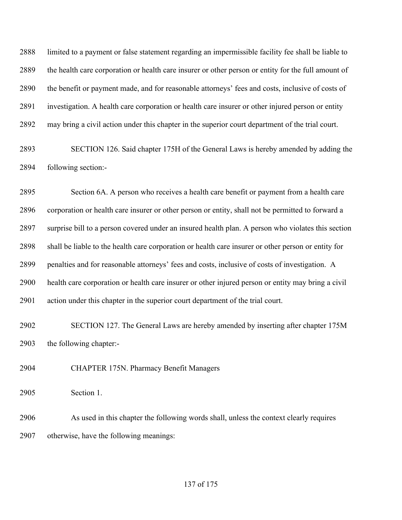limited to a payment or false statement regarding an impermissible facility fee shall be liable to the health care corporation or health care insurer or other person or entity for the full amount of the benefit or payment made, and for reasonable attorneys' fees and costs, inclusive of costs of investigation. A health care corporation or health care insurer or other injured person or entity may bring a civil action under this chapter in the superior court department of the trial court.

 SECTION 126. Said chapter 175H of the General Laws is hereby amended by adding the following section:-

 Section 6A. A person who receives a health care benefit or payment from a health care corporation or health care insurer or other person or entity, shall not be permitted to forward a surprise bill to a person covered under an insured health plan. A person who violates this section shall be liable to the health care corporation or health care insurer or other person or entity for penalties and for reasonable attorneys' fees and costs, inclusive of costs of investigation. A health care corporation or health care insurer or other injured person or entity may bring a civil action under this chapter in the superior court department of the trial court.

 SECTION 127. The General Laws are hereby amended by inserting after chapter 175M the following chapter:-

CHAPTER 175N. Pharmacy Benefit Managers

Section 1.

 As used in this chapter the following words shall, unless the context clearly requires otherwise, have the following meanings: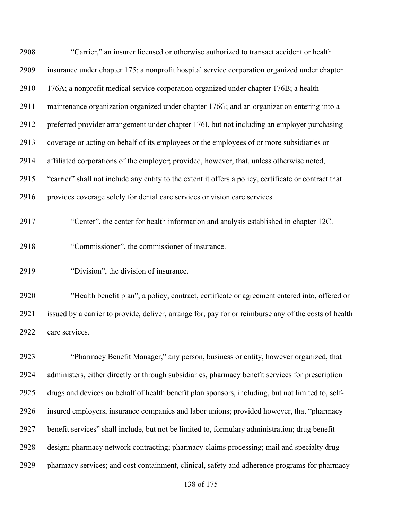| 2908 | "Carrier," an insurer licensed or otherwise authorized to transact accident or health                 |
|------|-------------------------------------------------------------------------------------------------------|
| 2909 | insurance under chapter 175; a nonprofit hospital service corporation organized under chapter         |
| 2910 | 176A; a nonprofit medical service corporation organized under chapter 176B; a health                  |
| 2911 | maintenance organization organized under chapter 176G; and an organization entering into a            |
| 2912 | preferred provider arrangement under chapter 176I, but not including an employer purchasing           |
| 2913 | coverage or acting on behalf of its employees or the employees of or more subsidiaries or             |
| 2914 | affiliated corporations of the employer; provided, however, that, unless otherwise noted,             |
| 2915 | "carrier" shall not include any entity to the extent it offers a policy, certificate or contract that |
| 2916 | provides coverage solely for dental care services or vision care services.                            |

"Center", the center for health information and analysis established in chapter 12C.

- "Commissioner", the commissioner of insurance.
- "Division", the division of insurance.

 "Health benefit plan", a policy, contract, certificate or agreement entered into, offered or issued by a carrier to provide, deliver, arrange for, pay for or reimburse any of the costs of health care services.

 "Pharmacy Benefit Manager," any person, business or entity, however organized, that administers, either directly or through subsidiaries, pharmacy benefit services for prescription drugs and devices on behalf of health benefit plan sponsors, including, but not limited to, self- insured employers, insurance companies and labor unions; provided however, that "pharmacy benefit services" shall include, but not be limited to, formulary administration; drug benefit design; pharmacy network contracting; pharmacy claims processing; mail and specialty drug pharmacy services; and cost containment, clinical, safety and adherence programs for pharmacy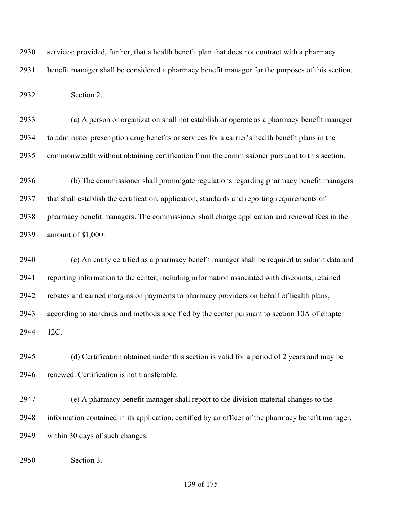services; provided, further, that a health benefit plan that does not contract with a pharmacy

benefit manager shall be considered a pharmacy benefit manager for the purposes of this section.

Section 2.

 (a) A person or organization shall not establish or operate as a pharmacy benefit manager to administer prescription drug benefits or services for a carrier's health benefit plans in the commonwealth without obtaining certification from the commissioner pursuant to this section.

 (b) The commissioner shall promulgate regulations regarding pharmacy benefit managers that shall establish the certification, application, standards and reporting requirements of pharmacy benefit managers. The commissioner shall charge application and renewal fees in the amount of \$1,000.

 (c) An entity certified as a pharmacy benefit manager shall be required to submit data and reporting information to the center, including information associated with discounts, retained rebates and earned margins on payments to pharmacy providers on behalf of health plans, according to standards and methods specified by the center pursuant to section 10A of chapter 12C.

 (d) Certification obtained under this section is valid for a period of 2 years and may be renewed. Certification is not transferable.

 (e) A pharmacy benefit manager shall report to the division material changes to the information contained in its application, certified by an officer of the pharmacy benefit manager, within 30 days of such changes.

Section 3.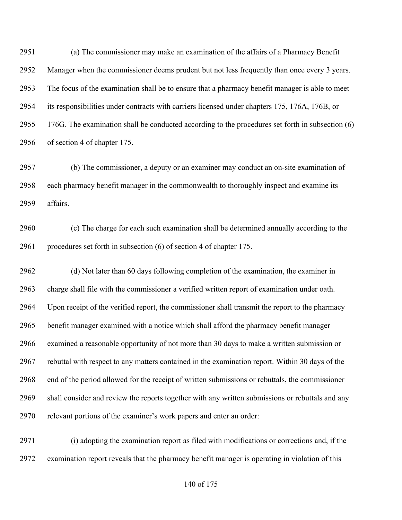(a) The commissioner may make an examination of the affairs of a Pharmacy Benefit Manager when the commissioner deems prudent but not less frequently than once every 3 years. The focus of the examination shall be to ensure that a pharmacy benefit manager is able to meet its responsibilities under contracts with carriers licensed under chapters 175, 176A, 176B, or 176G. The examination shall be conducted according to the procedures set forth in subsection (6) of section 4 of chapter 175.

 (b) The commissioner, a deputy or an examiner may conduct an on-site examination of each pharmacy benefit manager in the commonwealth to thoroughly inspect and examine its affairs.

 (c) The charge for each such examination shall be determined annually according to the procedures set forth in subsection (6) of section 4 of chapter 175.

 (d) Not later than 60 days following completion of the examination, the examiner in charge shall file with the commissioner a verified written report of examination under oath. Upon receipt of the verified report, the commissioner shall transmit the report to the pharmacy benefit manager examined with a notice which shall afford the pharmacy benefit manager examined a reasonable opportunity of not more than 30 days to make a written submission or rebuttal with respect to any matters contained in the examination report. Within 30 days of the end of the period allowed for the receipt of written submissions or rebuttals, the commissioner shall consider and review the reports together with any written submissions or rebuttals and any relevant portions of the examiner's work papers and enter an order:

 (i) adopting the examination report as filed with modifications or corrections and, if the examination report reveals that the pharmacy benefit manager is operating in violation of this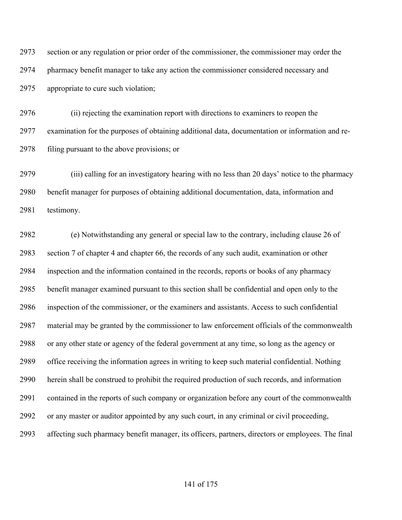section or any regulation or prior order of the commissioner, the commissioner may order the pharmacy benefit manager to take any action the commissioner considered necessary and appropriate to cure such violation;

 (ii) rejecting the examination report with directions to examiners to reopen the examination for the purposes of obtaining additional data, documentation or information and re-filing pursuant to the above provisions; or

 (iii) calling for an investigatory hearing with no less than 20 days' notice to the pharmacy benefit manager for purposes of obtaining additional documentation, data, information and testimony.

 (e) Notwithstanding any general or special law to the contrary, including clause 26 of section 7 of chapter 4 and chapter 66, the records of any such audit, examination or other inspection and the information contained in the records, reports or books of any pharmacy benefit manager examined pursuant to this section shall be confidential and open only to the inspection of the commissioner, or the examiners and assistants. Access to such confidential material may be granted by the commissioner to law enforcement officials of the commonwealth or any other state or agency of the federal government at any time, so long as the agency or office receiving the information agrees in writing to keep such material confidential. Nothing herein shall be construed to prohibit the required production of such records, and information contained in the reports of such company or organization before any court of the commonwealth or any master or auditor appointed by any such court, in any criminal or civil proceeding, affecting such pharmacy benefit manager, its officers, partners, directors or employees. The final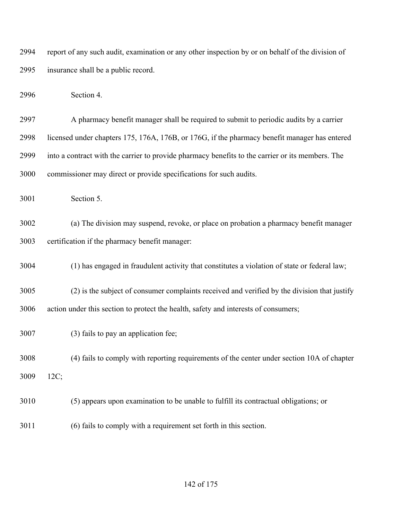report of any such audit, examination or any other inspection by or on behalf of the division of insurance shall be a public record.

Section 4.

 A pharmacy benefit manager shall be required to submit to periodic audits by a carrier licensed under chapters 175, 176A, 176B, or 176G, if the pharmacy benefit manager has entered into a contract with the carrier to provide pharmacy benefits to the carrier or its members. The commissioner may direct or provide specifications for such audits.

Section 5.

 (a) The division may suspend, revoke, or place on probation a pharmacy benefit manager certification if the pharmacy benefit manager:

(1) has engaged in fraudulent activity that constitutes a violation of state or federal law;

 (2) is the subject of consumer complaints received and verified by the division that justify action under this section to protect the health, safety and interests of consumers;

(3) fails to pay an application fee;

 (4) fails to comply with reporting requirements of the center under section 10A of chapter 12C;

- (5) appears upon examination to be unable to fulfill its contractual obligations; or
- (6) fails to comply with a requirement set forth in this section.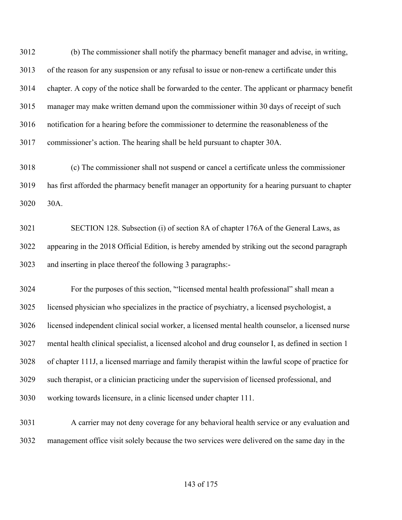(b) The commissioner shall notify the pharmacy benefit manager and advise, in writing, of the reason for any suspension or any refusal to issue or non-renew a certificate under this chapter. A copy of the notice shall be forwarded to the center. The applicant or pharmacy benefit manager may make written demand upon the commissioner within 30 days of receipt of such notification for a hearing before the commissioner to determine the reasonableness of the commissioner's action. The hearing shall be held pursuant to chapter 30A.

 (c) The commissioner shall not suspend or cancel a certificate unless the commissioner has first afforded the pharmacy benefit manager an opportunity for a hearing pursuant to chapter 30A.

 SECTION 128. Subsection (i) of section 8A of chapter 176A of the General Laws, as appearing in the 2018 Official Edition, is hereby amended by striking out the second paragraph and inserting in place thereof the following 3 paragraphs:-

 For the purposes of this section, '"licensed mental health professional" shall mean a licensed physician who specializes in the practice of psychiatry, a licensed psychologist, a licensed independent clinical social worker, a licensed mental health counselor, a licensed nurse mental health clinical specialist, a licensed alcohol and drug counselor I, as defined in section 1 of chapter 111J, a licensed marriage and family therapist within the lawful scope of practice for such therapist, or a clinician practicing under the supervision of licensed professional, and working towards licensure, in a clinic licensed under chapter 111.

 A carrier may not deny coverage for any behavioral health service or any evaluation and management office visit solely because the two services were delivered on the same day in the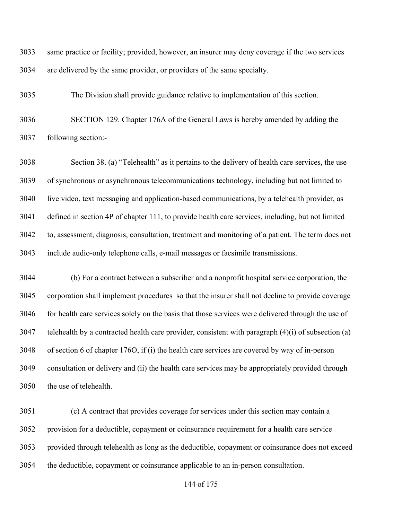same practice or facility; provided, however, an insurer may deny coverage if the two services are delivered by the same provider, or providers of the same specialty.

The Division shall provide guidance relative to implementation of this section.

 SECTION 129. Chapter 176A of the General Laws is hereby amended by adding the following section:-

 Section 38. (a) "Telehealth" as it pertains to the delivery of health care services, the use of synchronous or asynchronous telecommunications technology, including but not limited to live video, text messaging and application-based communications, by a telehealth provider, as defined in section 4P of chapter 111, to provide health care services, including, but not limited to, assessment, diagnosis, consultation, treatment and monitoring of a patient. The term does not include audio-only telephone calls, e-mail messages or facsimile transmissions.

 (b) For a contract between a subscriber and a nonprofit hospital service corporation, the corporation shall implement procedures so that the insurer shall not decline to provide coverage for health care services solely on the basis that those services were delivered through the use of telehealth by a contracted health care provider, consistent with paragraph  $(4)(i)$  of subsection (a) of section 6 of chapter 176O, if (i) the health care services are covered by way of in-person consultation or delivery and (ii) the health care services may be appropriately provided through the use of telehealth.

 (c) A contract that provides coverage for services under this section may contain a provision for a deductible, copayment or coinsurance requirement for a health care service provided through telehealth as long as the deductible, copayment or coinsurance does not exceed the deductible, copayment or coinsurance applicable to an in-person consultation.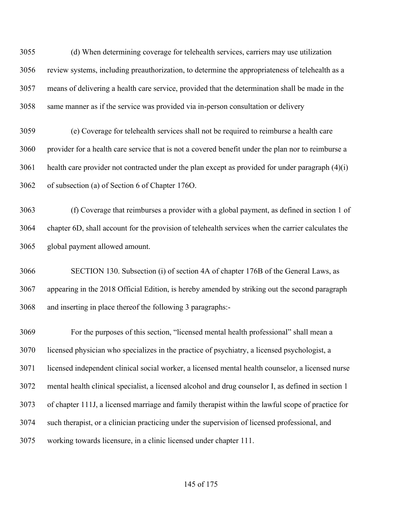(d) When determining coverage for telehealth services, carriers may use utilization review systems, including preauthorization, to determine the appropriateness of telehealth as a means of delivering a health care service, provided that the determination shall be made in the same manner as if the service was provided via in-person consultation or delivery

 (e) Coverage for telehealth services shall not be required to reimburse a health care provider for a health care service that is not a covered benefit under the plan nor to reimburse a health care provider not contracted under the plan except as provided for under paragraph  $(4)(i)$ of subsection (a) of Section 6 of Chapter 176O.

 (f) Coverage that reimburses a provider with a global payment, as defined in section 1 of chapter 6D, shall account for the provision of telehealth services when the carrier calculates the global payment allowed amount.

 SECTION 130. Subsection (i) of section 4A of chapter 176B of the General Laws, as appearing in the 2018 Official Edition, is hereby amended by striking out the second paragraph and inserting in place thereof the following 3 paragraphs:-

 For the purposes of this section, "licensed mental health professional" shall mean a licensed physician who specializes in the practice of psychiatry, a licensed psychologist, a licensed independent clinical social worker, a licensed mental health counselor, a licensed nurse mental health clinical specialist, a licensed alcohol and drug counselor I, as defined in section 1 of chapter 111J, a licensed marriage and family therapist within the lawful scope of practice for such therapist, or a clinician practicing under the supervision of licensed professional, and working towards licensure, in a clinic licensed under chapter 111.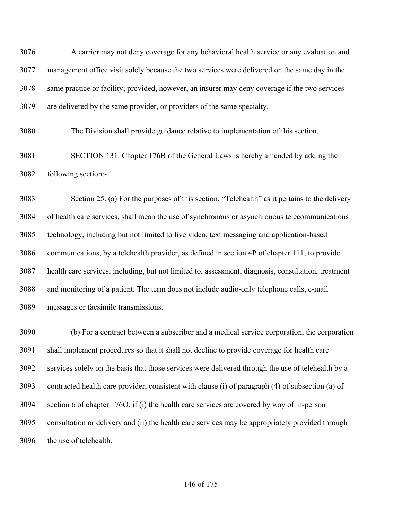A carrier may not deny coverage for any behavioral health service or any evaluation and management office visit solely because the two services were delivered on the same day in the same practice or facility; provided, however, an insurer may deny coverage if the two services are delivered by the same provider, or providers of the same specialty.

The Division shall provide guidance relative to implementation of this section.

 SECTION 131. Chapter 176B of the General Laws is hereby amended by adding the following section:-

 Section 25. (a) For the purposes of this section, "Telehealth" as it pertains to the delivery of health care services, shall mean the use of synchronous or asynchronous telecommunications technology, including but not limited to live video, text messaging and application-based communications, by a telehealth provider, as defined in section 4P of chapter 111, to provide health care services, including, but not limited to, assessment, diagnosis, consultation, treatment and monitoring of a patient. The term does not include audio-only telephone calls, e-mail messages or facsimile transmissions.

 (b) For a contract between a subscriber and a medical service corporation, the corporation shall implement procedures so that it shall not decline to provide coverage for health care services solely on the basis that those services were delivered through the use of telehealth by a contracted health care provider, consistent with clause (i) of paragraph (4) of subsection (a) of section 6 of chapter 176O, if (i) the health care services are covered by way of in-person consultation or delivery and (ii) the health care services may be appropriately provided through the use of telehealth.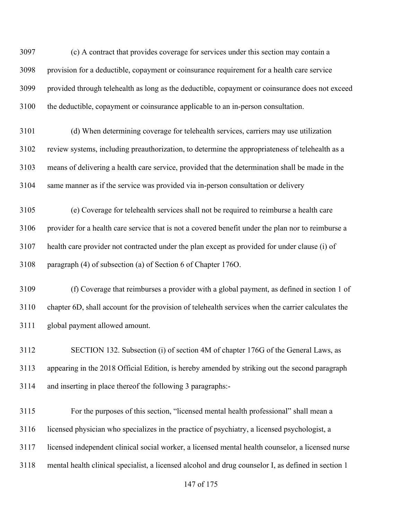(c) A contract that provides coverage for services under this section may contain a provision for a deductible, copayment or coinsurance requirement for a health care service provided through telehealth as long as the deductible, copayment or coinsurance does not exceed the deductible, copayment or coinsurance applicable to an in-person consultation.

 (d) When determining coverage for telehealth services, carriers may use utilization review systems, including preauthorization, to determine the appropriateness of telehealth as a means of delivering a health care service, provided that the determination shall be made in the same manner as if the service was provided via in-person consultation or delivery

 (e) Coverage for telehealth services shall not be required to reimburse a health care provider for a health care service that is not a covered benefit under the plan nor to reimburse a health care provider not contracted under the plan except as provided for under clause (i) of paragraph (4) of subsection (a) of Section 6 of Chapter 176O.

 (f) Coverage that reimburses a provider with a global payment, as defined in section 1 of chapter 6D, shall account for the provision of telehealth services when the carrier calculates the global payment allowed amount.

 SECTION 132. Subsection (i) of section 4M of chapter 176G of the General Laws, as appearing in the 2018 Official Edition, is hereby amended by striking out the second paragraph and inserting in place thereof the following 3 paragraphs:-

 For the purposes of this section, "licensed mental health professional" shall mean a licensed physician who specializes in the practice of psychiatry, a licensed psychologist, a licensed independent clinical social worker, a licensed mental health counselor, a licensed nurse mental health clinical specialist, a licensed alcohol and drug counselor I, as defined in section 1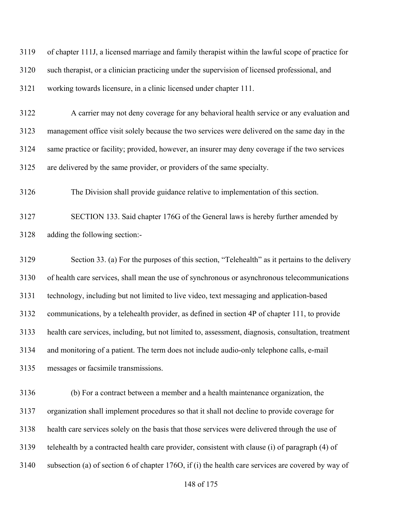| 3119 | of chapter 111J, a licensed marriage and family therapist within the lawful scope of practice for   |
|------|-----------------------------------------------------------------------------------------------------|
| 3120 | such therapist, or a clinician practicing under the supervision of licensed professional, and       |
| 3121 | working towards licensure, in a clinic licensed under chapter 111.                                  |
| 3122 | A carrier may not deny coverage for any behavioral health service or any evaluation and             |
| 3123 | management office visit solely because the two services were delivered on the same day in the       |
| 3124 | same practice or facility; provided, however, an insurer may deny coverage if the two services      |
| 3125 | are delivered by the same provider, or providers of the same specialty.                             |
| 3126 | The Division shall provide guidance relative to implementation of this section.                     |
| 3127 | SECTION 133. Said chapter 176G of the General laws is hereby further amended by                     |
| 3128 | adding the following section:-                                                                      |
| 3129 | Section 33. (a) For the purposes of this section, "Telehealth" as it pertains to the delivery       |
| 3130 | of health care services, shall mean the use of synchronous or asynchronous telecommunications       |
| 3131 | technology, including but not limited to live video, text messaging and application-based           |
| 3132 | communications, by a telehealth provider, as defined in section 4P of chapter 111, to provide       |
| 3133 | health care services, including, but not limited to, assessment, diagnosis, consultation, treatment |
| 3134 | and monitoring of a patient. The term does not include audio-only telephone calls, e-mail           |
| 3135 | messages or facsimile transmissions.                                                                |
| 3136 | (b) For a contract between a member and a health maintenance organization, the                      |
| 3137 | organization shall implement procedures so that it shall not decline to provide coverage for        |
| 3138 | health care services solely on the basis that those services were delivered through the use of      |
| 3139 | telehealth by a contracted health care provider, consistent with clause (i) of paragraph (4) of     |
| 3140 | subsection (a) of section 6 of chapter 1760, if (i) the health care services are covered by way of  |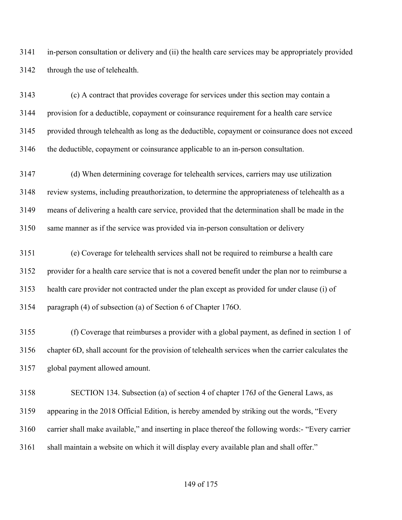in-person consultation or delivery and (ii) the health care services may be appropriately provided through the use of telehealth.

 (c) A contract that provides coverage for services under this section may contain a provision for a deductible, copayment or coinsurance requirement for a health care service provided through telehealth as long as the deductible, copayment or coinsurance does not exceed the deductible, copayment or coinsurance applicable to an in-person consultation.

 (d) When determining coverage for telehealth services, carriers may use utilization review systems, including preauthorization, to determine the appropriateness of telehealth as a means of delivering a health care service, provided that the determination shall be made in the same manner as if the service was provided via in-person consultation or delivery

 (e) Coverage for telehealth services shall not be required to reimburse a health care provider for a health care service that is not a covered benefit under the plan nor to reimburse a health care provider not contracted under the plan except as provided for under clause (i) of paragraph (4) of subsection (a) of Section 6 of Chapter 176O.

 (f) Coverage that reimburses a provider with a global payment, as defined in section 1 of chapter 6D, shall account for the provision of telehealth services when the carrier calculates the global payment allowed amount.

 SECTION 134. Subsection (a) of section 4 of chapter 176J of the General Laws, as appearing in the 2018 Official Edition, is hereby amended by striking out the words, "Every carrier shall make available," and inserting in place thereof the following words:- "Every carrier 3161 shall maintain a website on which it will display every available plan and shall offer."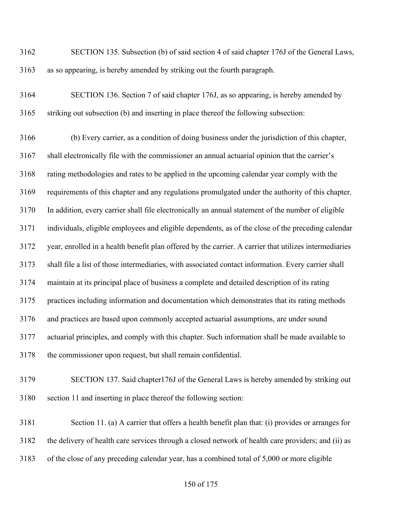SECTION 135. Subsection (b) of said section 4 of said chapter 176J of the General Laws, as so appearing, is hereby amended by striking out the fourth paragraph.

 SECTION 136. Section 7 of said chapter 176J, as so appearing, is hereby amended by striking out subsection (b) and inserting in place thereof the following subsection:

 (b) Every carrier, as a condition of doing business under the jurisdiction of this chapter, shall electronically file with the commissioner an annual actuarial opinion that the carrier's rating methodologies and rates to be applied in the upcoming calendar year comply with the requirements of this chapter and any regulations promulgated under the authority of this chapter. In addition, every carrier shall file electronically an annual statement of the number of eligible individuals, eligible employees and eligible dependents, as of the close of the preceding calendar year, enrolled in a health benefit plan offered by the carrier. A carrier that utilizes intermediaries shall file a list of those intermediaries, with associated contact information. Every carrier shall maintain at its principal place of business a complete and detailed description of its rating practices including information and documentation which demonstrates that its rating methods and practices are based upon commonly accepted actuarial assumptions, are under sound actuarial principles, and comply with this chapter. Such information shall be made available to the commissioner upon request, but shall remain confidential.

 SECTION 137. Said chapter176J of the General Laws is hereby amended by striking out section 11 and inserting in place thereof the following section:

 Section 11. (a) A carrier that offers a health benefit plan that: (i) provides or arranges for the delivery of health care services through a closed network of health care providers; and (ii) as of the close of any preceding calendar year, has a combined total of 5,000 or more eligible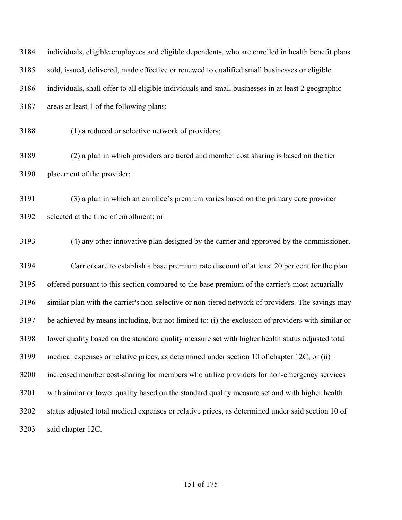| 3184 | individuals, eligible employees and eligible dependents, who are enrolled in health benefit plans  |
|------|----------------------------------------------------------------------------------------------------|
| 3185 | sold, issued, delivered, made effective or renewed to qualified small businesses or eligible       |
| 3186 | individuals, shall offer to all eligible individuals and small businesses in at least 2 geographic |
| 3187 | areas at least 1 of the following plans:                                                           |
| 3188 | (1) a reduced or selective network of providers;                                                   |
| 3189 | (2) a plan in which providers are tiered and member cost sharing is based on the tier              |
| 3190 | placement of the provider;                                                                         |
| 3191 | (3) a plan in which an enrollee's premium varies based on the primary care provider                |
| 3192 | selected at the time of enrollment; or                                                             |
| 3193 | (4) any other innovative plan designed by the carrier and approved by the commissioner.            |
| 3194 | Carriers are to establish a base premium rate discount of at least 20 per cent for the plan        |
| 3195 | offered pursuant to this section compared to the base premium of the carrier's most actuarially    |
| 3196 | similar plan with the carrier's non-selective or non-tiered network of providers. The savings may  |
| 3197 | be achieved by means including, but not limited to: (i) the exclusion of providers with similar or |
| 3198 | lower quality based on the standard quality measure set with higher health status adjusted total   |
| 3199 | medical expenses or relative prices, as determined under section 10 of chapter 12C; or (ii)        |
| 3200 | increased member cost-sharing for members who utilize providers for non-emergency services         |
| 3201 | with similar or lower quality based on the standard quality measure set and with higher health     |
| 3202 | status adjusted total medical expenses or relative prices, as determined under said section 10 of  |
| 3203 | said chapter 12C.                                                                                  |
|      |                                                                                                    |

## of 175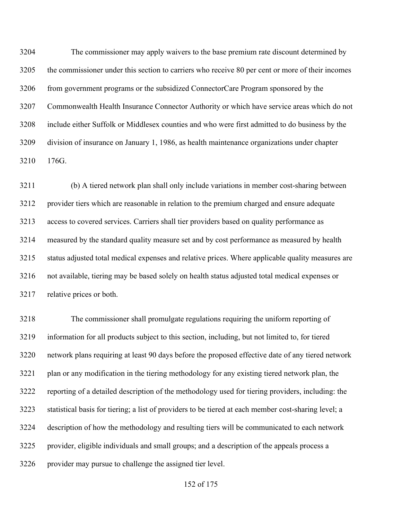The commissioner may apply waivers to the base premium rate discount determined by the commissioner under this section to carriers who receive 80 per cent or more of their incomes from government programs or the subsidized ConnectorCare Program sponsored by the Commonwealth Health Insurance Connector Authority or which have service areas which do not include either Suffolk or Middlesex counties and who were first admitted to do business by the division of insurance on January 1, 1986, as health maintenance organizations under chapter 176G.

 (b) A tiered network plan shall only include variations in member cost-sharing between provider tiers which are reasonable in relation to the premium charged and ensure adequate access to covered services. Carriers shall tier providers based on quality performance as measured by the standard quality measure set and by cost performance as measured by health status adjusted total medical expenses and relative prices. Where applicable quality measures are not available, tiering may be based solely on health status adjusted total medical expenses or relative prices or both.

 The commissioner shall promulgate regulations requiring the uniform reporting of information for all products subject to this section, including, but not limited to, for tiered network plans requiring at least 90 days before the proposed effective date of any tiered network plan or any modification in the tiering methodology for any existing tiered network plan, the reporting of a detailed description of the methodology used for tiering providers, including: the statistical basis for tiering; a list of providers to be tiered at each member cost-sharing level; a description of how the methodology and resulting tiers will be communicated to each network provider, eligible individuals and small groups; and a description of the appeals process a provider may pursue to challenge the assigned tier level.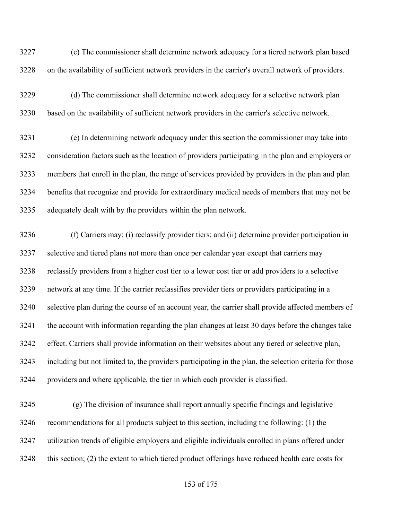(c) The commissioner shall determine network adequacy for a tiered network plan based on the availability of sufficient network providers in the carrier's overall network of providers.

 (d) The commissioner shall determine network adequacy for a selective network plan based on the availability of sufficient network providers in the carrier's selective network.

 (e) In determining network adequacy under this section the commissioner may take into consideration factors such as the location of providers participating in the plan and employers or members that enroll in the plan, the range of services provided by providers in the plan and plan benefits that recognize and provide for extraordinary medical needs of members that may not be adequately dealt with by the providers within the plan network.

 (f) Carriers may: (i) reclassify provider tiers; and (ii) determine provider participation in selective and tiered plans not more than once per calendar year except that carriers may reclassify providers from a higher cost tier to a lower cost tier or add providers to a selective network at any time. If the carrier reclassifies provider tiers or providers participating in a selective plan during the course of an account year, the carrier shall provide affected members of the account with information regarding the plan changes at least 30 days before the changes take effect. Carriers shall provide information on their websites about any tiered or selective plan, including but not limited to, the providers participating in the plan, the selection criteria for those providers and where applicable, the tier in which each provider is classified.

 (g) The division of insurance shall report annually specific findings and legislative recommendations for all products subject to this section, including the following: (1) the utilization trends of eligible employers and eligible individuals enrolled in plans offered under this section; (2) the extent to which tiered product offerings have reduced health care costs for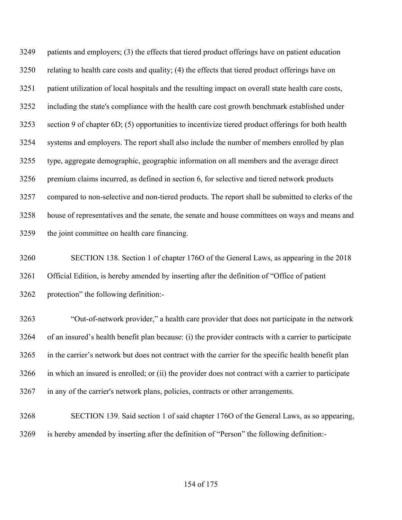patients and employers; (3) the effects that tiered product offerings have on patient education relating to health care costs and quality; (4) the effects that tiered product offerings have on patient utilization of local hospitals and the resulting impact on overall state health care costs, including the state's compliance with the health care cost growth benchmark established under section 9 of chapter 6D; (5) opportunities to incentivize tiered product offerings for both health systems and employers. The report shall also include the number of members enrolled by plan type, aggregate demographic, geographic information on all members and the average direct premium claims incurred, as defined in section 6, for selective and tiered network products compared to non-selective and non-tiered products. The report shall be submitted to clerks of the house of representatives and the senate, the senate and house committees on ways and means and the joint committee on health care financing.

 SECTION 138. Section 1 of chapter 176O of the General Laws, as appearing in the 2018 Official Edition, is hereby amended by inserting after the definition of "Office of patient protection" the following definition:-

 "Out-of-network provider," a health care provider that does not participate in the network of an insured's health benefit plan because: (i) the provider contracts with a carrier to participate in the carrier's network but does not contract with the carrier for the specific health benefit plan in which an insured is enrolled; or (ii) the provider does not contract with a carrier to participate in any of the carrier's network plans, policies, contracts or other arrangements.

 SECTION 139. Said section 1 of said chapter 176O of the General Laws, as so appearing, is hereby amended by inserting after the definition of "Person" the following definition:-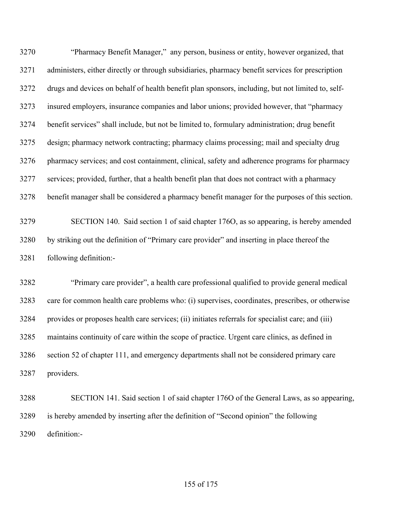"Pharmacy Benefit Manager," any person, business or entity, however organized, that administers, either directly or through subsidiaries, pharmacy benefit services for prescription drugs and devices on behalf of health benefit plan sponsors, including, but not limited to, self- insured employers, insurance companies and labor unions; provided however, that "pharmacy benefit services" shall include, but not be limited to, formulary administration; drug benefit design; pharmacy network contracting; pharmacy claims processing; mail and specialty drug pharmacy services; and cost containment, clinical, safety and adherence programs for pharmacy services; provided, further, that a health benefit plan that does not contract with a pharmacy benefit manager shall be considered a pharmacy benefit manager for the purposes of this section.

 SECTION 140. Said section 1 of said chapter 176O, as so appearing, is hereby amended by striking out the definition of "Primary care provider" and inserting in place thereof the following definition:-

 "Primary care provider", a health care professional qualified to provide general medical care for common health care problems who: (i) supervises, coordinates, prescribes, or otherwise provides or proposes health care services; (ii) initiates referrals for specialist care; and (iii) maintains continuity of care within the scope of practice. Urgent care clinics, as defined in section 52 of chapter 111, and emergency departments shall not be considered primary care providers.

 SECTION 141. Said section 1 of said chapter 176O of the General Laws, as so appearing, is hereby amended by inserting after the definition of "Second opinion" the following definition:-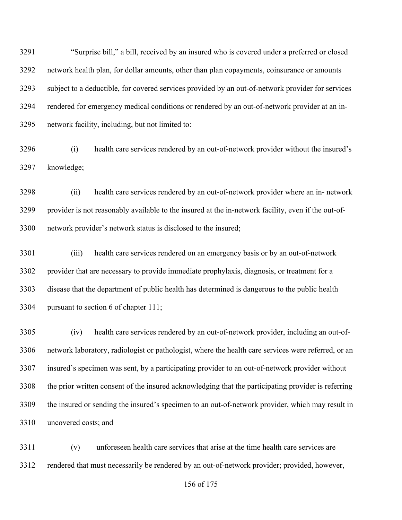"Surprise bill," a bill, received by an insured who is covered under a preferred or closed network health plan, for dollar amounts, other than plan copayments, coinsurance or amounts subject to a deductible, for covered services provided by an out-of-network provider for services rendered for emergency medical conditions or rendered by an out-of-network provider at an in-network facility, including, but not limited to:

 (i) health care services rendered by an out-of-network provider without the insured's knowledge;

 (ii) health care services rendered by an out-of-network provider where an in- network provider is not reasonably available to the insured at the in-network facility, even if the out-of-network provider's network status is disclosed to the insured;

 (iii) health care services rendered on an emergency basis or by an out-of-network provider that are necessary to provide immediate prophylaxis, diagnosis, or treatment for a disease that the department of public health has determined is dangerous to the public health pursuant to section 6 of chapter 111;

 (iv) health care services rendered by an out-of-network provider, including an out-of- network laboratory, radiologist or pathologist, where the health care services were referred, or an insured's specimen was sent, by a participating provider to an out-of-network provider without the prior written consent of the insured acknowledging that the participating provider is referring the insured or sending the insured's specimen to an out-of-network provider, which may result in uncovered costs; and

 (v) unforeseen health care services that arise at the time health care services are rendered that must necessarily be rendered by an out-of-network provider; provided, however,

of 175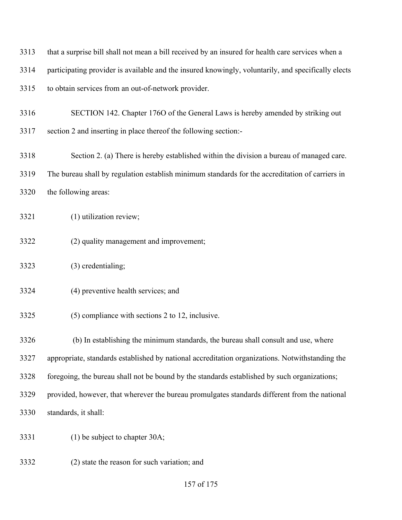that a surprise bill shall not mean a bill received by an insured for health care services when a participating provider is available and the insured knowingly, voluntarily, and specifically elects to obtain services from an out-of-network provider. SECTION 142. Chapter 176O of the General Laws is hereby amended by striking out section 2 and inserting in place thereof the following section:-

 Section 2. (a) There is hereby established within the division a bureau of managed care. The bureau shall by regulation establish minimum standards for the accreditation of carriers in the following areas:

(1) utilization review;

- (2) quality management and improvement;
- (3) credentialing;
- (4) preventive health services; and
- (5) compliance with sections 2 to 12, inclusive.

(b) In establishing the minimum standards, the bureau shall consult and use, where

appropriate, standards established by national accreditation organizations. Notwithstanding the

foregoing, the bureau shall not be bound by the standards established by such organizations;

provided, however, that wherever the bureau promulgates standards different from the national

standards, it shall:

- (1) be subject to chapter 30A;
- (2) state the reason for such variation; and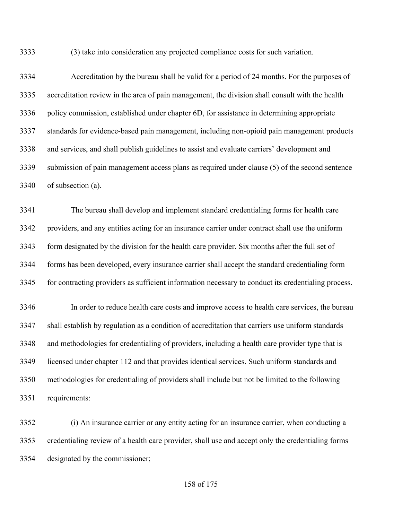(3) take into consideration any projected compliance costs for such variation.

 Accreditation by the bureau shall be valid for a period of 24 months. For the purposes of accreditation review in the area of pain management, the division shall consult with the health policy commission, established under chapter 6D, for assistance in determining appropriate standards for evidence-based pain management, including non-opioid pain management products and services, and shall publish guidelines to assist and evaluate carriers' development and submission of pain management access plans as required under clause (5) of the second sentence of subsection (a).

 The bureau shall develop and implement standard credentialing forms for health care providers, and any entities acting for an insurance carrier under contract shall use the uniform form designated by the division for the health care provider. Six months after the full set of forms has been developed, every insurance carrier shall accept the standard credentialing form for contracting providers as sufficient information necessary to conduct its credentialing process.

 In order to reduce health care costs and improve access to health care services, the bureau shall establish by regulation as a condition of accreditation that carriers use uniform standards and methodologies for credentialing of providers, including a health care provider type that is licensed under chapter 112 and that provides identical services. Such uniform standards and methodologies for credentialing of providers shall include but not be limited to the following requirements:

 (i) An insurance carrier or any entity acting for an insurance carrier, when conducting a credentialing review of a health care provider, shall use and accept only the credentialing forms designated by the commissioner;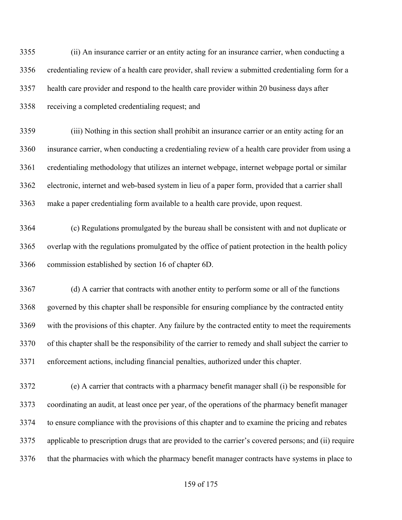(ii) An insurance carrier or an entity acting for an insurance carrier, when conducting a credentialing review of a health care provider, shall review a submitted credentialing form for a health care provider and respond to the health care provider within 20 business days after receiving a completed credentialing request; and

 (iii) Nothing in this section shall prohibit an insurance carrier or an entity acting for an insurance carrier, when conducting a credentialing review of a health care provider from using a credentialing methodology that utilizes an internet webpage, internet webpage portal or similar electronic, internet and web-based system in lieu of a paper form, provided that a carrier shall make a paper credentialing form available to a health care provide, upon request.

 (c) Regulations promulgated by the bureau shall be consistent with and not duplicate or overlap with the regulations promulgated by the office of patient protection in the health policy commission established by section 16 of chapter 6D.

 (d) A carrier that contracts with another entity to perform some or all of the functions governed by this chapter shall be responsible for ensuring compliance by the contracted entity with the provisions of this chapter. Any failure by the contracted entity to meet the requirements of this chapter shall be the responsibility of the carrier to remedy and shall subject the carrier to enforcement actions, including financial penalties, authorized under this chapter.

 (e) A carrier that contracts with a pharmacy benefit manager shall (i) be responsible for coordinating an audit, at least once per year, of the operations of the pharmacy benefit manager to ensure compliance with the provisions of this chapter and to examine the pricing and rebates applicable to prescription drugs that are provided to the carrier's covered persons; and (ii) require that the pharmacies with which the pharmacy benefit manager contracts have systems in place to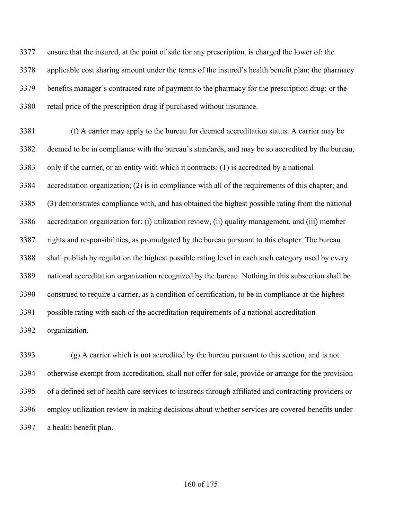ensure that the insured, at the point of sale for any prescription, is charged the lower of: the applicable cost sharing amount under the terms of the insured's health benefit plan; the pharmacy benefits manager's contracted rate of payment to the pharmacy for the prescription drug; or the retail price of the prescription drug if purchased without insurance.

 (f) A carrier may apply to the bureau for deemed accreditation status. A carrier may be deemed to be in compliance with the bureau's standards, and may be so accredited by the bureau, only if the carrier, or an entity with which it contracts: (1) is accredited by a national accreditation organization; (2) is in compliance with all of the requirements of this chapter; and (3) demonstrates compliance with, and has obtained the highest possible rating from the national accreditation organization for: (i) utilization review, (ii) quality management, and (iii) member rights and responsibilities, as promulgated by the bureau pursuant to this chapter. The bureau shall publish by regulation the highest possible rating level in each such category used by every national accreditation organization recognized by the bureau. Nothing in this subsection shall be construed to require a carrier, as a condition of certification, to be in compliance at the highest possible rating with each of the accreditation requirements of a national accreditation organization.

 (g) A carrier which is not accredited by the bureau pursuant to this section, and is not otherwise exempt from accreditation, shall not offer for sale, provide or arrange for the provision of a defined set of health care services to insureds through affiliated and contracting providers or employ utilization review in making decisions about whether services are covered benefits under a health benefit plan.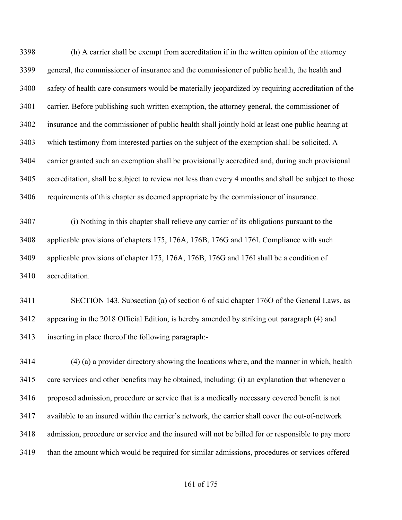(h) A carrier shall be exempt from accreditation if in the written opinion of the attorney general, the commissioner of insurance and the commissioner of public health, the health and safety of health care consumers would be materially jeopardized by requiring accreditation of the carrier. Before publishing such written exemption, the attorney general, the commissioner of insurance and the commissioner of public health shall jointly hold at least one public hearing at which testimony from interested parties on the subject of the exemption shall be solicited. A carrier granted such an exemption shall be provisionally accredited and, during such provisional accreditation, shall be subject to review not less than every 4 months and shall be subject to those requirements of this chapter as deemed appropriate by the commissioner of insurance.

 (i) Nothing in this chapter shall relieve any carrier of its obligations pursuant to the applicable provisions of chapters 175, 176A, 176B, 176G and 176I. Compliance with such applicable provisions of chapter 175, 176A, 176B, 176G and 176I shall be a condition of accreditation.

 SECTION 143. Subsection (a) of section 6 of said chapter 176O of the General Laws, as appearing in the 2018 Official Edition, is hereby amended by striking out paragraph (4) and inserting in place thereof the following paragraph:-

 (4) (a) a provider directory showing the locations where, and the manner in which, health care services and other benefits may be obtained, including: (i) an explanation that whenever a proposed admission, procedure or service that is a medically necessary covered benefit is not available to an insured within the carrier's network, the carrier shall cover the out-of-network admission, procedure or service and the insured will not be billed for or responsible to pay more than the amount which would be required for similar admissions, procedures or services offered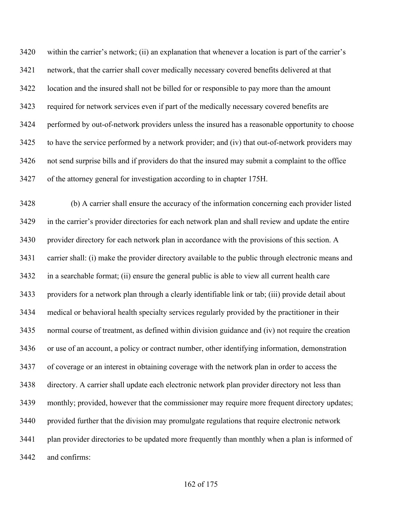within the carrier's network; (ii) an explanation that whenever a location is part of the carrier's network, that the carrier shall cover medically necessary covered benefits delivered at that location and the insured shall not be billed for or responsible to pay more than the amount required for network services even if part of the medically necessary covered benefits are performed by out-of-network providers unless the insured has a reasonable opportunity to choose to have the service performed by a network provider; and (iv) that out-of-network providers may not send surprise bills and if providers do that the insured may submit a complaint to the office of the attorney general for investigation according to in chapter 175H.

 (b) A carrier shall ensure the accuracy of the information concerning each provider listed in the carrier's provider directories for each network plan and shall review and update the entire provider directory for each network plan in accordance with the provisions of this section. A carrier shall: (i) make the provider directory available to the public through electronic means and in a searchable format; (ii) ensure the general public is able to view all current health care providers for a network plan through a clearly identifiable link or tab; (iii) provide detail about medical or behavioral health specialty services regularly provided by the practitioner in their normal course of treatment, as defined within division guidance and (iv) not require the creation or use of an account, a policy or contract number, other identifying information, demonstration of coverage or an interest in obtaining coverage with the network plan in order to access the directory. A carrier shall update each electronic network plan provider directory not less than monthly; provided, however that the commissioner may require more frequent directory updates; provided further that the division may promulgate regulations that require electronic network 3441 plan provider directories to be updated more frequently than monthly when a plan is informed of and confirms: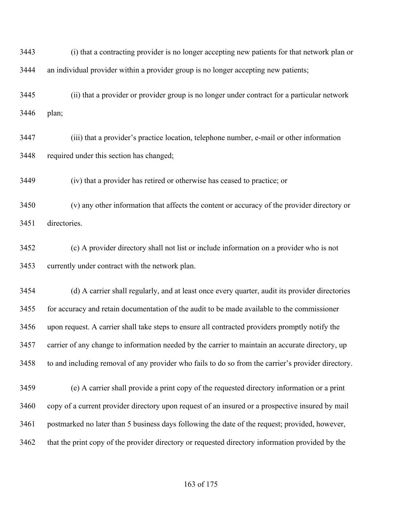(i) that a contracting provider is no longer accepting new patients for that network plan or an individual provider within a provider group is no longer accepting new patients;

 (ii) that a provider or provider group is no longer under contract for a particular network plan;

 (iii) that a provider's practice location, telephone number, e-mail or other information required under this section has changed;

(iv) that a provider has retired or otherwise has ceased to practice; or

 (v) any other information that affects the content or accuracy of the provider directory or directories.

 (c) A provider directory shall not list or include information on a provider who is not currently under contract with the network plan.

 (d) A carrier shall regularly, and at least once every quarter, audit its provider directories for accuracy and retain documentation of the audit to be made available to the commissioner upon request. A carrier shall take steps to ensure all contracted providers promptly notify the carrier of any change to information needed by the carrier to maintain an accurate directory, up to and including removal of any provider who fails to do so from the carrier's provider directory.

 (e) A carrier shall provide a print copy of the requested directory information or a print copy of a current provider directory upon request of an insured or a prospective insured by mail postmarked no later than 5 business days following the date of the request; provided, however, that the print copy of the provider directory or requested directory information provided by the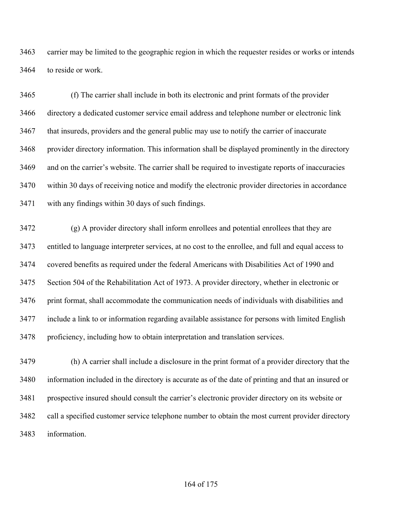carrier may be limited to the geographic region in which the requester resides or works or intends to reside or work.

 (f) The carrier shall include in both its electronic and print formats of the provider directory a dedicated customer service email address and telephone number or electronic link that insureds, providers and the general public may use to notify the carrier of inaccurate provider directory information. This information shall be displayed prominently in the directory and on the carrier's website. The carrier shall be required to investigate reports of inaccuracies within 30 days of receiving notice and modify the electronic provider directories in accordance with any findings within 30 days of such findings.

 (g) A provider directory shall inform enrollees and potential enrollees that they are entitled to language interpreter services, at no cost to the enrollee, and full and equal access to covered benefits as required under the federal Americans with Disabilities Act of 1990 and Section 504 of the Rehabilitation Act of 1973. A provider directory, whether in electronic or print format, shall accommodate the communication needs of individuals with disabilities and include a link to or information regarding available assistance for persons with limited English proficiency, including how to obtain interpretation and translation services.

 (h) A carrier shall include a disclosure in the print format of a provider directory that the information included in the directory is accurate as of the date of printing and that an insured or prospective insured should consult the carrier's electronic provider directory on its website or call a specified customer service telephone number to obtain the most current provider directory information.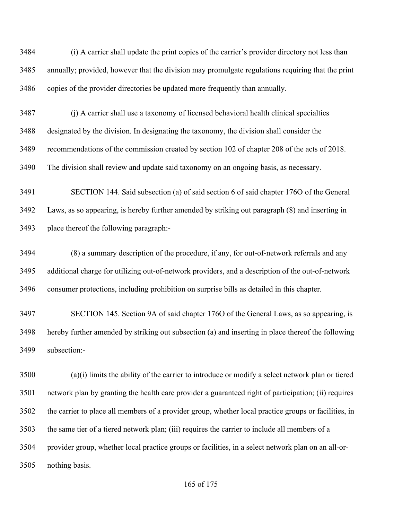(i) A carrier shall update the print copies of the carrier's provider directory not less than annually; provided, however that the division may promulgate regulations requiring that the print copies of the provider directories be updated more frequently than annually.

 (j) A carrier shall use a taxonomy of licensed behavioral health clinical specialties designated by the division. In designating the taxonomy, the division shall consider the recommendations of the commission created by section 102 of chapter 208 of the acts of 2018. The division shall review and update said taxonomy on an ongoing basis, as necessary.

 SECTION 144. Said subsection (a) of said section 6 of said chapter 176O of the General Laws, as so appearing, is hereby further amended by striking out paragraph (8) and inserting in place thereof the following paragraph:-

 (8) a summary description of the procedure, if any, for out-of-network referrals and any additional charge for utilizing out-of-network providers, and a description of the out-of-network consumer protections, including prohibition on surprise bills as detailed in this chapter.

 SECTION 145. Section 9A of said chapter 176O of the General Laws, as so appearing, is hereby further amended by striking out subsection (a) and inserting in place thereof the following subsection:-

 (a)(i) limits the ability of the carrier to introduce or modify a select network plan or tiered network plan by granting the health care provider a guaranteed right of participation; (ii) requires the carrier to place all members of a provider group, whether local practice groups or facilities, in the same tier of a tiered network plan; (iii) requires the carrier to include all members of a provider group, whether local practice groups or facilities, in a select network plan on an all-or-nothing basis.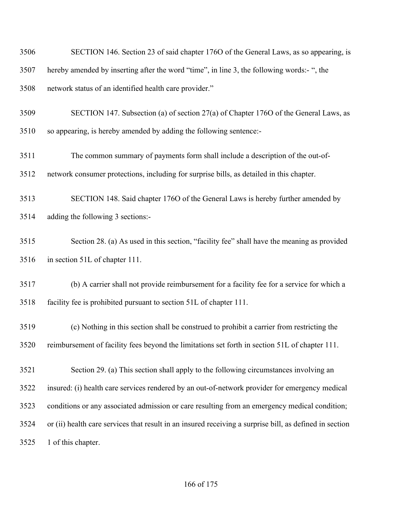| 3506 | SECTION 146. Section 23 of said chapter 1760 of the General Laws, as so appearing, is                   |
|------|---------------------------------------------------------------------------------------------------------|
| 3507 | hereby amended by inserting after the word "time", in line 3, the following words:- ", the              |
| 3508 | network status of an identified health care provider."                                                  |
| 3509 | SECTION 147. Subsection (a) of section 27(a) of Chapter 1760 of the General Laws, as                    |
| 3510 | so appearing, is hereby amended by adding the following sentence:-                                      |
| 3511 | The common summary of payments form shall include a description of the out-of-                          |
| 3512 | network consumer protections, including for surprise bills, as detailed in this chapter.                |
| 3513 | SECTION 148. Said chapter 1760 of the General Laws is hereby further amended by                         |
| 3514 | adding the following 3 sections:-                                                                       |
| 3515 | Section 28. (a) As used in this section, "facility fee" shall have the meaning as provided              |
| 3516 | in section 51L of chapter 111.                                                                          |
| 3517 | (b) A carrier shall not provide reimbursement for a facility fee for a service for which a              |
| 3518 | facility fee is prohibited pursuant to section 51L of chapter 111.                                      |
| 3519 | (c) Nothing in this section shall be construed to prohibit a carrier from restricting the               |
| 3520 | reimbursement of facility fees beyond the limitations set forth in section 51L of chapter 111.          |
| 3521 | Section 29. (a) This section shall apply to the following circumstances involving an                    |
| 3522 | insured: (i) health care services rendered by an out-of-network provider for emergency medical          |
| 3523 | conditions or any associated admission or care resulting from an emergency medical condition;           |
| 3524 | or (ii) health care services that result in an insured receiving a surprise bill, as defined in section |
| 3525 | 1 of this chapter.                                                                                      |

## of 175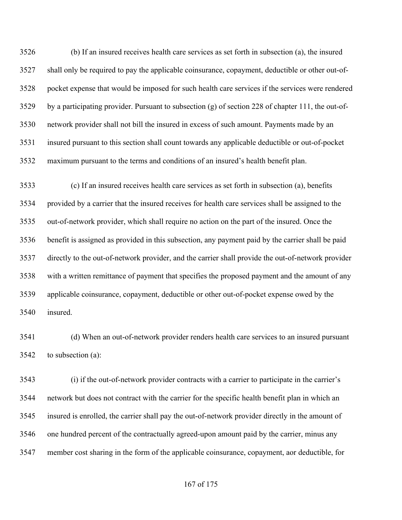(b) If an insured receives health care services as set forth in subsection (a), the insured shall only be required to pay the applicable coinsurance, copayment, deductible or other out-of- pocket expense that would be imposed for such health care services if the services were rendered by a participating provider. Pursuant to subsection (g) of section 228 of chapter 111, the out-of- network provider shall not bill the insured in excess of such amount. Payments made by an insured pursuant to this section shall count towards any applicable deductible or out-of-pocket maximum pursuant to the terms and conditions of an insured's health benefit plan.

 (c) If an insured receives health care services as set forth in subsection (a), benefits provided by a carrier that the insured receives for health care services shall be assigned to the out-of-network provider, which shall require no action on the part of the insured. Once the benefit is assigned as provided in this subsection, any payment paid by the carrier shall be paid directly to the out-of-network provider, and the carrier shall provide the out-of-network provider with a written remittance of payment that specifies the proposed payment and the amount of any applicable coinsurance, copayment, deductible or other out-of-pocket expense owed by the insured.

 (d) When an out-of-network provider renders health care services to an insured pursuant to subsection (a):

 (i) if the out-of-network provider contracts with a carrier to participate in the carrier's network but does not contract with the carrier for the specific health benefit plan in which an insured is enrolled, the carrier shall pay the out-of-network provider directly in the amount of one hundred percent of the contractually agreed-upon amount paid by the carrier, minus any member cost sharing in the form of the applicable coinsurance, copayment, aor deductible, for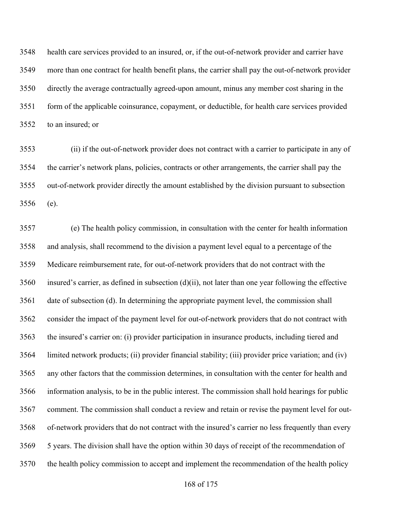health care services provided to an insured, or, if the out-of-network provider and carrier have more than one contract for health benefit plans, the carrier shall pay the out-of-network provider directly the average contractually agreed-upon amount, minus any member cost sharing in the form of the applicable coinsurance, copayment, or deductible, for health care services provided to an insured; or

 (ii) if the out-of-network provider does not contract with a carrier to participate in any of the carrier's network plans, policies, contracts or other arrangements, the carrier shall pay the out-of-network provider directly the amount established by the division pursuant to subsection (e).

 (e) The health policy commission, in consultation with the center for health information and analysis, shall recommend to the division a payment level equal to a percentage of the Medicare reimbursement rate, for out-of-network providers that do not contract with the insured's carrier, as defined in subsection (d)(ii), not later than one year following the effective date of subsection (d). In determining the appropriate payment level, the commission shall consider the impact of the payment level for out-of-network providers that do not contract with the insured's carrier on: (i) provider participation in insurance products, including tiered and limited network products; (ii) provider financial stability; (iii) provider price variation; and (iv) any other factors that the commission determines, in consultation with the center for health and information analysis, to be in the public interest. The commission shall hold hearings for public comment. The commission shall conduct a review and retain or revise the payment level for out- of-network providers that do not contract with the insured's carrier no less frequently than every 5 years. The division shall have the option within 30 days of receipt of the recommendation of the health policy commission to accept and implement the recommendation of the health policy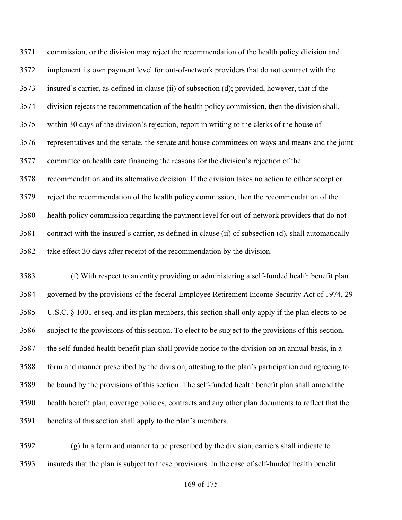commission, or the division may reject the recommendation of the health policy division and implement its own payment level for out-of-network providers that do not contract with the insured's carrier, as defined in clause (ii) of subsection (d); provided, however, that if the division rejects the recommendation of the health policy commission, then the division shall, within 30 days of the division's rejection, report in writing to the clerks of the house of representatives and the senate, the senate and house committees on ways and means and the joint committee on health care financing the reasons for the division's rejection of the recommendation and its alternative decision. If the division takes no action to either accept or reject the recommendation of the health policy commission, then the recommendation of the health policy commission regarding the payment level for out-of-network providers that do not contract with the insured's carrier, as defined in clause (ii) of subsection (d), shall automatically take effect 30 days after receipt of the recommendation by the division.

 (f) With respect to an entity providing or administering a self-funded health benefit plan governed by the provisions of the federal Employee Retirement Income Security Act of 1974, 29 U.S.C. § 1001 et seq. and its plan members, this section shall only apply if the plan elects to be subject to the provisions of this section. To elect to be subject to the provisions of this section, the self-funded health benefit plan shall provide notice to the division on an annual basis, in a form and manner prescribed by the division, attesting to the plan's participation and agreeing to be bound by the provisions of this section. The self-funded health benefit plan shall amend the health benefit plan, coverage policies, contracts and any other plan documents to reflect that the benefits of this section shall apply to the plan's members.

 (g) In a form and manner to be prescribed by the division, carriers shall indicate to insureds that the plan is subject to these provisions. In the case of self-funded health benefit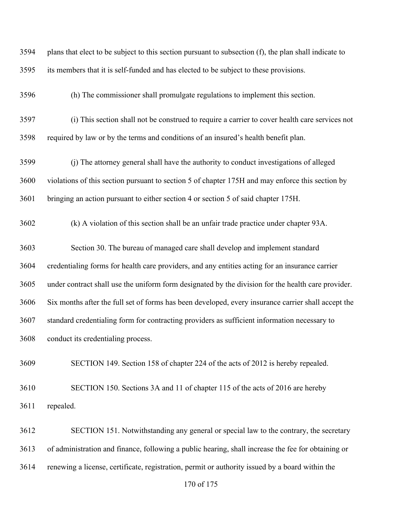| 3594 | plans that elect to be subject to this section pursuant to subsection (f), the plan shall indicate to |
|------|-------------------------------------------------------------------------------------------------------|
| 3595 | its members that it is self-funded and has elected to be subject to these provisions.                 |
| 3596 | (h) The commissioner shall promulgate regulations to implement this section.                          |
| 3597 | (i) This section shall not be construed to require a carrier to cover health care services not        |
| 3598 | required by law or by the terms and conditions of an insured's health benefit plan.                   |
| 3599 | (j) The attorney general shall have the authority to conduct investigations of alleged                |
| 3600 | violations of this section pursuant to section 5 of chapter 175H and may enforce this section by      |
| 3601 | bringing an action pursuant to either section 4 or section 5 of said chapter 175H.                    |
| 3602 | (k) A violation of this section shall be an unfair trade practice under chapter 93A.                  |
| 3603 | Section 30. The bureau of managed care shall develop and implement standard                           |
| 3604 | credentialing forms for health care providers, and any entities acting for an insurance carrier       |
| 3605 | under contract shall use the uniform form designated by the division for the health care provider.    |
| 3606 | Six months after the full set of forms has been developed, every insurance carrier shall accept the   |
| 3607 | standard credentialing form for contracting providers as sufficient information necessary to          |
| 3608 | conduct its credentialing process.                                                                    |
| 3609 | SECTION 149. Section 158 of chapter 224 of the acts of 2012 is hereby repealed.                       |
| 3610 | SECTION 150. Sections 3A and 11 of chapter 115 of the acts of 2016 are hereby                         |
| 3611 | repealed.                                                                                             |
| 3612 | SECTION 151. Notwithstanding any general or special law to the contrary, the secretary                |
| 3613 | of administration and finance, following a public hearing, shall increase the fee for obtaining or    |
| 3614 | renewing a license, certificate, registration, permit or authority issued by a board within the       |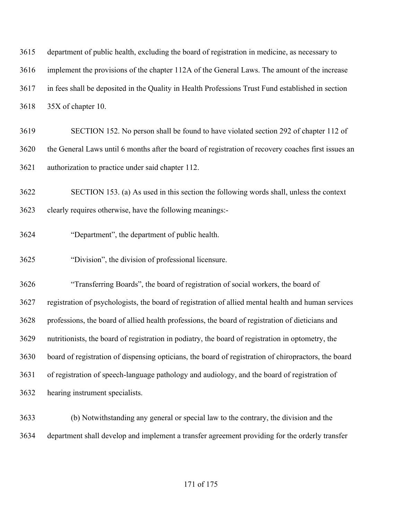| 3615 | department of public health, excluding the board of registration in medicine, as necessary to        |
|------|------------------------------------------------------------------------------------------------------|
| 3616 | implement the provisions of the chapter 112A of the General Laws. The amount of the increase         |
| 3617 | in fees shall be deposited in the Quality in Health Professions Trust Fund established in section    |
| 3618 | 35X of chapter 10.                                                                                   |
| 3619 | SECTION 152. No person shall be found to have violated section 292 of chapter 112 of                 |
| 3620 | the General Laws until 6 months after the board of registration of recovery coaches first issues an  |
| 3621 | authorization to practice under said chapter 112.                                                    |
| 3622 | SECTION 153. (a) As used in this section the following words shall, unless the context               |
| 3623 | clearly requires otherwise, have the following meanings:-                                            |
| 3624 | "Department", the department of public health.                                                       |
| 3625 | "Division", the division of professional licensure.                                                  |
| 3626 | "Transferring Boards", the board of registration of social workers, the board of                     |
| 3627 | registration of psychologists, the board of registration of allied mental health and human services  |
| 3628 | professions, the board of allied health professions, the board of registration of dieticians and     |
| 3629 | nutritionists, the board of registration in podiatry, the board of registration in optometry, the    |
| 3630 | board of registration of dispensing opticians, the board of registration of chiropractors, the board |
| 3631 | of registration of speech-language pathology and audiology, and the board of registration of         |
| 3632 | hearing instrument specialists.                                                                      |
|      |                                                                                                      |

 (b) Notwithstanding any general or special law to the contrary, the division and the department shall develop and implement a transfer agreement providing for the orderly transfer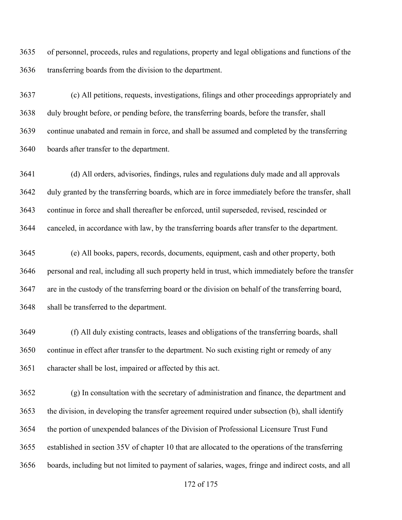of personnel, proceeds, rules and regulations, property and legal obligations and functions of the transferring boards from the division to the department.

 (c) All petitions, requests, investigations, filings and other proceedings appropriately and duly brought before, or pending before, the transferring boards, before the transfer, shall continue unabated and remain in force, and shall be assumed and completed by the transferring boards after transfer to the department.

 (d) All orders, advisories, findings, rules and regulations duly made and all approvals duly granted by the transferring boards, which are in force immediately before the transfer, shall continue in force and shall thereafter be enforced, until superseded, revised, rescinded or canceled, in accordance with law, by the transferring boards after transfer to the department.

 (e) All books, papers, records, documents, equipment, cash and other property, both personal and real, including all such property held in trust, which immediately before the transfer are in the custody of the transferring board or the division on behalf of the transferring board, shall be transferred to the department.

 (f) All duly existing contracts, leases and obligations of the transferring boards, shall continue in effect after transfer to the department. No such existing right or remedy of any character shall be lost, impaired or affected by this act.

 (g) In consultation with the secretary of administration and finance, the department and the division, in developing the transfer agreement required under subsection (b), shall identify the portion of unexpended balances of the Division of Professional Licensure Trust Fund established in section 35V of chapter 10 that are allocated to the operations of the transferring boards, including but not limited to payment of salaries, wages, fringe and indirect costs, and all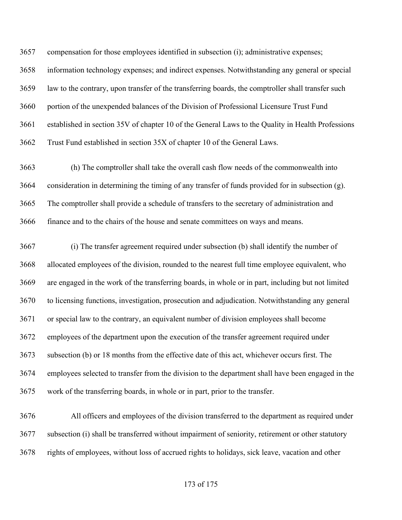compensation for those employees identified in subsection (i); administrative expenses; information technology expenses; and indirect expenses. Notwithstanding any general or special law to the contrary, upon transfer of the transferring boards, the comptroller shall transfer such portion of the unexpended balances of the Division of Professional Licensure Trust Fund established in section 35V of chapter 10 of the General Laws to the Quality in Health Professions Trust Fund established in section 35X of chapter 10 of the General Laws.

 (h) The comptroller shall take the overall cash flow needs of the commonwealth into consideration in determining the timing of any transfer of funds provided for in subsection (g). The comptroller shall provide a schedule of transfers to the secretary of administration and finance and to the chairs of the house and senate committees on ways and means.

 (i) The transfer agreement required under subsection (b) shall identify the number of allocated employees of the division, rounded to the nearest full time employee equivalent, who are engaged in the work of the transferring boards, in whole or in part, including but not limited to licensing functions, investigation, prosecution and adjudication. Notwithstanding any general or special law to the contrary, an equivalent number of division employees shall become employees of the department upon the execution of the transfer agreement required under subsection (b) or 18 months from the effective date of this act, whichever occurs first. The employees selected to transfer from the division to the department shall have been engaged in the work of the transferring boards, in whole or in part, prior to the transfer.

 All officers and employees of the division transferred to the department as required under subsection (i) shall be transferred without impairment of seniority, retirement or other statutory rights of employees, without loss of accrued rights to holidays, sick leave, vacation and other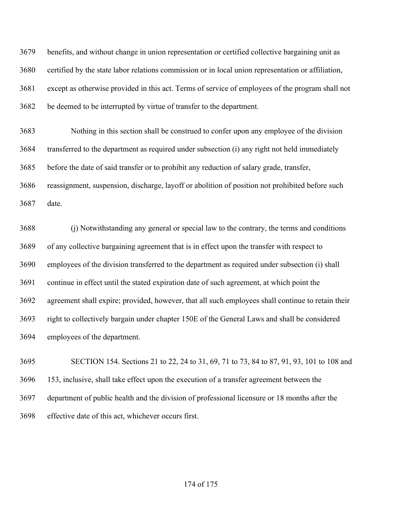benefits, and without change in union representation or certified collective bargaining unit as certified by the state labor relations commission or in local union representation or affiliation, except as otherwise provided in this act. Terms of service of employees of the program shall not be deemed to be interrupted by virtue of transfer to the department.

 Nothing in this section shall be construed to confer upon any employee of the division transferred to the department as required under subsection (i) any right not held immediately before the date of said transfer or to prohibit any reduction of salary grade, transfer, reassignment, suspension, discharge, layoff or abolition of position not prohibited before such date.

 (j) Notwithstanding any general or special law to the contrary, the terms and conditions of any collective bargaining agreement that is in effect upon the transfer with respect to employees of the division transferred to the department as required under subsection (i) shall continue in effect until the stated expiration date of such agreement, at which point the agreement shall expire; provided, however, that all such employees shall continue to retain their right to collectively bargain under chapter 150E of the General Laws and shall be considered employees of the department.

 SECTION 154. Sections 21 to 22, 24 to 31, 69, 71 to 73, 84 to 87, 91, 93, 101 to 108 and 153, inclusive, shall take effect upon the execution of a transfer agreement between the department of public health and the division of professional licensure or 18 months after the effective date of this act, whichever occurs first.